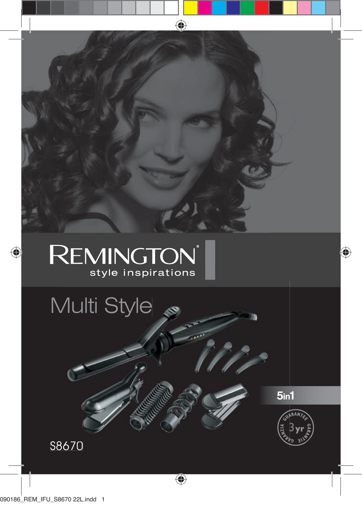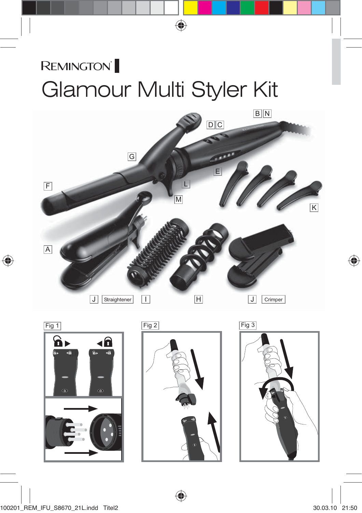# REMINGTON<sup>®</sup> Glamour Multi Styler Kit

 $\bigoplus$ 





 $\bigoplus$ 



 $\bigoplus$ 

 $\bigoplus$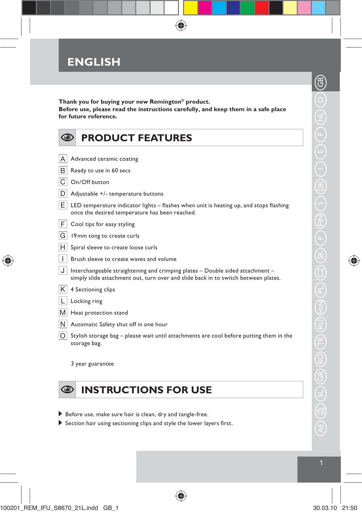

**Thank you for buying your new Remington® product. Before use, please read the instructions carefully, and keep them in a safe place for future reference.**

 $\bigoplus$ 

| <b>PRODUCT FEATURES</b> |                                                                                                                                                                     |
|-------------------------|---------------------------------------------------------------------------------------------------------------------------------------------------------------------|
| Α                       | Advanced ceramic coating                                                                                                                                            |
| в                       | Ready to use in 60 secs                                                                                                                                             |
|                         | On/Off button                                                                                                                                                       |
| D                       | Adjustable +/- temperature buttons                                                                                                                                  |
| E.                      | LED temperature indicator lights - flashes when unit is heating up, and stops flashing<br>once the desired temperature has been reached.                            |
| F                       | Cool tips for easy styling                                                                                                                                          |
| G                       | 19 mm tong to create curls                                                                                                                                          |
| н                       | Spiral sleeve to create loose curls                                                                                                                                 |
|                         | Brush sleeve to create waves and volume                                                                                                                             |
| J                       | Interchangeable straightening and crimping plates - Double sided attachment -<br>simply slide attachment out, turn over and slide back in to switch between plates. |
| Κ                       | 4 Sectioning clips                                                                                                                                                  |
|                         | Locking ring                                                                                                                                                        |
| M                       | Heat protection stand                                                                                                                                               |
| N                       | Automatic Safety shut off in one hour                                                                                                                               |
|                         | Stylish storage bag – please wait until attachments are cool before putting them in the<br>storage bag.                                                             |

3 year guarantee

### $\circledcirc$ **INSTRUCTIONS FOR USE**

- Before use, make sure hair is clean, dry and tangle-free.
- Section hair using sectioning clips and style the lower layers first.

 $\bigoplus$ 

⊕

පි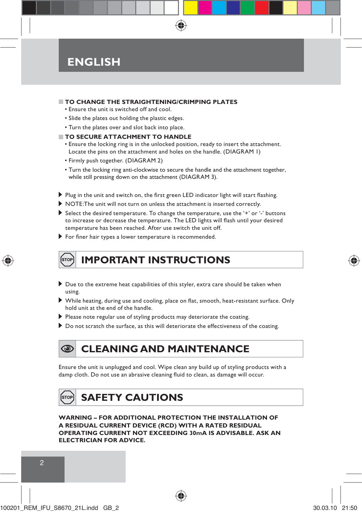## **ENGLISH**

### **TO CHANGE THE STRAIGHTENING/CRIMPING PLATES**

- Ensure the unit is switched off and cool.
- Slide the plates out holding the plastic edges.
- Turn the plates over and slot back into place.

### **TO SECURE ATTACHMENT TO HANDLE**

- Ensure the locking ring is in the unlocked position, ready to insert the attachment. Locate the pins on the attachment and holes on the handle. (DIAGRAM 1)
- Firmly push together. (DIAGRAM 2)
- Turn the locking ring anti-clockwise to secure the handle and the attachment together, while still pressing down on the attachment (DIAGRAM 3).
- Plug in the unit and switch on, the first green LED indicator light will start flashing.
- NOTE:The unit will not turn on unless the attachment is inserted correctly.
- Select the desired temperature. To change the temperature, use the '+' or '-' buttons to increase or decrease the temperature. The LED lights will flash until your desired temperature has been reached. After use switch the unit off.
- For finer hair types a lower temperature is recommended.

⇔

## **IMPORTANT INSTRUCTIONS**

- Due to the extreme heat capabilities of this styler, extra care should be taken when using.
- While heating, during use and cooling, place on flat, smooth, heat-resistant surface. Only hold unit at the end of the handle.
- Please note regular use of styling products may deteriorate the coating.
- Do not scratch the surface, as this will deteriorate the effectiveness of the coating.

### $\circledcirc$ **CLEANING AND MAINTENANCE**

Ensure the unit is unplugged and cool. Wipe clean any build up of styling products with a damp cloth. Do not use an abrasive cleaning fluid to clean, as damage will occur.

### **SAFETY CAUTIONS** Ístor

**WARNING – FOR ADDITIONAL PROTECTION THE INSTALLATION OF A RESIDUAL CURRENT DEVICE (RCD) WITH A RATED RESIDUAL OPERATING CURRENT NOT EXCEEDING 30mA IS ADVISABLE. ASK AN ELECTRICIAN FOR ADVICE.**



 $\overline{2}$ 

₩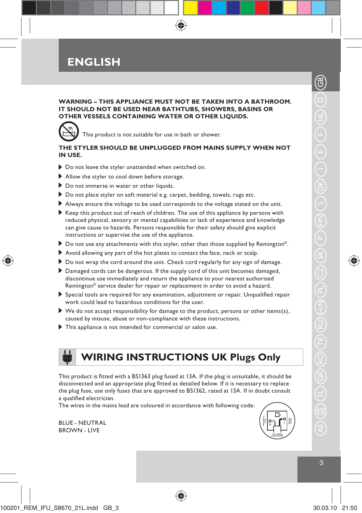## **ENGLISH**

## **IT SHOULD NOT BE USED NEAR BATHTUBS, SHOWERS, BASINS OR OTHER VESSELS CONTAINING WATER OR OTHER LIQUIDS.**



⇔

This product is not suitable for use in bath or shower.

### **THE STYLER SHOULD BE UNPLUGGED FROM MAINS SUPPLY WHEN NOT IN USE.**

- Do not leave the styler unattended when switched on.
- Allow the styler to cool down before storage.
- Do not immerse in water or other liquids.
- Do not place styler on soft material e.g. carpet, bedding, towels, rugs etc.
- Always ensure the voltage to be used corresponds to the voltage stated on the unit.
- Keep this product out of reach of children. The use of this appliance by persons with reduced physical, sensory or mental capabilities or lack of experience and knowledge can give cause to hazards. Persons responsible for their safety should give explicit instructions or supervise the use of the appliance.
- ▶ Do not use any attachments with this styler, other than those supplied by Remington®.
- Avoid allowing any part of the hot plates to contact the face, neck or scalp.
- Do not wrap the cord around the unit. Check cord regularly for any sign of damage.
- Damaged cords can be dangerous. If the supply cord of this unit becomes damaged, discontinue use immediately and return the appliance to your nearest authorised Remington® service dealer for repair or replacement in order to avoid a hazard.
- Special tools are required for any examination, adjustment or repair. Unqualified repair work could lead to hazardous conditions for the user.
- $\blacktriangleright$  We do not accept responsibility for damage to the product, persons or other items(s), caused by misuse, abuse or non-compliance with these instructions.
- This appliance is not intended for commercial or salon use.

BLUE - NEUTRAL BROWN - LIVE

## **WIRING INSTRUCTIONS UK Plugs Only**

WARNING – THIS APPLIANCE MUST NOT BE TAKEN INTO A BATHROOM.<br>
THE STRUCTION THE VIESSELS CONTAINING WATER OR OTHER LIQUIDS.<br>
THE STRUCT THE STRUCT ON THE STRUCT ON THE STRUCT ON THE STRUCT THE STRUCT THE STRUCT THE STRUCT O This product is fitted with a BS1363 plug fused at 13A. If the plug is unsuitable, it should be disconnected and an appropriate plug fitted as detailed below. If it is necessary to replace the plug fuse, use only fuses that are approved to BS1362, rated at 13A. If in doubt consult a qualified electrician.

۰

The wires in the mains lead are coloured in accordance with following code:



◈

3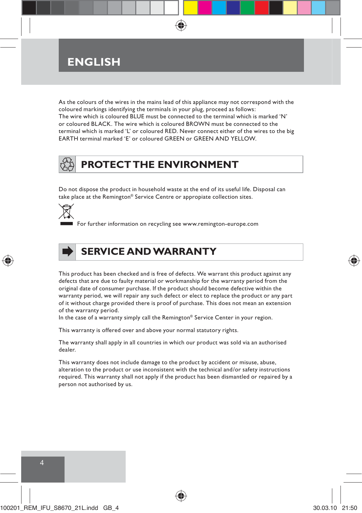## **ENGLISH**

As the colours of the wires in the mains lead of this appliance may not correspond with the coloured markings identifying the terminals in your plug, proceed as follows: The wire which is coloured BLUE must be connected to the terminal which is marked 'N' or coloured BLACK. The wire which is coloured BROWN must be connected to the terminal which is marked 'L' or coloured RED. Never connect either of the wires to the big EARTH terminal marked 'E' or coloured GREEN or GREEN AND YELLOW.

## **PROTECT THE ENVIRONMENT**

Do not dispose the product in household waste at the end of its useful life. Disposal can take place at the Remington® Service Centre or appropiate collection sites.

For further information on recycling see www.remington-europe.com



⇔

## **SERVICE AND WARRANTY**

This product has been checked and is free of defects. We warrant this product against any defects that are due to faulty material or workmanship for the warranty period from the original date of consumer purchase. If the product should become defective within the warranty period, we will repair any such defect or elect to replace the product or any part of it without charge provided there is proof of purchase. This does not mean an extension of the warranty period.

In the case of a warranty simply call the Remington® Service Center in your region.

This warranty is offered over and above your normal statutory rights.

The warranty shall apply in all countries in which our product was sold via an authorised dealer.

This warranty does not include damage to the product by accident or misuse, abuse, alteration to the product or use inconsistent with the technical and/or safety instructions required. This warranty shall not apply if the product has been dismantled or repaired by a person not authorised by us.

4

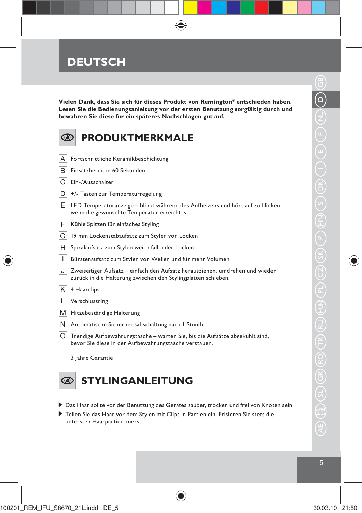

**Vielen Dank, dass Sie sich für dieses Produkt von Remington® entschieden haben. Lesen Sie die Bedienungsanleitung vor der ersten Benutzung sorgfältig durch und bewahren Sie diese für ein späteres Nachschlagen gut auf.**

⊕

|    | <b>PRODUKTMERKMALE</b>                                                                                                                        |
|----|-----------------------------------------------------------------------------------------------------------------------------------------------|
| A  | Fortschrittliche Keramikbeschichtung                                                                                                          |
| В  | Einsatzbereit in 60 Sekunden                                                                                                                  |
| C  | Ein-/Ausschalter                                                                                                                              |
| D  | +/- Tasten zur Temperaturregelung                                                                                                             |
| E. | LED-Temperaturanzeige - blinkt während des Aufheizens und hört auf zu blinken,<br>wenn die gewünschte Temperatur erreicht ist.                |
| F  | Kühle Spitzen für einfaches Styling                                                                                                           |
| G  | 19 mm Lockenstabaufsatz zum Stylen von Locken                                                                                                 |
| н  | Spiralaufsatz zum Stylen weich fallender Locken                                                                                               |
| I  | Bürstenaufsatz zum Stylen von Wellen und für mehr Volumen                                                                                     |
| J  | Zweiseitiger Aufsatz - einfach den Aufsatz herausziehen, umdrehen und wieder<br>zurück in die Halterung zwischen den Stylingplatten schieben. |
| Κ  | 4 Haarclips                                                                                                                                   |
| L  | Verschlussring                                                                                                                                |
| M  | Hitzebeständige Halterung                                                                                                                     |
| N  | Automatische Sicherheitsabschaltung nach I Stunde                                                                                             |
| O  | Trendige Aufbewahrungstasche - warten Sie, bis die Aufsätze abgekühlt sind,<br>bevor Sie diese in der Aufbewahrungstasche verstauen.          |
|    |                                                                                                                                               |

Jahre Garantie 3

### **STYLINGANLEITUNG**   $\circledcirc$

Das Haar sollte vor der Benutzung des Gerätes sauber, trocken und frei von Knoten sein.

◈

 Teilen Sie das Haar vor dem Stylen mit Clips in Partien ein. Frisieren Sie stets die untersten Haarpartien zuerst.

⊕

5

€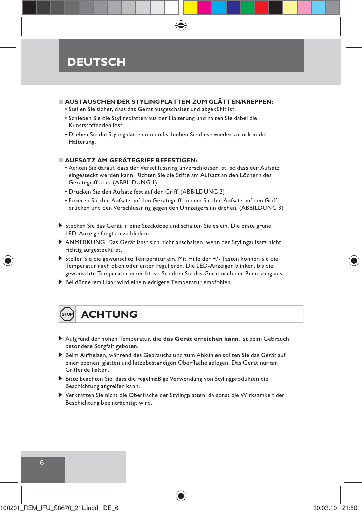## **DEUTSCH**

- **AUSTAUSCHEN DER STYLINGPLATTEN ZUM GLÄTTEN/KREPPEN:**
	- Stellen Sie sicher, dass das Gerät ausgeschaltet und abgekühlt ist.
	- Schieben Sie die Stylingplatten aus der Halterung und halten Sie dabei die Kunststoffenden fest.
	- Drehen Sie die Stylingplatten um und schieben Sie diese wieder zurück in die Halterung.

### **AUFSATZ AM GERÄTEGRIFF BEFESTIGEN:**

- Achten Sie darauf, dass der Verschlussring unverschlossen ist, so dass der Aufsatz eingesteckt werden kann. Richten Sie die Stifte am Aufsatz an den Löchern des Gerätegriffs aus. (ABBILDUNG 1)
- Drücken Sie den Aufsatz fest auf den Griff. (ABBILDUNG 2)
- Fixieren Sie den Aufsatz auf den Gerätegriff, in dem Sie den Aufsatz auf den Griff drücken und den Verschlussring gegen den Uhrzeigersinn drehen. (ABBILDUNG 3)
- Stecken Sie das Gerät in eine Steckdose und schalten Sie es ein. Die erste grüne LED-Anzeige fängt an zu blinken.
- ANMERKUNG: Das Gerät lässt sich nicht anschalten, wenn der Stylingaufsatz nicht richtig aufgesteckt ist.
- Stellen Sie die gewünschte Temperatur ein. Mit Hilfe der +/- Tasten können Sie die Temperatur nach oben oder unten regulieren. Die LED-Anzeigen blinken, bis die gewünschte Temperatur erreicht ist. Schalten Sie das Gerät nach der Benutzung aus.
- Bei dünnerem Haar wird eine niedrigere Temperatur empfohlen.

## **ACHTUNG**

- Aufgrund der hohen Temperatur, **die das Gerät erreichen kann**, ist beim Gebrauch besondere Sorgfalt geboten.
- Beim Aufheizen, während des Gebrauchs und zum Abkühlen sollten Sie das Gerät auf einer ebenen, glatten und hitzebeständigen Oberfläche ablegen. Das Gerät nur am Griffende halten.
- Bitte beachten Sie, dass die regelmäßige Verwendung von Stylingprodukten die Beschichtung angreifen kann.
- Verkratzen Sie nicht die Oberfläche der Stylingplatten, da sonst die Wirksamkeit der Beschichtung beeinträchtigt wird.



100201\_REM\_IFU\_S8670\_21L.indd DE\_6 30.03.10 21:50

6

₩

₩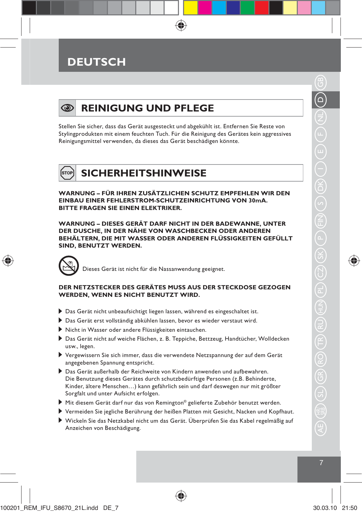## **DEUTSCH**



Stellen Sie sicher, dass das Gerät ausgesteckt und abgekühlt ist. Entfernen Sie Reste von Stylingprodukten mit einem feuchten Tuch. Für die Reinigung des Gerätes kein aggressives Reinigungsmittel verwenden, da dieses das Gerät beschädigen könnte.

### Ístof **SICHERHEITSHINWEISE**

**WARNUNG – FÜR IHREN ZUSÄTZLICHEN SCHUTZ EMPFEHLEN WIR DEN EINBAU EINER FEHLERSTROM-SCHUTZEINRICHTUNG VON 30mA. BITTE FRAGEN SIE EINEN ELEKTRIKER.**

**WARNUNG – DIESES GERÄT DARF NICHT IN DER BADEWANNE, UNTER DER DUSCHE, IN DER NÄHE VON WASCHBECKEN ODER ANDEREN BEHÄLTERN, DIE MIT WASSER ODER ANDEREN FLÜSSIGKEITEN GEFÜLLT SIND, BENUTZT WERDEN.**

Dieses Gerät ist nicht für die Nassanwendung geeignet.

### **DER NETZSTECKER DES GERÄTES MUSS AUS DER STECKDOSE GEZOGEN WERDEN, WENN ES NICHT BENUTZT WIRD.**

- Das Gerät nicht unbeaufsichtigt liegen lassen, während es eingeschaltet ist.
- Das Gerät erst vollständig abkühlen lassen, bevor es wieder verstaut wird.
- Nicht in Wasser oder andere Flüssigkeiten eintauchen.
- Das Gerät nicht auf weiche Flächen, z. B. Teppiche, Bettzeug, Handtücher, Wolldecken usw., legen.
- Vergewissern Sie sich immer, dass die verwendete Netzspannung der auf dem Gerät angegebenen Spannung entspricht.
- Das Gerät außerhalb der Reichweite von Kindern anwenden und aufbewahren. Die Benutzung dieses Gerätes durch schutzbedürftige Personen (z.B. Behinderte, Kinder, ältere Menschen…) kann gefährlich sein und darf deswegen nur mit größter Sorgfalt und unter Aufsicht erfolgen.
- ▶ Mit diesem Gerät darf nur das von Remington® gelieferte Zubehör benutzt werden.
- Vermeiden Sie jegliche Berührung der heißen Platten mit Gesicht, Nacken und Kopfhaut.
- Wickeln Sie das Netzkabel nicht um das Gerät. Überprüfen Sie das Kabel regelmäßig auf Anzeichen von Beschädigung.

♠

♠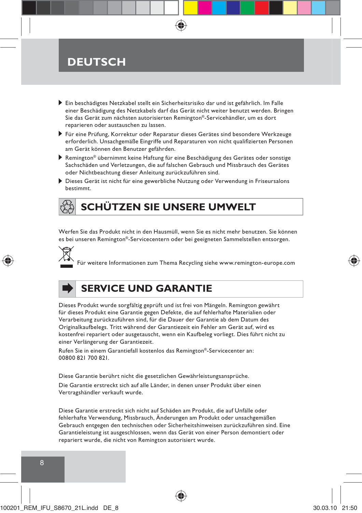## **DEUTSCH**

- Ein beschädigtes Netzkabel stellt ein Sicherheitsrisiko dar und ist gefährlich. Im Falle einer Beschädigung des Netzkabels darf das Gerät nicht weiter benutzt werden. Bringen Sie das Gerät zum nächsten autorisierten Remington®-Servicehändler, um es dort reparieren oder austauschen zu lassen.
- Für eine Prüfung, Korrektur oder Reparatur dieses Gerätes sind besondere Werkzeuge erforderlich. Unsachgemäße Eingriffe und Reparaturen von nicht qualifizierten Personen am Gerät können den Benutzer gefährden.
- Remington® übernimmt keine Haftung für eine Beschädigung des Gerätes oder sonstige Sachschäden und Verletzungen, die auf falschen Gebrauch und Missbrauch des Gerätes oder Nichtbeachtung dieser Anleitung zurückzuführen sind.
- Dieses Gerät ist nicht für eine gewerbliche Nutzung oder Verwendung in Friseursalons bestimmt.

## **SCHÜTZEN SIE UNSERE UMWELT**

Werfen Sie das Produkt nicht in den Hausmüll, wenn Sie es nicht mehr benutzen. Sie können es bei unseren Remington®-Servicecentern oder bei geeigneten Sammelstellen entsorgen.



Für weitere Informationen zum Thema Recycling siehe www.remington-europe.com



## **SERVICE UND GARANTIE**

Dieses Produkt wurde sorgfältig geprüft und ist frei von Mängeln. Remington gewährt für dieses Produkt eine Garantie gegen Defekte, die auf fehlerhafte Materialien oder Verarbeitung zurückzuführen sind, für die Dauer der Garantie ab dem Datum des Originalkaufbelegs. Tritt während der Garantiezeit ein Fehler am Gerät auf, wird es kostenfrei repariert oder ausgetauscht, wenn ein Kaufbeleg vorliegt. Dies führt nicht zu einer Verlängerung der Garantiezeit.

Rufen Sie in einem Garantiefall kostenlos das Remington®-Servicecenter an: 00800 821 700 821.

Diese Garantie berührt nicht die gesetzlichen Gewährleistungsansprüche.

Die Garantie erstreckt sich auf alle Länder, in denen unser Produkt über einen Vertragshändler verkauft wurde.

Diese Garantie erstreckt sich nicht auf Schäden am Produkt, die auf Unfälle oder fehlerhafte Verwendung, Missbrauch, Änderungen am Produkt oder unsachgemäßen Gebrauch entgegen den technischen oder Sicherheitshinweisen zurückzuführen sind. Eine Garantieleistung ist ausgeschlossen, wenn das Gerät von einer Person demontiert oder repariert wurde, die nicht von Remington autorisiert wurde.

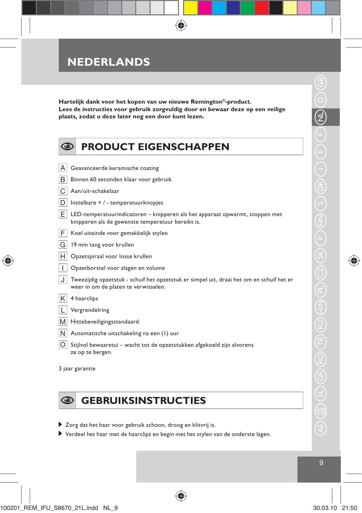**Hartelijk dank voor het kopen van uw nieuwe Remington®-product. Lees de instructies voor gebruik zorgvuldig door en bewaar deze op een veilige plaats, zodat u deze later nog een door kunt lezen.** 

⊕

| $\circledcirc$ | <b>PRODUCT EIGENSCHAPPEN</b>                                                                                                      |
|----------------|-----------------------------------------------------------------------------------------------------------------------------------|
|                |                                                                                                                                   |
| A              | Geavanceerde keramische coating                                                                                                   |
| в              | Binnen 60 seconden klaar voor gebruik                                                                                             |
| С              | Aan/uit-schakelaar                                                                                                                |
| D              | Instelbare + / - temperatuurknopjes                                                                                               |
| Е              | LED-temperatuurindicatoren - knipperen als het apparaat opwarmt, stoppen met<br>knipperen als de gewenste temperatuur bereikt is. |
| F              | Koel uiteinde voor gemakkelijk stylen                                                                                             |
| G              | 19 mm tang voor krullen                                                                                                           |
| Η              | Opzetspiraal voor losse krullen                                                                                                   |
| I              | Opzetborstel voor slagen en volume                                                                                                |
| J              | Tweezijdig opzetstuk - schuif het opzetstuk er simpel uit, draai het om en schuif het er<br>weer in om de platen te verwisselen.  |
| Κ              | 4 haarclips                                                                                                                       |
|                | Vergrendelring                                                                                                                    |
| M              | Hittebeveiligingsstandaard                                                                                                        |
| N              | Automatische uitschakeling na een (1) uur                                                                                         |
| O              | Stijlvol bewaaretui - wacht tot de opzetstukken afgekoeld zijn alvorens<br>ze op te bergen.                                       |
|                | 3 jaar garantie                                                                                                                   |

### **GEBRUIKSINSTRUCTIES**  $\circledcirc$

- Zorg dat het haar voor gebruik schoon, droog en klitvrij is.
- Verdeel het haar met de haarclips en begin met het stylen van de onderste lagen.

 $\bigoplus$ 

◈

♠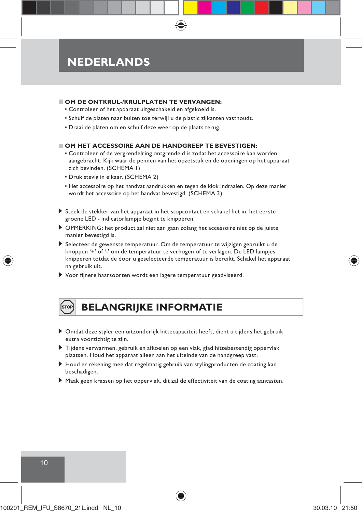## **NEDERLANDS**

### **COM DE ONTKRUL-/KRULPLATEN TE VERVANGEN:**

- Controleer of het apparaat uitgeschakeld en afgekoeld is.
- Schuif de platen naar buiten toe terwijl u de plastic zijkanten vasthoudt.
- Draai de platen om en schuif deze weer op de plaats terug.

### **OM HET ACCESSOIRE AAN DE HANDGREEP TE BEVESTIGEN:**

- Controleer of de vergrendelring ontgrendeld is zodat het accessoire kan worden aangebracht. Kijk waar de pennen van het opzetstuk en de openingen op het apparaat zich bevinden. (SCHEMA 1)
- Druk stevig in elkaar. (SCHEMA 2)
- Het accessoire op het handvat aandrukken en tegen de klok indraaien. Op deze manier wordt het accessoire op het handvat bevestigd. (SCHEMA 3)
- Steek de stekker van het apparaat in het stopcontact en schakel het in, het eerste groene LED - indicatorlampje begint te knipperen.
- OPMERKING: het product zal niet aan gaan zolang het accessoire niet op de juiste manier bevestigd is.
- Selecteer de gewenste temperatuur. Om de temperatuur te wijzigen gebruikt u de knoppen '+' of '-' om de temperatuur te verhogen of te verlagen. De LED lampjes knipperen totdat de door u geselecteerde temperatuur is bereikt. Schakel het apparaat na gebruik uit.
- Voor fijnere haarsoorten wordt een lagere temperatuur geadviseerd.



## **BELANGRIJKE INFORMATIE**

- Omdat deze styler een uitzonderlijk hittecapaciteit heeft, dient u tijdens het gebruik extra voorzichtig te zijn.
- Tijdens verwarmen, gebruik en afkoelen op een vlak, glad hittebestendig oppervlak plaatsen. Houd het apparaat alleen aan het uiteinde van de handgreep vast.
- Houd er rekening mee dat regelmatig gebruik van stylingproducten de coating kan beschadigen.
- Maak geen krassen op het oppervlak, dit zal de effectiviteit van de coating aantasten.





 $\bigcirc$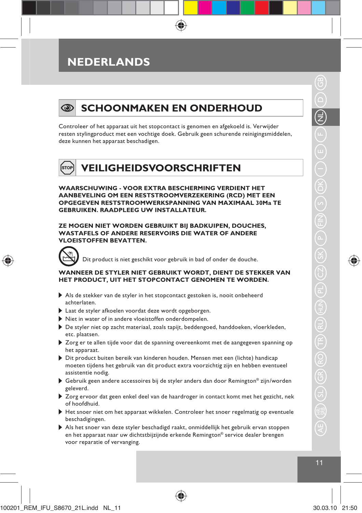## **NEDERLANDS**



## **SCHOONMAKEN EN ONDERHOUD**

Controleer of het apparaat uit het stopcontact is genomen en afgekoeld is. Verwijder resten stylingproduct met een vochtige doek. Gebruik geen schurende reinigingsmiddelen, deze kunnen het apparaat beschadigen.



**WAARSCHUWING - VOOR EXTRA BESCHERMING VERDIENT HET AANBEVELING OM EEN RESTSTROOMVERZEKERING (RCD) MET EEN OPGEGEVEN RESTSTROOMWERKSPANNING VAN MAXIMAAL 30Ma TE GEBRUIKEN. RAADPLEEG UW INSTALLATEUR.**

**ZE MOGEN NIET WORDEN GEBRUIKT BIJ BADKUIPEN, DOUCHES, WASTAFELS OF ANDERE RESERVOIRS DIE WATER OF ANDERE VLOEISTOFFEN BEVATTEN.**



Dit product is niet geschikt voor gebruik in bad of onder de douche.

**WANNEER DE STYLER NIET GEBRUIKT WORDT, DIENT DE STEKKER VAN HET PRODUCT, UIT HET STOPCONTACT GENOMEN TE WORDEN.**

- Als de stekker van de styler in het stopcontact gestoken is, nooit onbeheerd achterlaten.
- Laat de styler afkoelen voordat deze wordt opgeborgen.
- Niet in water of in andere vloeistoffen onderdompelen.
- De styler niet op zacht materiaal, zoals tapijt, beddengoed, handdoeken, vloerkleden, etc. plaatsen.
- Zorg er te allen tijde voor dat de spanning overeenkomt met de aangegeven spanning op het apparaat.
- Dit product buiten bereik van kinderen houden. Mensen met een (lichte) handicap moeten tijdens het gebruik van dit product extra voorzichtig zijn en hebben eventueel assistentie nodig.
- ▶ Gebruik geen andere accessoires bij de styler anders dan door Remington® zijn/worden geleverd.
- Zorg ervoor dat geen enkel deel van de haardroger in contact komt met het gezicht, nek of hoofdhuid.
- Het snoer niet om het apparaat wikkelen. Controleer het snoer regelmatig op eventuele beschadigingen.
- Als het snoer van deze styler beschadigd raakt, onmiddellijk het gebruik ervan stoppen en het apparaat naar uw dichtstbijzijnde erkende Remington® service dealer brengen voor reparatie of vervanging.

♠

D $\equiv$ 

DK

 $\stackrel{\textstyle >}{\textstyle \scriptstyle \pm\ }$ 

D

⊕

AE)  $\left( \frac{19}{180}\right)$  (Sr.) (GR) (RO)  $\left( \mathrm{RVB}\right)$  (RU) (FU)  $\left( \mathrm{PCB}\right)$  (P )  $\left( \mathrm{FNB}\right)$  (S)  $\left( \mathrm{PCB}\right)$  (F)  $\left( \mathrm{FPB}\right)$  (RU)  $\left( \mathrm{PCB}\right)$  (CR) (SV) (P )  $\left( \mathrm{FNB}\right)$  (S) (D) (S) (D) (F ) (F ) (N

RU

100201\_REM\_IFU\_S8670\_21L.indd NL\_11 30.03.10 21:50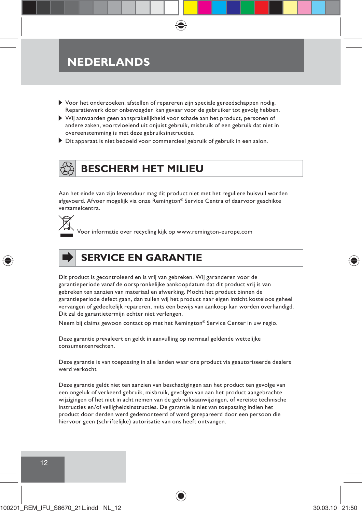## **NEDERLANDS**

- Voor het onderzoeken, afstellen of repareren zijn speciale gereedschappen nodig. Reparatiewerk door onbevoegden kan gevaar voor de gebruiker tot gevolg hebben.
- Wij aanvaarden geen aansprakelijkheid voor schade aan het product, personen of andere zaken, voortvloeiend uit onjuist gebruik, misbruik of een gebruik dat niet in overeenstemming is met deze gebruiksinstructies.
- Dit apparaat is niet bedoeld voor commercieel gebruik of gebruik in een salon.

## **BESCHERM HET MILIEU**

Aan het einde van zijn levensduur mag dit product niet met het reguliere huisvuil worden afgevoerd. Afvoer mogelijk via onze Remington® Service Centra of daarvoor geschikte verzamelcentra.



Voor informatie over recycling kijk op www.remington-europe.com



## **SERVICE EN GARANTIE**

Dit product is gecontroleerd en is vrij van gebreken. Wij garanderen voor de garantieperiode vanaf de oorspronkelijke aankoopdatum dat dit product vrij is van gebreken ten aanzien van materiaal en afwerking. Mocht het product binnen de garantieperiode defect gaan, dan zullen wij het product naar eigen inzicht kosteloos geheel vervangen of gedeeltelijk repareren, mits een bewijs van aankoop kan worden overhandigd. Dit zal de garantietermijn echter niet verlengen.

Neem bij claims gewoon contact op met het Remington® Service Center in uw regio.

Deze garantie prevaleert en geldt in aanvulling op normaal geldende wettelijke consumentenrechten.

Deze garantie is van toepassing in alle landen waar ons product via geautoriseerde dealers werd verkocht

Deze garantie geldt niet ten aanzien van beschadigingen aan het product ten gevolge van een ongeluk of verkeerd gebruik, misbruik, gevolgen van aan het product aangebrachte wijzigingen of het niet in acht nemen van de gebruiksaanwijzingen, of vereiste technische instructies en/of veiligheidsinstructies. De garantie is niet van toepassing indien het product door derden werd gedemonteerd of werd gerepareerd door een persoon die hiervoor geen (schriftelijke) autorisatie van ons heeft ontvangen.



12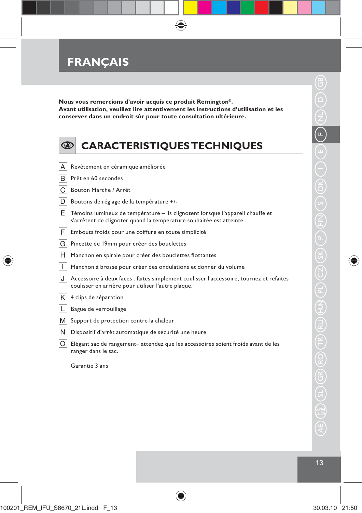

**Nous vous remercions d'avoir acquis ce produit Remington®. Avant utilisation, veuillez lire attentivement les instructions d'utilisation et les conserver dans un endroit sûr pour toute consultation ultérieure.**

 $\bigoplus$ 

| $\circledcirc$ | <b>CARACTERISTIQUES TECHNIQUES</b>                                                                                                                     |
|----------------|--------------------------------------------------------------------------------------------------------------------------------------------------------|
|                |                                                                                                                                                        |
| A              | Revêtement en céramique améliorée                                                                                                                      |
| в              | Prêt en 60 secondes                                                                                                                                    |
| С              | Bouton Marche / Arrêt                                                                                                                                  |
| D              | Boutons de réglage de la température +/-                                                                                                               |
| E.             | Témoins lumineux de température – ils clignotent lorsque l'appareil chauffe et<br>s'arrêtent de clignoter quand la température souhaitée est atteinte. |
| F              | Embouts froids pour une coiffure en toute simplicité                                                                                                   |
| G              | Pincette de 19mm pour créer des bouclettes                                                                                                             |
| н              | Manchon en spirale pour créer des bouclettes flottantes                                                                                                |
| T              | Manchon à brosse pour créer des ondulations et donner du volume                                                                                        |
| J              | Accessoire à deux faces : faites simplement coulisser l'accessoire, tournez et refaites<br>coulisser en arrière pour utiliser l'autre plaque.          |
| Κ              | 4 clips de séparation                                                                                                                                  |
| L              | Bague de verrouillage                                                                                                                                  |
| M              | Support de protection contre la chaleur                                                                                                                |
| N              | Dispositif d'arrêt automatique de sécurité une heure                                                                                                   |
| Ο              | Elégant sac de rangement-attendez que les accessoires soient froids avant de les<br>ranger dans le sac.                                                |

Garantie 3 ans

 $\bigoplus$ 

♠

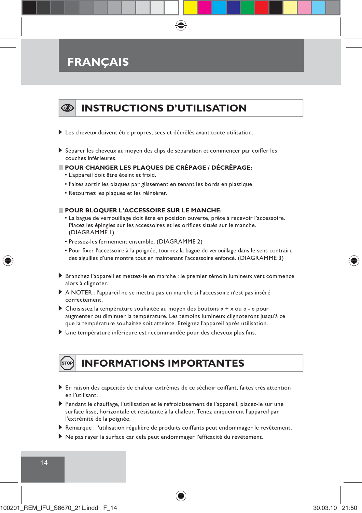## **FRANÇAIS**

## **INSTRUCTIONS D'UTILISATION**

- Les cheveux doivent être propres, secs et démêlés avant toute utilisation.
- Séparer les cheveux au moyen des clips de séparation et commencer par coiffer les couches inférieures.
- **POUR CHANGER LES PLAQUES DE CRÊPAGE / DÉCRÊPAGE:**
	- L'appareil doit être éteint et froid.
	- Faites sortir les plaques par glissement en tenant les bords en plastique.
	- Retournez les plaques et les réinsérer.

### **POUR BLOQUER L'ACCESSOIRE SUR LE MANCHE:**

- La bague de verrouillage doit être en position ouverte, prête à recevoir l'accessoire. Placez les épingles sur les accessoires et les orifices situés sur le manche. (DIAGRAMME 1)
- Pressez-les fermement ensemble. (DIAGRAMME 2)
- Pour fixer l'accessoire à la poignée, tournez la bague de verouillage dans le sens contraire des aiguilles d'une montre tout en maintenant l'accessoire enfoncé. (DIAGRAMME 3)
- Branchez l'appareil et mettez-le en marche : le premier témoin lumineux vert commence alors à clignoter.
- A NOTER : l'appareil ne se mettra pas en marche si l'accessoire n'est pas inséré correctement.
- Choisissez la température souhaitée au moyen des boutons « + » ou « » pour augmenter ou diminuer la température. Les témoins lumineux clignoteront jusqu'à ce que la température souhaitée soit atteinte. Eteignez l'appareil après utilisation.
- Une température inférieure est recommandée pour des cheveux plus fins.

## ,<br>STOF

## **INFORMATIONS IMPORTANTES**

- En raison des capacités de chaleur extrêmes de ce séchoir coiffant, faites très attention en l'utilisant.
- Pendant le chauffage, l'utilisation et le refroidissement de l'appareil, placez-le sur une surface lisse, horizontale et résistante à la chaleur. Tenez uniquement l'appareil par l'extrémité de la poignée.
- Remarque : l'utilisation régulière de produits coiffants peut endommager le revêtement.
- Ne pas rayer la surface car cela peut endommager l'efficacité du revêtement.

14

⊕

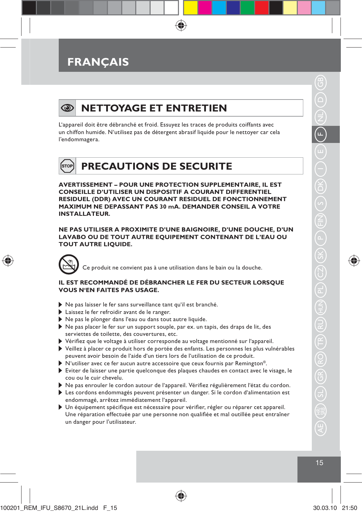## **FRANÇAIS**



⊕

## **NETTOYAGE ET ENTRETIEN**

L'appareil doit être débranché et froid. Essuyez les traces de produits coiffants avec un chiffon humide. N'utilisez pas de détergent abrasif liquide pour le nettoyer car cela l'endommagera.

### **PRECAUTIONS DE SECURITE** Ísтоғ

**AVERTISSEMENT – POUR UNE PROTECTION SUPPLEMENTAIRE, IL EST CONSEILLE D'UTILISER UN DISPOSITIF A COURANT DIFFERENTIEL RESIDUEL (DDR) AVEC UN COURANT RESIDUEL DE FONCTIONNEMENT MAXIMUM NE DEPASSANT PAS 30 mA. DEMANDER CONSEIL A VOTRE INSTALLATEUR.**

**NE PAS UTILISER A PROXIMITE D'UNE BAIGNOIRE, D'UNE DOUCHE, D'UN LAVABO OU DE TOUT AUTRE EQUIPEMENT CONTENANT DE L'EAU OU TOUT AUTRE LIQUIDE.**



### **IL EST RECOMMANDÉ DE DÉBRANCHER LE FER DU SECTEUR LORSQUE VOUS N'EN FAITES PAS USAGE.**

- Ne pas laisser le fer sans surveillance tant qu'il est branché.
- Laissez le fer refroidir avant de le ranger.
- Ne pas le plonger dans l'eau ou dans tout autre liquide.
- Ne pas placer le fer sur un support souple, par ex. un tapis, des draps de lit, des serviettes de toilette, des couvertures, etc.
- Vérifiez que le voltage à utiliser corresponde au voltage mentionné sur l'appareil.
- Veillez à placer ce produit hors de portée des enfants. Les personnes les plus vulnérables peuvent avoir besoin de l'aide d'un tiers lors de l'utilisation de ce produit.
- ▶ N'utiliser avec ce fer aucun autre accessoire que ceux fournis par Remington®.
- Eviter de laisser une partie quelconque des plaques chaudes en contact avec le visage, le cou ou le cuir chevelu.
- Ne pas enrouler le cordon autour de l'appareil. Vérifiez régulièrement l'état du cordon.
- Les cordons endommagés peuvent présenter un danger. Si le cordon d'alimentation est endommagé, arrêtez immédiatement l'appareil.
- Un équipement spécifique est nécessaire pour vérifier, régler ou réparer cet appareil. Une réparation effectuée par une personne non qualifiée et mal outillée peut entraîner un danger pour l'utilisateur.

♠

♠

15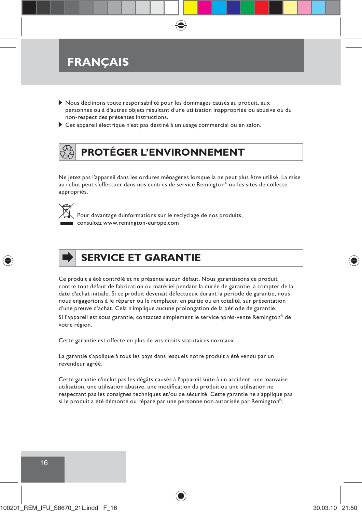## **FRANÇAIS**

- Nous déclinons toute responsabilité pour les dommages causés au produit, aux personnes ou à d'autres objets résultant d'une utilisation inappropriée ou abusive ou du non-respect des présentes instructions.
- Cet appareil électrique n'est pas destiné à un usage commercial ou en salon.

# **PROTÉGER L'ENVIRONNEMENT**

Ne jetez pas l'appareil dans les ordures ménagères lorsque la ne peut plus être utilisé. La mise au rebut peut s'effectuer dans nos centres de service Remington® ou les sites de collecte appropriés.



Pour davantage d>informations sur le reclyclage de nos produits, consultez www.remington-europe.com



## **SERVICE ET GARANTIE**



Si l'appareil est sous garantie, contactez simplement le service après-vente Remington® de votre région.

Cette garantie est offerte en plus de vos droits statutaires normaux.

La garantie s'applique à tous les pays dans lesquels notre produit a été vendu par un revendeur agréé.

Cette garantie n'inclut pas les dégâts causés à l'appareil suite à un accident, une mauvaise utilisation, une utilisation abusive, une modification du produit ou une utilisation ne respectant pas les consignes techniques et/ou de sécurité. Cette garantie ne s'applique pas si le produit a été démonté ou réparé par une personne non autorisée par Remington®.



16

₩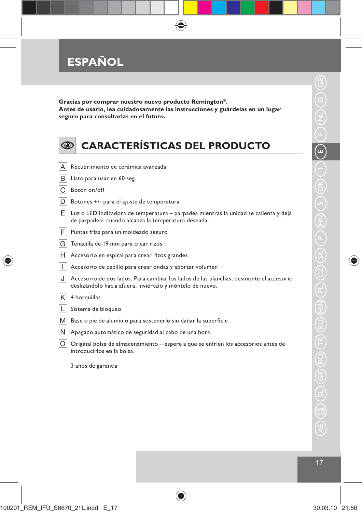

**Gracias por comprar nuestro nuevo producto Remington®. Antes de usarlo, lea cuidadosamente las instrucciones y guárdelas en un lugar seguro para consultarlas en el futuro.**

 $\bigoplus$ 

| Θ) | <b>CARACTERÍSTICAS DEL PRODUCTO</b>                                                                                                                |
|----|----------------------------------------------------------------------------------------------------------------------------------------------------|
|    |                                                                                                                                                    |
| A  | Recubrimiento de cerámica avanzada                                                                                                                 |
| в  | Listo para usar en 60 seg.                                                                                                                         |
| C  | Botón on/off                                                                                                                                       |
| D  | Botones +/- para el ajuste de temperatura                                                                                                          |
| E  | Luz o LED indicadora de temperatura - parpadea mientras la unidad se calienta y deja<br>de parpadear cuando alcanza la temperatura deseada.        |
| F  | Puntas frías para un moldeado seguro                                                                                                               |
| G  | Tenacilla de 19 mm para crear rizos                                                                                                                |
| н  | Accesorio en espiral para crear rizos grandes                                                                                                      |
|    | Accesorio de cepillo para crear ondas y aportar volumen                                                                                            |
| J  | Accesorio de dos lados: Para cambiar los lados de las planchas, desmonte el accesorio<br>deslizándolo hacia afuera, inviértalo y móntelo de nuevo. |
| Κ  | 4 horquillas                                                                                                                                       |
| L  | Sistema de bloqueo                                                                                                                                 |
| M  | Base o pie de aluminio para sostenerlo sin dañar la superficie                                                                                     |
| N  | Apagado automático de seguridad al cabo de una hora                                                                                                |
| O  | Original bolsa de almacenamiento – espere a que se enfríen los accesorios antes de<br>introducirlos en la bolsa.                                   |
|    | 3 años de garantía                                                                                                                                 |

 $\bigoplus$ 



◈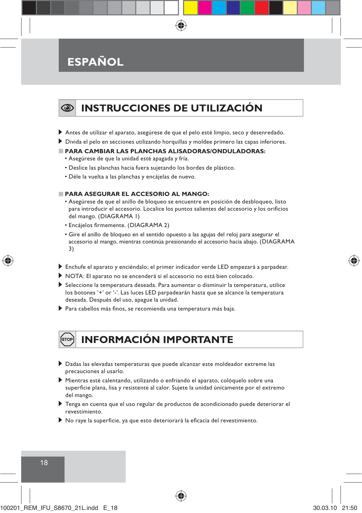## **ESPAÑOL**

## **INSTRUCCIONES DE UTILIZACIÓN**

- Antes de utilizar el aparato, asegúrese de que el pelo esté limpio, seco y desenredado.
- Divida el pelo en secciones utilizando horquillas y moldee primero las capas inferiores.

### **PARA CAMBIAR LAS PLANCHAS ALISADORAS/ONDULADORAS:**

- Asegúrese de que la unidad esté apagada y fría.
- Deslice las planchas hacia fuera sujetando los bordes de plástico.
- Déle la vuelta a las planchas y encájelas de nuevo.

### **PARA ASEGURAR EL ACCESORIO AL MANGO:**

- Asegúrese de que el anillo de bloqueo se encuentre en posición de desbloqueo, listo para introducir el accesorio. Localice los puntos salientes del accesorio y los orificios del mango. (DIAGRAMA 1)
- Encájelos firmemente. (DIAGRAMA 2)
- Gire el anillo de bloqueo en el sentido opuesto a las agujas del reloj para asegurar el accesorio al mango, mientras continúa presionando el accesorio hacia abajo. (DIAGRAMA 3)
- Enchufe el aparato y enciéndalo; el primer indicador verde LED empezará a parpadear.
- NOTA: El aparato no se encenderá si el accesorio no está bien colocado.
- Seleccione la temperatura deseada. Para aumentar o disminuir la temperatura, utilice los botones '+' or '-'. Las luces LED parpadearán hasta que se alcance la temperatura deseada. Después del uso, apague la unidad.
- Para cabellos más finos, se recomienda una temperatura más baja.

## **INFORMACIÓN IMPORTANTE**

- Dadas las elevadas temperaturas que puede alcanzar este moldeador extreme las precauciones al usarlo.
- Mientras esté calentando, utilizando o enfriando el aparato, colóquelo sobre una superficie plana, lisa y resistente al calor. Sujete la unidad únicamente por el extremo del mango.
- Tenga en cuenta que el uso regular de productos de acondicionado puede deteriorar el revestimiento.
- No raye la superficie, ya que esto deteriorará la eficacia del revestimiento.

.<br>STOL

18

⊕



♠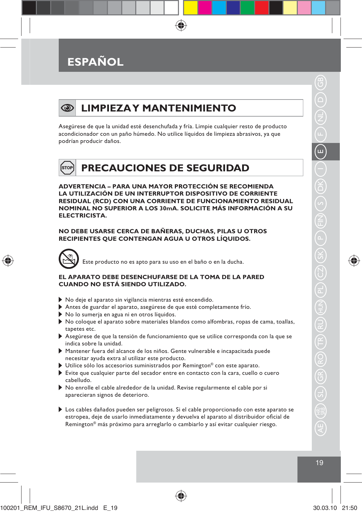## **ESPAÑOL**



Asegúrese de que la unidad esté desenchufada y fría. Limpie cualquier resto de producto acondicionador con un paño húmedo. No utilice líquidos de limpieza abrasivos, ya que podrían producir daños.

## **PRECAUCIONES DE SEGURIDAD**

**ADVERTENCIA – PARA UNA MAYOR PROTECCIÓN SE RECOMIENDA LA UTILIZACIÓN DE UN INTERRUPTOR DISPOSITIVO DE CORRIENTE RESIDUAL (RCD) CON UNA CORRIENTE DE FUNCIONAMIENTO RESIDUAL NOMINAL NO SUPERIOR A LOS 30mA. SOLICITE MÁS INFORMACIÓN A SU ELECTRICISTA.**

### **NO DEBE USARSE CERCA DE BAÑERAS, DUCHAS, PILAS U OTROS RECIPIENTES QUE CONTENGAN AGUA U OTROS LÍQUIDOS.**

Este producto no es apto para su uso en el baño o en la ducha.

### **EL APARATO DEBE DESENCHUFARSE DE LA TOMA DE LA PARED CUANDO NO ESTÁ SIENDO UTILIZADO.**

- No deje el aparato sin vigilancia mientras esté encendido.
- Antes de guardar el aparato, asegúrese de que esté completamente frío.
- No lo sumerja en agua ni en otros líquidos.
- No coloque el aparato sobre materiales blandos como alfombras, ropas de cama, toallas, tapetes etc.
- Asegúrese de que la tensión de funcionamiento que se utilice corresponda con la que se indica sobre la unidad.
- Mantener fuera del alcance de los niños. Gente vulnerable e incapacitada puede necesitar ayuda extra al utilizar este producto.
- $\blacktriangleright$  Utilice sólo los accesorios suministrados por Remington® con este aparato.
- Evite que cualquier parte del secador entre en contacto con la cara, cuello o cuero cabelludo.
- No enrolle el cable alrededor de la unidad. Revise regularmente el cable por si aparecieran signos de deterioro.
- Los cables dañados pueden ser peligrosos. Si el cable proporcionado con este aparato se estropea, deje de usarlo inmediatamente y devuelva el aparato al distribuidor oficial de Remington® más próximo para arreglarlo o cambiarlo y así evitar cualquier riesgo.

♠

⊕

19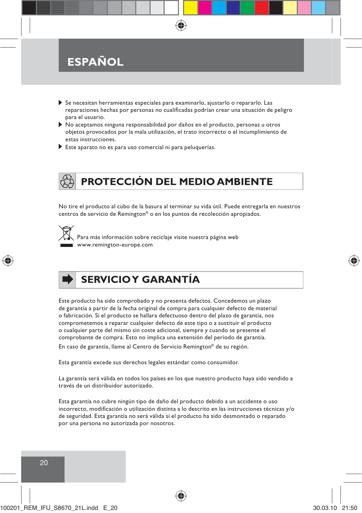## **ESPAÑOL**

- $\triangleright$  Se necesitan herramientas especiales para examinarlo, ajustarlo o repararlo. Las reparaciones hechas por personas no cualificadas podrían crear una situación de peligro para el usuario.
- No aceptamos ninguna responsabilidad por daños en el producto, personas u otros objetos provocados por la mala utilización, el trato incorrecto o el incumplimiento de estas instrucciones.
- Este aparato no es para uso comercial ni para peluquerías.

## **PROTECCIÓN DEL MEDIO AMBIENTE**

No tire el producto al cubo de la basura al terminar su vida útil. Puede entregarla en nuestros centros de servicio de Remington® o en los puntos de recolección apropiados.



 Para más información sobre reciclaje visite nuestra página web www.remington-europe.com

## **SERVICIO Y GARANTÍA**

Este producto ha sido comprobado y no presenta defectos. Concedemos un plazo de garantía a partir de la fecha original de compra para cualquier defecto de material o fabricación. Si el producto se hallara defectuoso dentro del plazo de garantía, nos comprometemos a reparar cualquier defecto de este tipo o a sustituir el producto o cualquier parte del mismo sin coste adicional, siempre y cuando se presente el comprobante de compra. Esto no implica una extensión del período de garantía. En caso de garantía, llame al Centro de Servicio Remington® de su región.

Esta garantía excede sus derechos legales estándar como consumidor.

La garantía será válida en todos los países en los que nuestro producto haya sido vendido a través de un distribuidor autorizado.

Esta garantía no cubre ningún tipo de daño del producto debido a un accidente o uso incorrecto, modificación o utilización distinta a lo descrito en las instrucciones técnicas y/o de seguridad. Esta garantía no será válida si el producto ha sido desmontado o reparado por una persona no autorizada por nosotros.

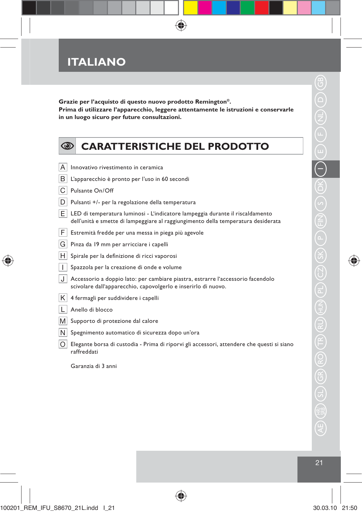| <b>ITALIANC</b> |
|-----------------|
|-----------------|

**Grazie per l'acquisto di questo nuovo prodotto Remington®. Prima di utilizzare l'apparecchio, leggere attentamente le istruzioni e conservarle in un luogo sicuro per future consultazioni.**

 $\bigoplus$ 

| $\circledcirc$ | <b>CARATTERISTICHE DEL PRODOTTO</b>                                                                                                                                |
|----------------|--------------------------------------------------------------------------------------------------------------------------------------------------------------------|
|                |                                                                                                                                                                    |
| Α              | Innovativo rivestimento in ceramica                                                                                                                                |
| В              | L'apparecchio è pronto per l'uso in 60 secondi                                                                                                                     |
| С              | Pulsante On/Off                                                                                                                                                    |
| D              | Pulsanti +/- per la regolazione della temperatura                                                                                                                  |
| E.             | LED di temperatura luminosi - L'indicatore lampeggia durante il riscaldamento<br>dell'unità e smette di lampeggiare al raggiungimento della temperatura desiderata |
| F              | Estremità fredde per una messa in piega più agevole                                                                                                                |
| G              | Pinza da 19 mm per arricciare i capelli                                                                                                                            |
| Η              | Spirale per la definizione di ricci vaporosi                                                                                                                       |
| $\mathbf{I}$   | Spazzola per la creazione di onde e volume                                                                                                                         |
| J              | Accessorio a doppio lato: per cambiare piastra, estrarre l'accessorio facendolo<br>scivolare dall'apparecchio, capovolgerlo e inserirlo di nuovo.                  |
| Κ              | 4 fermagli per suddividere i capelli                                                                                                                               |
| L              | Anello di blocco                                                                                                                                                   |
| M              | Supporto di protezione dal calore                                                                                                                                  |
| N              | Spegnimento automatico di sicurezza dopo un'ora                                                                                                                    |
| O              | Elegante borsa di custodia - Prima di riporvi gli accessori, attendere che questi si siano<br>raffreddati                                                          |

Garanzia di 3 anni

 $\bigoplus$ 

 $\overline{z}$ 

21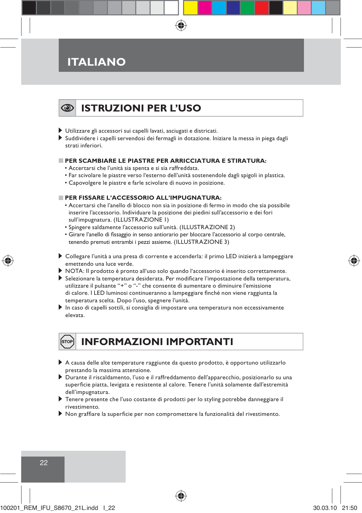## **ITALIANO**

### $\circledcirc$ **ISTRUZIONI PER L'USO**

- Utilizzare gli accessori sui capelli lavati, asciugati e districati.
- Suddividere i capelli servendosi dei fermagli in dotazione. Iniziare la messa in piega dagli strati inferiori.

### **PER SCAMBIARE LE PIASTRE PER ARRICCIATURA E STIRATURA:**

- Accertarsi che l'unità sia spenta e si sia raffreddata.
- Far scivolare le piastre verso l'esterno dell'unità sostenendole dagli spigoli in plastica.
- Capovolgere le piastre e farle scivolare di nuovo in posizione.

### **PER FISSARE L'ACCESSORIO ALL'IMPUGNATURA:**

- Accertarsi che l'anello di blocco non sia in posizione di fermo in modo che sia possibile inserire l'accessorio. Individuare la posizione dei piedini sull'accessorio e dei fori sull'impugnatura. (ILLUSTRAZIONE 1)
- Spingere saldamente l'accessorio sull'unità. (ILLUSTRAZIONE 2)
- Girare l'anello di fissaggio in senso antiorario per bloccare l'accessorio al corpo centrale, tenendo premuti entrambi i pezzi assieme. (ILLUSTRAZIONE 3)
- Collegare l'unità a una presa di corrente e accenderla: il primo LED inizierà a lampeggiare emettendo una luce verde.
- NOTA: Il prodotto è pronto all'uso solo quando l'accessorio è inserito correttamente.
- Selezionare la temperatura desiderata. Per modificare l'impostazione della temperatura, utilizzare il pulsante "+" o "-" che consente di aumentare o diminuire l'emissione di calore. I LED luminosi continueranno a lampeggiare finché non viene raggiunta la temperatura scelta. Dopo l'uso, spegnere l'unità.
- In caso di capelli sottili, si consiglia di impostare una temperatura non eccessivamente elevata.

₩

## **INFORMAZIONI IMPORTANTI**

- A causa delle alte temperature raggiunte da questo prodotto, è opportuno utilizzarlo prestando la massima attenzione.
- Durante il riscaldamento, l'uso e il raffreddamento dell'apparecchio, posizionarlo su una superficie piatta, levigata e resistente al calore. Tenere l'unità solamente dall'estremità dell'impugnatura.
- Tenere presente che l'uso costante di prodotti per lo styling potrebbe danneggiare il rivestimento.
- Non graffiare la superficie per non compromettere la funzionalità del rivestimento.



22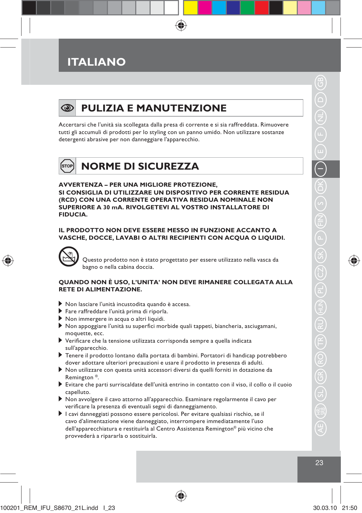## **ITALIANO**



## **PULIZIA E MANUTENZIONE**

Accertarsi che l'unità sia scollegata dalla presa di corrente e si sia raffreddata. Rimuovere tutti gli accumuli di prodotti per lo styling con un panno umido. Non utilizzare sostanze detergenti abrasive per non danneggiare l'apparecchio.

# **NORME DI SICUREZZA**

**AVVERTENZA – PER UNA MIGLIORE PROTEZIONE, SI CONSIGLIA DI UTILIZZARE UN DISPOSITIVO PER CORRENTE RESIDUA (RCD) CON UNA CORRENTE OPERATIVA RESIDUA NOMINALE NON SUPERIORE A 30 mA. RIVOLGETEVI AL VOSTRO INSTALLATORE DI FIDUCIA.**

### **IL PRODOTTO NON DEVE ESSERE MESSO IN FUNZIONE ACCANTO A VASCHE, DOCCE, LAVABI O ALTRI RECIPIENTI CON ACQUA O LIQUIDI.**



⇔

 Questo prodotto non è stato progettato per essere utilizzato nella vasca da bagno o nella cabina doccia.

### **QUANDO NON È USO, L'UNITA' NON DEVE RIMANERE COLLEGATA ALLA RETE DI ALIMENTAZIONE.**

- Non lasciare l'unità incustodita quando è accesa.
- Fare raffreddare l'unità prima di riporla.
- Non immergere in acqua o altri liquidi.
- Non appoggiare l'unità su superfici morbide quali tappeti, biancheria, asciugamani, moquette, ecc.
- Verificare che la tensione utilizzata corrisponda sempre a quella indicata sull'apparecchio.
- Tenere il prodotto lontano dalla portata di bambini. Portatori di handicap potrebbero dover adottare ulteriori precauzioni e usare il prodotto in presenza di adulti.
- Non utilizzare con questa unità accessori diversi da quelli forniti in dotazione da Remington ®.
- Evitare che parti surriscaldate dell'unità entrino in contatto con il viso, il collo o il cuoio capelluto.

♠

- Non avvolgere il cavo attorno all'apparecchio. Esaminare regolarmente il cavo per verificare la presenza di eventuali segni di danneggiamento.
- I cavi danneggiati possono essere pericolosi. Per evitare qualsiasi rischio, se il cavo d'alimentazione viene danneggiato, interrompere immediatamente l'uso dell'apparecchiatura e restituirla al Centro Assistenza Remington® più vicino che provvederà a ripararla o sostituirla.

♠

23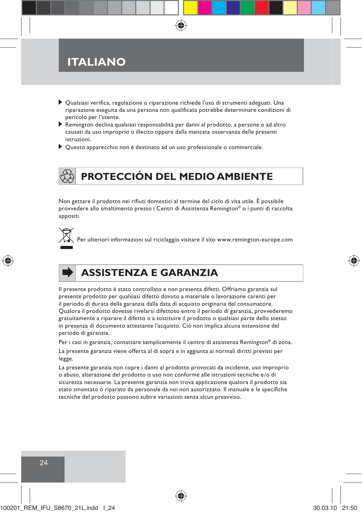## **ITALIANO**

- $\blacktriangleright$  Qualsiasi verifica, regolazione o riparazione richiede l'uso di strumenti adeguati. Una riparazione eseguita da una persona non qualificata potrebbe determinare condizioni di pericolo per l'utente.
- Remington declina qualsiasi responsabilità per danni al prodotto, a persone o ad altro causati da uso improprio o illecito oppure dalla mancata osservanza delle presenti istruzioni.
- Questo apparecchio non è destinato ad un uso professionale o commerciale.

## **PROTECCIÓN DEL MEDIO AMBIENTE**

Non gettare il prodotto nei rifiuti domestici al termine del ciclo di vita utile. È possibile provvedere allo smaltimento presso i Centri di Assistenza Remington® o i punti di raccolta appositi.



Per ulteriori informazioni sul riciclaggio visitare il sito www.remington-europe.com



## **ASSISTENZA E GARANZIA**

Il presente prodotto è stato controllato e non presenta difetti. Offriamo garanzia sul presente prodotto per qualsiasi difetto dovuto a materiale o lavorazione carenti per il periodo di durata della garanzia dalla data di acquisto originaria del consumatore. Qualora il prodotto dovesse rivelarsi difettoso entro il periodo di garanzia, provvederemo gratuitamente a riparare il difetto o a sostituire il prodotto o qualsiasi parte dello stesso in presenza di documento attestante l'acquisto. Ciò non implica alcuna estensione del periodo di garanzia.

Per i casi in garanzia, contattare semplicemente il centro di assistenza Remington® di zona.

La presente garanzia viene offerta al di sopra e in aggiunta ai normali diritti previsti per legge.

La presente garanzia non copre i danni al prodotto provocati da incidente, uso improprio o abuso, alterazione del prodotto o uso non conforme alle istruzioni tecniche e/o di sicurezza necessarie. La presente garanzia non trova applicazione qualora il prodotto sia stato smontato o riparato da personale da noi non autorizzato. Il manuale e le specifiche tecniche del prodotto possono subire variazioni senza alcun preavviso.



 $24$ 

₩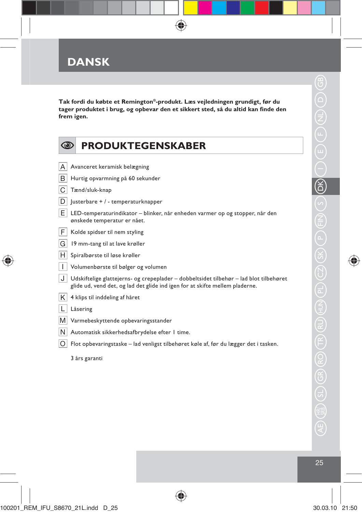

**Tak fordi du købte et Remington®-produkt. Læs vejledningen grundigt, før du tager produktet i brug, og opbevar den et sikkert sted, så du altid kan finde den frem igen.**

 $\bigoplus$ 

| ☜ | <b>PRODUKTEGENSKABER</b>                                                                                                                                               |
|---|------------------------------------------------------------------------------------------------------------------------------------------------------------------------|
| Α | Avanceret keramisk belægning                                                                                                                                           |
| В | Hurtig opvarmning på 60 sekunder                                                                                                                                       |
| С | Tænd/sluk-knap                                                                                                                                                         |
| D | Justerbare + / - temperaturknapper                                                                                                                                     |
| Е | LED-temperaturindikator - blinker, når enheden varmer op og stopper, når den<br>ønskede temperatur er nået.                                                            |
| F | Kolde spidser til nem styling                                                                                                                                          |
| G | 19 mm-tang til at lave krøller                                                                                                                                         |
| Η | Spiralbørste til løse krøller                                                                                                                                          |
| ı | Volumenbørste til bølger og volumen                                                                                                                                    |
| J | Udskiftelige glattejerns- og crepeplader - dobbeltsidet tilbehør - lad blot tilbehøret<br>glide ud, vend det, og lad det glide ind igen for at skifte mellem pladerne. |
| Κ | 4 klips til inddeling af håret                                                                                                                                         |
| L | Låsering                                                                                                                                                               |
| M | Varmebeskyttende opbevaringsstander                                                                                                                                    |
| N | Automatisk sikkerhedsafbrydelse efter I time.                                                                                                                          |
| O | Flot opbevaringstaske – lad venligst tilbehøret køle af, før du lægger det i tasken.                                                                                   |
|   | 3 års garanti                                                                                                                                                          |

 $\bigoplus$ 

 $\bigoplus$ 

 $\bigoplus$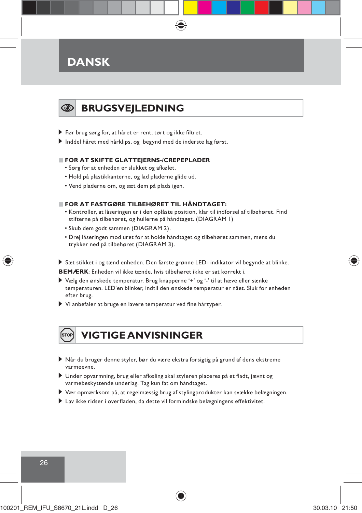## **DANSK**

## **BRUGSVEJLEDNING**

- Før brug sørg for, at håret er rent, tørt og ikke filtret.
- Inddel håret med hårklips, og begynd med de inderste lag først.

### **FOR AT SKIFTE GLATTEJERNS-/CREPEPLADER**

- Sørg for at enheden er slukket og afkølet.
- Hold på plastikkanterne, og lad pladerne glide ud.
- Vend pladerne om, og sæt dem på plads igen.

### **FOR AT FASTGØRE TILBEHØRET TIL HÅNDTAGET:**

- Kontroller, at låseringen er i den oplåste position, klar til indførsel af tilbehøret. Find stifterne på tilbehøret, og hullerne på håndtaget. (DIAGRAM 1)
- Skub dem godt sammen (DIAGRAM 2).
- Drej låseringen mod uret for at holde håndtaget og tilbehøret sammen, mens du trykker ned på tilbehøret (DIAGRAM 3).

Sæt stikket i og tænd enheden. Den første grønne LED- indikator vil begynde at blinke.

**BEMÆRK**: Enheden vil ikke tænde, hvis tilbehøret ikke er sat korrekt i.

- Vælg den ønskede temperatur. Brug knapperne '+' og '-' til at hæve eller sænke temperaturen. LED'en blinker, indtil den ønskede temperatur er nået. Sluk for enheden efter brug.
- Vi anbefaler at bruge en lavere temperatur ved fine hårtyper.

⊕

## **VIGTIGE ANVISNINGER**

- Når du bruger denne styler, bør du være ekstra forsigtig på grund af dens ekstreme varmeevne.
- Under opvarmning, brug eller afkøling skal styleren placeres på et fladt, jævnt og varmebeskyttende underlag. Tag kun fat om håndtaget.
- Vær opmærksom på, at regelmæssig brug af stylingprodukter kan svække belægningen.
- Lav ikke ridser i overfladen, da dette vil formindske belægningens effektivitet.





 $\clubsuit$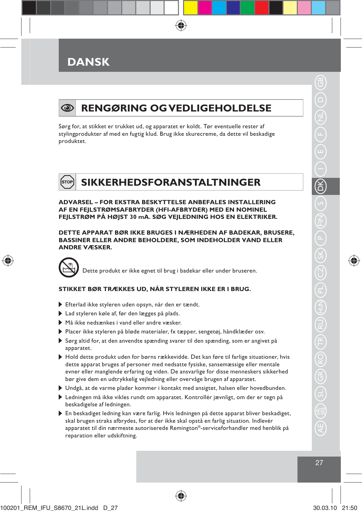## **DANSK**



Ísтоғ

⊕

## **RENGØRING OG VEDLIGEHOLDELSE**

Sørg for, at stikket er trukket ud, og apparatet er koldt. Tør eventuelle rester af stylingprodukter af med en fugtig klud. Brug ikke skurecreme, da dette vil beskadige produktet.

## **SIKKERHEDSFORANSTALTNINGER**

**ADVARSEL – FOR EKSTRA BESKYTTELSE ANBEFALES INSTALLERING AF EN FEJLSTRØMSAFBRYDER (HFI-AFBRYDER) MED EN NOMINEL FEJLSTRØM PÅ HØJST 30 mA. SØG VEJLEDNING HOS EN ELEKTRIKER.**

**DETTE APPARAT BØR IKKE BRUGES I NÆRHEDEN AF BADEKAR, BRUSERE, BASSINER ELLER ANDRE BEHOLDERE, SOM INDEHOLDER VAND ELLER ANDRE VÆSKER.**

Dette produkt er ikke egnet til brug i badekar eller under bruseren.

### **STIKKET BØR TRÆKKES UD, NÅR STYLEREN IKKE ER I BRUG.**

- Efterlad ikke styleren uden opsyn, når den er tændt.
- Lad styleren køle af, før den lægges på plads.
- Må ikke nedsænkes i vand eller andre væsker.
- Placer ikke styleren på bløde materialer, fx tæpper, sengetøj, håndklæder osv.
- Sørg altid for, at den anvendte spænding svarer til den spænding, som er angivet på apparatet.
- Hold dette produkt uden for børns rækkevidde. Det kan føre til farlige situationer, hvis dette apparat bruges af personer med nedsatte fysiske, sansemæssige eller mentale evner eller manglende erfaring og viden. De ansvarlige for disse menneskers sikkerhed bør give dem en udtrykkelig vejledning eller overvåge brugen af apparatet.
- Undgå, at de varme plader kommer i kontakt med ansigtet, halsen eller hovedbunden.
- Ledningen må ikke vikles rundt om apparatet. Kontrollér jævnligt, om der er tegn på beskadigelse af ledningen.
- En beskadiget ledning kan være farlig. Hvis ledningen på dette apparat bliver beskadiget, skal brugen straks afbrydes, for at der ikke skal opstå en farlig situation. Indlevér apparatet til din nærmeste autoriserede Remington®-serviceforhandler med henblik på reparation eller udskiftning.

 $\overline{z}$ 

ඳි

 $\stackrel{\textstyle >}{\textstyle \scriptstyle \pm\ }$ 

D

♠

RU AE) (\$1) (GR) (GR) (FR) (FU) (HN) (PL) (CZ) (SK) (P) (FIN) ( \$) (D

♠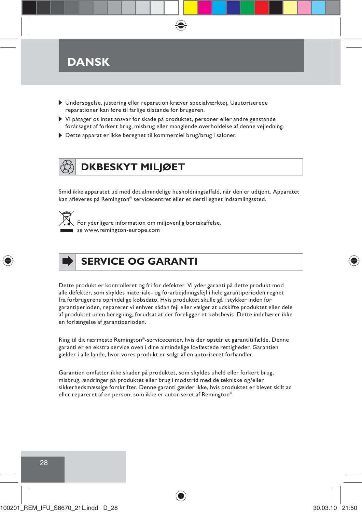

- Undersøgelse, justering eller reparation kræver specialværktøj. Uautoriserede reparationer kan føre til farlige tilstande for brugeren.
- Vi påtager os intet ansvar for skade på produktet, personer eller andre genstande forårsaget af forkert brug, misbrug eller manglende overholdelse af denne vejledning.
- Dette apparat er ikke beregnet til kommerciel brug/brug i saloner.

## **DK BESKYT MILJØET**

Smid ikke apparatet ud med det almindelige husholdningsaffald, når den er udtjent. Apparatet kan afleveres på Remington® servicecentret eller et dertil egnet indsamlingssted.



 For yderligere information om miljøvenlig bortskaffelse, se www.remington-europe.com

## **SERVICE OG GARANTI**

Dette produkt er kontrolleret og fri for defekter. Vi yder garanti på dette produkt mod alle defekter, som skyldes materiale- og forarbejdningsfejl i hele garantiperioden regnet fra forbrugerens oprindelige købsdato. Hvis produktet skulle gå i stykker inden for garantiperioden, reparerer vi enhver sådan fejl eller vælger at udskifte produktet eller dele af produktet uden beregning, forudsat at der foreligger et købsbevis. Dette indebærer ikke en forlængelse af garantiperioden.

Ring til dit nærmeste Remington®-servicecenter, hvis der opstår et garantitilfælde. Denne garanti er en ekstra service oven i dine almindelige lovfæstede rettigheder. Garantien gælder i alle lande, hvor vores produkt er solgt af en autoriseret forhandler.

Garantien omfatter ikke skader på produktet, som skyldes uheld eller forkert brug, misbrug, ændringer på produktet eller brug i modstrid med de tekniske og/eller sikkerhedsmæssige forskrifter. Denne garanti gælder ikke, hvis produktet er blevet skilt ad eller repareret af en person, som ikke er autoriseret af Remington®.



28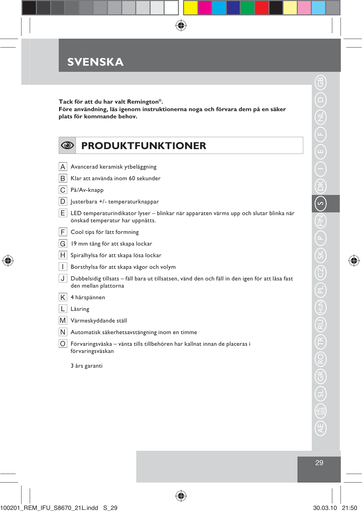**Tack för att du har valt Remington®. Före användning, läs igenom instruktionerna noga och förvara dem på en säker plats för kommande behov.**

 $\bigoplus$ 

| $\circledcirc$ | <b>PRODUKTFUNKTIONER</b>                                                                                                 |
|----------------|--------------------------------------------------------------------------------------------------------------------------|
| Α              | Avancerad keramisk ytbeläggning                                                                                          |
| B              | Klar att använda inom 60 sekunder                                                                                        |
| С              | På/Av-knapp                                                                                                              |
| D              | Justerbara +/- temperaturknappar                                                                                         |
| E              | LED temperaturindikator lyser - blinkar när apparaten värms upp och slutar blinka när<br>önskad temperatur har uppnåtts. |
| F              | Cool tips för lätt formning                                                                                              |
| G              | 19 mm tång för att skapa lockar                                                                                          |
| н              | Spiralhylsa för att skapa lösa lockar                                                                                    |
| $\overline{1}$ | Borsthylsa för att skapa vågor och volym                                                                                 |
| J              | Dubbelsidig tillsats – fäll bara ut tillsatsen, vänd den och fäll in den igen för att låsa fast<br>den mellan plattorna  |
| Κ              | 4 hårspännen                                                                                                             |
| L              | Låsring                                                                                                                  |
| M              | Värmeskyddande ställ                                                                                                     |
| N              | Automatisk säkerhetsavstängning inom en timme                                                                            |
| O              | Förvaringsväska – vänta tills tillbehören har kallnat innan de placeras i<br>förvaringsväskan                            |
|                | 3 års garanti                                                                                                            |

 $\bigoplus$ 

29

 $\bigoplus$ 

 $\bigoplus$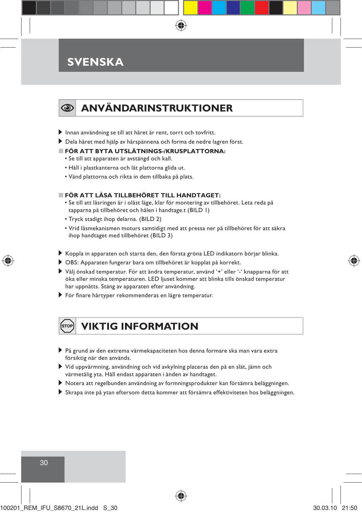## **ANVÄNDARINSTRUKTIONER**

- Innan användning se till att håret är rent, torrt och tovfritt.
- Dela håret med hjälp av hårspännena och forma de nedre lagren först.

### **FÖR ATT BYTA UTSLÄTNINGS-/KRUSPLATTORNA:**

- Se till att apparaten är avstängd och kall.
- Håll i plastkanterna och låt plattorna glida ut.
- Vänd plattorna och rikta in dem tillbaka på plats.

### **FÖR ATT LÅSA TILLBEHÖRET TILL HANDTAGET:**

- Se till att låsringen är i olåst läge, klar för montering av tillbehöret. Leta reda på tapparna på tillbehöret och hålen i handtage.t (BILD 1)
- Tryck stadigt ihop delarna. (BILD 2)
- Vrid låsmekanismen moturs samtidigt med att pressa ner på tillbehöret för att säkra ihop handtaget med tillbehöret (BILD 3)
- Koppla in apparaten och starta den, den första gröna LED indikatorn börjar blinka.
- OBS: Apparaten fungerar bara om tillbehöret är kopplat på korrekt.
- Välj önskad temperatur. För att ändra temperatur, använd '+' eller '-' knapparna för att öka eller minska temperaturen. LED ljuset kommer att blinka tills önskad temperatur har uppnåtts. Stäng av apparaten efter användning.
- För finare hårtyper rekommenderas en lägre temperatur.

₩

## **VIKTIG INFORMATION**

- På grund av den extrema värmekapaciteten hos denna formare ska man vara extra försiktig när den används.
- Vid uppvärmning, användning och vid avkylning placeras den på en slät, jämn och värmetålig yta. Håll endast apparaten i änden av handtaget.
- Notera att regelbunden användning av formningsprodukter kan försämra beläggningen.
- Skrapa inte på ytan eftersom detta kommer att försämra effektiviteten hos beläggningen.



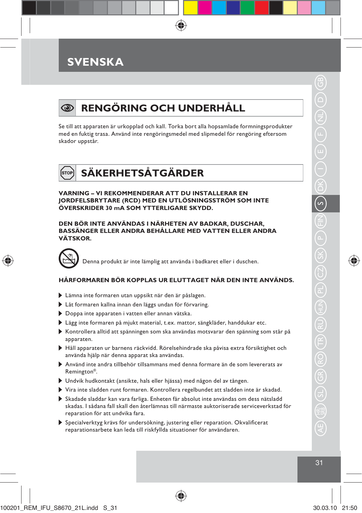

Se till att apparaten är urkopplad och kall. Torka bort alla hopsamlade formningsprodukter med en fuktig trasa. Använd inte rengöringsmedel med slipmedel för rengöring eftersom skador uppstår.

# **SÄKERHETSÅTGÄRDER**

**VARNING – VI REKOMMENDERAR ATT DU INSTALLERAR EN JORDFELSBRYTARE (RCD) MED EN UTLÖSNINGSSTRÖM SOM INTE ÖVERSKRIDER 30 mA SOM YTTERLIGARE SKYDD.**

**DEN BÖR INTE ANVÄNDAS I NÄRHETEN AV BADKAR, DUSCHAR, BASSÄNGER ELLER ANDRA BEHÅLLARE MED VATTEN ELLER ANDRA VÄTSKOR.**

Denna produkt är inte lämplig att använda i badkaret eller i duschen.

### **HÅRFORMAREN BÖR KOPPLAS UR ELUTTAGET NÄR DEN INTE ANVÄNDS.**

- Lämna inte formaren utan uppsikt när den är påslagen.
- Låt formaren kallna innan den läggs undan för förvaring.
- Doppa inte apparaten i vatten eller annan vätska.
- Lägg inte formaren på mjukt material, t.ex. mattor, sängkläder, handdukar etc.
- Kontrollera alltid att spänningen som ska användas motsvarar den spänning som står på apparaten.
- Håll apparaten ur barnens räckvidd. Rörelsehindrade ska påvisa extra försiktighet och använda hjälp när denna apparat ska användas.
- Använd inte andra tillbehör tillsammans med denna formare än de som levererats av Remington®.
- Undvik hudkontakt (ansikte, hals eller hjässa) med någon del av tången.
- Vira inte sladden runt formaren. Kontrollera regelbundet att sladden inte är skadad.
- Skadade sladdar kan vara farliga. Enheten får absolut inte användas om dess nätsladd skadas. I sådana fall skall den återlämnas till närmaste auktoriserade serviceverkstad för reparation för att undvika fara.

♠

 Specialverktyg krävs för undersökning, justering eller reparation. Okvalificerat reparationsarbete kan leda till riskfyllda situationer för användaren.

◈

31

⇔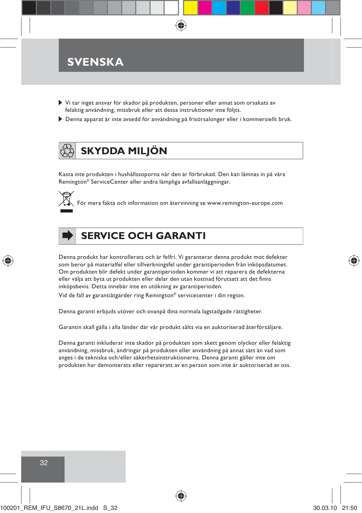- Vi tar inget ansvar för skador på produkten, personer eller annat som orsakats av felaktig användning, missbruk eller att dessa instruktioner inte följts.
- Denna apparat är inte avsedd för användning på frisörsalonger eller i kommersiellt bruk.

# **SKYDDA MILJÖN**

Kasta inte produkten i hushållssoporna när den är förbrukad. Den kan lämnas in på våra Remington® ServiceCenter eller andra lämpliga avfallsanläggningar.



För mera fakta och information om återvinning se www.remington-europe.com



## **SERVICE OCH GARANTI**

Denna produkt har kontrollerats och är felfri. Vi garanterar denna produkt mot defekter som beror på materialfel eller tillverkningsfel under garantiperioden från inköpsdatumet. Om produkten blir defekt under garantiperioden kommer vi att reparera de defekterna eller välja att byta ut produkten eller delar den utan kostnad förutsatt att det finns inköpsbevis. Detta innebär inte en utökning av garantiperioden.

Vid de fall av garantiåtgärder ring Remington® servicecenter i din region.

Denna garanti erbjuds utöver och ovanpå dina normala lagstadgade rättigheter.

Garantin skall gälla i alla länder där vår produkt sålts via en auktoriserad återförsäljare.

Denna garanti inkluderar inte skador på produkten som skett genom olyckor eller felaktig användning, missbruk, ändringar på produkten eller användning på annat sätt än vad som anges i de tekniska och/eller säkerhetsinstruktionerna. Denna garanti gäller inte om produkten har demonterats eller reparerats av en person som inte är auktoriserad av oss.





₩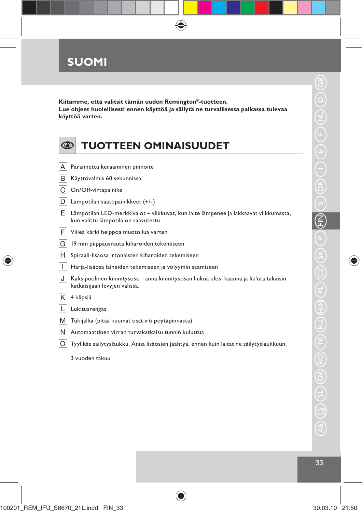

**Kiitämme, että valitsit tämän uuden Remington®-tuotteen. Lue ohjeet huolellisesti ennen käyttöä ja säilytä ne turvallisessa paikassa tulevaa käyttöä varten.**

 $\bigoplus$ 

| $\circledcirc$ | <b>TUOTTEEN OMINAISUUDET</b>                                                                                                 |
|----------------|------------------------------------------------------------------------------------------------------------------------------|
|                |                                                                                                                              |
| Α              | Parannettu keraaminen pinnoite                                                                                               |
| В              | Käyttövalmis 60 sekunnissa                                                                                                   |
| C              | On/Off-virtapainike                                                                                                          |
| D              | Lämpötilan säätöpainikkeet (+/-)                                                                                             |
| E.             | Lämpötilan LED-merkkivalot - vilkkuvat, kun laite lämpenee ja lakkaavat vilkkumasta,<br>kun valittu lämpötila on saavutettu. |
| F              | Viileä kärki helppoa muotoilua varten                                                                                        |
| G              | 19 mm piippausrauta kiharoiden tekemiseen                                                                                    |
| H              | Spiraali-lisäosa irtonaisten kiharoiden tekemiseen                                                                           |
| L              | Harja-lisäosa laineiden tekemiseen ja volyymin saamiseen                                                                     |
| J              | Kaksipuolinen kiinnitysosa – anna kiinnitysosan liukua ulos, käännä ja liuʻuta takaisin<br>katkaisijaan levyjen välissä.     |
| Κ              | 4 klipsiä                                                                                                                    |
| L              | Lukitusrengas                                                                                                                |
| M              | Tukijalka (pitää kuumat osat irti pöytäpinnasta)                                                                             |
| N              | Automaattinen virran turvakatkaisu tunnin kuluttua                                                                           |
| O              | Tyylikäs säilytyslaukku. Anna lisäosien jäähtyä, ennen kuin laitat ne säilytyslaukkuun.                                      |

 $\bigoplus$ 

3 vuoden takuu

♠

 $\bigoplus$ 

 $\overline{z}$ 

33

100201\_REM\_IFU\_S8670\_21L.indd FIN\_33 00201\_REM\_IFU\_S8670\_21L.indd 30.03.10 21:50 0.03.10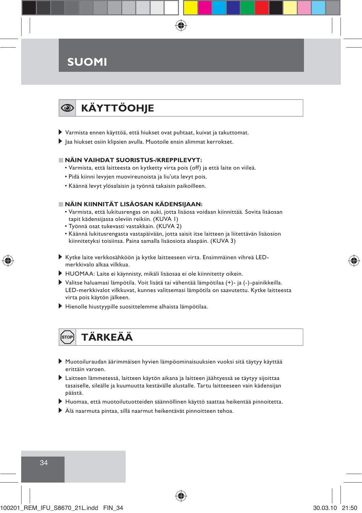## **SUOMI**

# **KÄYTTÖOHJE**

- Varmista ennen käyttöä, että hiukset ovat puhtaat, kuivat ja takuttomat.
- Jaa hiukset osiin klipsien avulla. Muotoile ensin alimmat kerrokset.

### **NÄIN VAIHDAT SUORISTUS-/KREPPILEVYT:**

- Varmista, että laitteesta on kytketty virta pois (off) ja että laite on viileä.
- Pidä kiinni levyjen muovireunoista ja liu'uta levyt pois.
- Käännä levyt ylösalaisin ja työnnä takaisin paikoilleen.

### **NÄIN KIINNITÄT LISÄOSAN KÄDENSIJAAN:**

- Varmista, että lukitusrengas on auki, jotta lisäosa voidaan kiinnittää. Sovita lisäosan tapit kädensijassa oleviin reikiin. (KUVA 1)
- Työnnä osat tukevasti vastakkain. (KUVA 2)
- Käännä lukitusrengasta vastapäivään, jotta saisit itse laitteen ja liitettävän lisäosion kiinnitetyksi toisiinsa. Paina samalla lisäosiota alaspäin. (KUVA 3)
- Kytke laite verkkosähköön ja kytke laitteeseen virta. Ensimmäinen vihreä LEDmerkkivalo alkaa vilkkua.
- HUOMAA: Laite ei käynnisty, mikäli lisäosaa ei ole kiinnitetty oikein.
- Valitse haluamasi lämpötila. Voit lisätä tai vähentää lämpötilaa (+)- ja (-)-painikkeilla. LED-merkkivalot vilkkuvat, kunnes valitsemasi lämpötila on saavutettu. Kytke laitteesta virta pois käytön jälkeen.
- Hienolle hiustyypille suosittelemme alhaista lämpötilaa.

## **TÄRKEÄÄ**

- Muotoiluraudan äärimmäisen hyvien lämpöominaisuuksien vuoksi sitä täytyy käyttää erittäin varoen.
- Laitteen lämmetessä, laitteen käytön aikana ja laitteen jäähtyessä se täytyy sijoittaa tasaiselle, sileälle ja kuumuutta kestävälle alustalle. Tartu laitteeseen vain kädensijan päästä.
- Huomaa, että muotoilutuotteiden säännöllinen käyttö saattaa heikentää pinnoitetta.
- Älä naarmuta pintaa, sillä naarmut heikentävät pinnoitteen tehoa.

34

₩



₩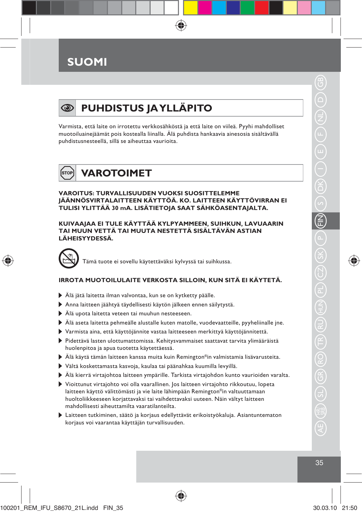### **SUOMI**

#### **PUHDISTUS JA YLLÄPITO**  $\circledcirc$

Varmista, että laite on irrotettu verkkosähköstä ja että laite on viileä. Pyyhi mahdolliset muotoiluainejäämät pois kostealla liinalla. Älä puhdista hankaavia ainesosia sisältävällä puhdistusnesteellä, sillä se aiheuttaa vaurioita.



#### **VAROITUS: TURVALLISUUDEN VUOKSI SUOSITTELEMME JÄÄNNÖSVIRTALAITTEEN KÄYTTÖÄ. KO. LAITTEEN KÄYTTÖVIRRAN EI TULISI YLITTÄÄ 30 mA. LISÄTIETOJA SAAT SÄHKÖASENTAJALTA.**

**KUIVAAJAA EI TULE KÄYTTÄÄ KYLPYAMMEEN, SUIHKUN, LAVUAARIN TAI MUUN VETTÄ TAI MUUTA NESTETTÄ SISÄLTÄVÄN ASTIAN LÄHEISYYDESSÄ.**



#### **IRROTA MUOTOILULAITE VERKOSTA SILLOIN, KUN SITÄ EI KÄYTETÄ.**

- Älä jätä laitetta ilman valvontaa, kun se on kytketty päälle.
- Anna laitteen jäähtyä täydellisesti käytön jälkeen ennen säilytystä.
- Älä upota laitetta veteen tai muuhun nesteeseen.
- Älä aseta laitetta pehmeälle alustalle kuten matolle, vuodevaatteille, pyyheliinalle jne.
- Varmista aina, että käyttöjännite vastaa laitteeseen merkittyä käyttöjännitettä.
- Pidettävä lasten ulottumattomissa. Kehitysvammaiset saattavat tarvita ylimääräistä huolenpitoa ja apua tuotetta käytettäessä.
- Älä käytä tämän laitteen kanssa muita kuin Remington®in valmistamia lisävarusteita.
- Vältä koskettamasta kasvoja, kaulaa tai päänahkaa kuumilla levyillä.
- Älä kierrä virtajohtoa laitteen ympärille. Tarkista virtajohdon kunto vaurioiden varalta.
- Vioittunut virtajohto voi olla vaarallinen. Jos laitteen virtajohto rikkoutuu, lopeta laitteen käyttö välittömästi ja vie laite lähimpään Remington®in valtuuttamaan huoltoliikkeeseen korjattavaksi tai vaihdettavaksi uuteen. Näin vältyt laitteen mahdollisesti aiheuttamilta vaaratilanteilta.
- Laitteen tutkiminen, säätö ja korjaus edellyttävät erikoistyökaluja. Asiantuntematon korjaus voi vaarantaa käyttäjän turvallisuuden.

۰

◈

35

⇔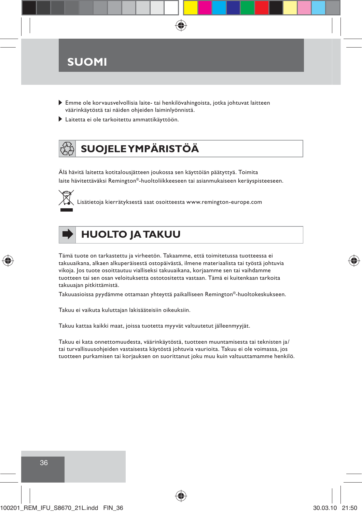

- Emme ole korvausvelvollisia laite- tai henkilövahingoista, jotka johtuvat laitteen väärinkäytöstä tai näiden ohjeiden laiminlyönnistä.
- Laitetta ei ole tarkoitettu ammattikäyttöön.

# **SUOJELE YMPÄRISTÖÄ**

Älä hävitä laitetta kotitalousjätteen joukossa sen käyttöiän päätyttyä. Toimita laite hävitettäväksi Remington®-huoltoliikkeeseen tai asianmukaiseen keräyspisteeseen.



Lisätietoja kierrätyksestä saat osoitteesta www.remington-europe.com



### **HUOLTO JA TAKUU**

Tämä tuote on tarkastettu ja virheetön. Takaamme, että toimitetussa tuotteessa ei takuuaikana, alkaen alkuperäisestä ostopäivästä, ilmene materiaalista tai työstä johtuvia vikoja. Jos tuote osoittautuu vialliseksi takuuaikana, korjaamme sen tai vaihdamme tuotteen tai sen osan veloituksetta ostotositetta vastaan. Tämä ei kuitenkaan tarkoita takuuajan pitkittämistä.

Takuuasioissa pyydämme ottamaan yhteyttä paikalliseen Remington®-huoltokeskukseen.

Takuu ei vaikuta kuluttajan lakisääteisiin oikeuksiin.

Takuu kattaa kaikki maat, joissa tuotetta myyvät valtuutetut jälleenmyyjät.

Takuu ei kata onnettomuudesta, väärinkäytöstä, tuotteen muuntamisesta tai teknisten ja/ tai turvallisuusohjeiden vastaisesta käytöstä johtuvia vaurioita. Takuu ei ole voimassa, jos tuotteen purkamisen tai korjauksen on suorittanut joku muu kuin valtuuttamamme henkilö.

| 36                                   |                |
|--------------------------------------|----------------|
|                                      |                |
|                                      |                |
| 100201_REM_IFU_S8670_21L.indd FIN_36 | 30.03.10 21:50 |



₩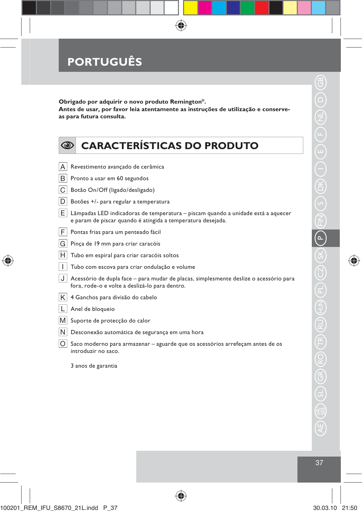

**Obrigado por adquirir o novo produto Remington®. Antes de usar, por favor leia atentamente as instruções de utilização e conserveas para futura consulta.**

 $\bigoplus$ 

| $\circledcirc$ | <b>CARACTERÍSTICAS DO PRODUTO</b>                                                                                                               |
|----------------|-------------------------------------------------------------------------------------------------------------------------------------------------|
|                |                                                                                                                                                 |
| A              | Revestimento avançado de cerâmica                                                                                                               |
| B              | Pronto a usar em 60 segundos                                                                                                                    |
| С              | Botão On/Off (ligado/desligado)                                                                                                                 |
| D              | Botões +/- para regular a temperatura                                                                                                           |
| E              | Lâmpadas LED indicadoras de temperatura – piscam quando a unidade está a aquecer<br>e param de piscar quando é atingida a temperatura desejada. |
| F              | Pontas frias para um penteado fácil                                                                                                             |
| G              | Pinça de 19 mm para criar caracóis                                                                                                              |
| н              | Tubo em espiral para criar caracóis soltos                                                                                                      |
| T              | Tubo com escova para criar ondulação e volume                                                                                                   |
| J              | Acessório de dupla face – para mudar de placas, simplesmente deslize o acessório para<br>fora, rode-o e volte a deslizá-lo para dentro.         |
| Κ              | 4 Ganchos para divisão do cabelo                                                                                                                |
|                | Anel de bloqueio                                                                                                                                |
| M              | Suporte de protecção do calor                                                                                                                   |
| N              | Desconexão automática de segurança em uma hora                                                                                                  |
| O              | Saco moderno para armazenar – aguarde que os acessórios arrefeçam antes de os<br>introduzir no saco.                                            |
|                |                                                                                                                                                 |

3 anos de garantia

 $\bigoplus$ 

⊕

 $\bigoplus$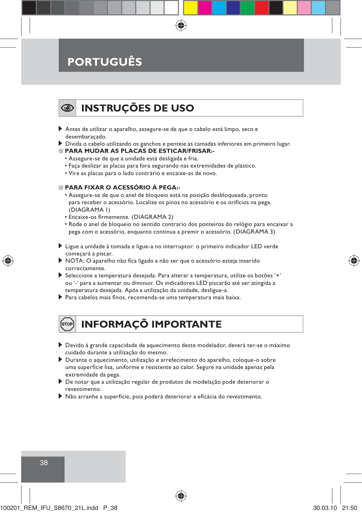# **PORTUGUÊS**

### **INSTRUÇÕES DE USO**

- Antes de utilizar o aparelho, assegure-se de que o cabelo está limpo, seco e desembaraçado.
- Divida o cabelo utilizando os ganchos e penteie as camadas inferiores em primeiro lugar.

#### **PARA MUDAR AS PLACAS DE ESTICAR/FRISAR:-**

- Assegure-se de que a unidade está desligada e fria.
- Faça deslizar as placas para fora segurando nas extremidades de plástico.
- Vire as placas para o lado contrário e encaixe-as de novo.

#### **PARA FIXAR O ACESSÓRIO À PEGA:-**

- Assegure-se de que o anel de bloqueio está na posição desbloqueada, pronto para receber o acessório. Localize os pinos no acessório e os orifícios na pega. (DIAGRAMA 1)
- Encaixe-os firmemente. (DIAGRAMA 2)
- Rode o anel de bloqueio no sentido contrario dos ponteiros do relógio para encaixar a pega com o acessório, enquanto continua a premir o acessório. (DIAGRAMA 3)
- Ligue a unidade à tomada e ligue-a no interruptor: o primeiro indicador LED verde começará a piscar.
- NOTA: O aparelho não fica ligado a não ser que o acessório esteja inserido correctamente.
- Seleccione a temperatura desejada. Para alterar a temperatura, utilize os botões '+' ou '-' para a aumentar ou diminuir. Os indicadores LED piscarão até ser atingida a temperatura desejada. Após a utilização da unidade, desligue-a.
- Para cabelos mais finos, recomenda-se uma temperatura mais baixa.

### Ís⊤∩⊧

₩

### **INFORMAÇÕ IMPORTANTE**

- Devido à grande capacidade de aquecimento deste modelador, deverá ter-se o máximo cuidado durante a utilização do mesmo.
- Durante o aquecimento, utilização e arrefecimento do aparelho, coloque-o sobre uma superfície lisa, uniforme e resistente ao calor. Segure na unidade apenas pela extremidade da pega.
- De notar que a utilização regular de produtos de modelação pode deteriorar o revestimento.
- Não arranhe a superfície, pois poderá deteriorar a eficácia do revestimento.



38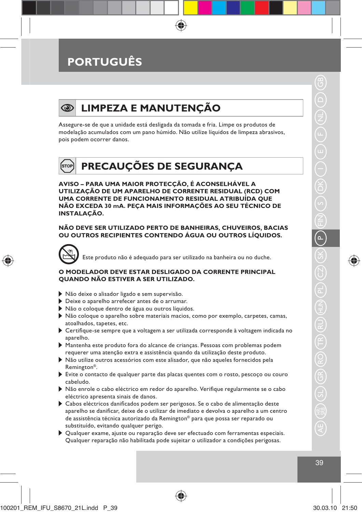# **PORTUGUÊS**



⇔

### **LIMPEZA E MANUTENÇÃO**

Assegure-se de que a unidade está desligada da tomada e fria. Limpe os produtos de modelação acumulados com um pano húmido. Não utilize líquidos de limpeza abrasivos, pois podem ocorrer danos.

#### **PRECAUÇÕES DE SEGURANÇA** Ísтор

**AVISO – PARA UMA MAIOR PROTECÇÃO, É ACONSELHÁVEL A UTILIZAÇÃO DE UM APARELHO DE CORRENTE RESIDUAL (RCD) COM UMA CORRENTE DE FUNCIONAMENTO RESIDUAL ATRIBUÍDA QUE NÃO EXCEDA 30 mA. PEÇA MAIS INFORMAÇÕES AO SEU TÉCNICO DE INSTALAÇÃO.**

#### **NÃO DEVE SER UTILIZADO PERTO DE BANHEIRAS, CHUVEIROS, BACIAS OU OUTROS RECIPIENTES CONTENDO ÁGUA OU OUTROS LÍQUIDOS.**

Este produto não é adequado para ser utilizado na banheira ou no duche.

#### **O MODELADOR DEVE ESTAR DESLIGADO DA CORRENTE PRINCIPAL QUANDO NÃO ESTIVER A SER UTILIZADO.**

- Não deixe o alisador ligado e sem supervisão.
- Deixe o aparelho arrefecer antes de o arrumar.
- Não o coloque dentro de água ou outros líquidos.
- Não coloque o aparelho sobre materiais macios, como por exemplo, carpetes, camas, atoalhados, tapetes, etc.
- Certifique-se sempre que a voltagem a ser utilizada corresponde à voltagem indicada no aparelho.
- Mantenha este produto fora do alcance de crianças. Pessoas com problemas podem requerer uma atenção extra e assistência quando da utilização deste produto.
- Não utilize outros acessórios com este alisador, que não aqueles fornecidos pela Remington®.
- Evite o contacto de qualquer parte das placas quentes com o rosto, pescoço ou couro cabeludo.
- Não enrole o cabo eléctrico em redor do aparelho. Verifique regularmente se o cabo eléctrico apresenta sinais de danos.
- Cabos eléctricos danificados podem ser perigosos. Se o cabo de alimentação deste aparelho se danificar, deixe de o utilizar de imediato e devolva o aparelho a um centro de assistência técnica autorizado da Remington® para que possa ser reparado ou substituído, evitando qualquer perigo.
- Qualquer exame, ajuste ou reparação deve ser efectuado com ferramentas especiais. Qualquer reparação não habilitada pode sujeitar o utilizador a condições perigosas.

♠

◈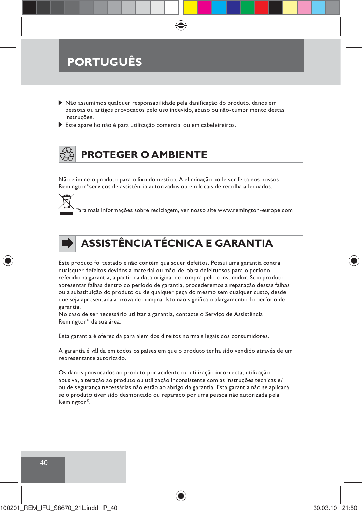# **PORTUGUÊS**

- Não assumimos qualquer responsabilidade pela danificação do produto, danos em pessoas ou artigos provocados pelo uso indevido, abuso ou não-cumprimento destas instruções.
- Este aparelho não é para utilização comercial ou em cabeleireiros.

### **PROTEGER O AMBIENTE**

Não elimine o produto para o lixo doméstico. A eliminação pode ser feita nos nossos Remington®serviços de assistência autorizados ou em locais de recolha adequados.



# **ASSISTÊNCIA TÉCNICA E GARANTIA**

Este produto foi testado e não contém quaisquer defeitos. Possui uma garantia contra quaisquer defeitos devidos a material ou mão-de-obra defeituosos para o período referido na garantia, a partir da data original de compra pelo consumidor. Se o produto apresentar falhas dentro do período de garantia, procederemos à reparação dessas falhas ou à substituição do produto ou de qualquer peça do mesmo sem qualquer custo, desde que seja apresentada a prova de compra. Isto não significa o alargamento do período de garantia.

No caso de ser necessário utilizar a garantia, contacte o Serviço de Assistência Remington® da sua área.

Esta garantia é oferecida para além dos direitos normais legais dos consumidores.

A garantia é válida em todos os países em que o produto tenha sido vendido através de um representante autorizado.

Os danos provocados ao produto por acidente ou utilização incorrecta, utilização abusiva, alteração ao produto ou utilização inconsistente com as instruções técnicas e/ ou de segurança necessárias não estão ao abrigo da garantia. Esta garantia não se aplicará se o produto tiver sido desmontado ou reparado por uma pessoa não autorizada pela Remington®.



40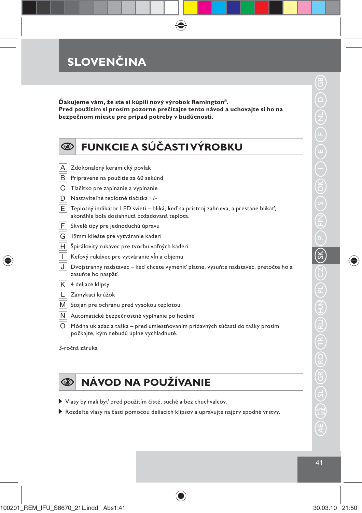**Ďakujeme vám, že ste si kúpili nový výrobok Remington®. Pred použitím si prosím pozorne prečítajte tento návod a uchovajte si ho na bezpečnom mieste pre prípad potreby v budúcnosti.**

|  | <b>SE FUNKCIE A SÚČASTI VÝROBKU</b> |  |  |
|--|-------------------------------------|--|--|
|--|-------------------------------------|--|--|

|  |  | A zdokonalený keramický povlak |  |
|--|--|--------------------------------|--|
|--|--|--------------------------------|--|

- B Pripravené na použitie za 60 sekúnd
- C Tlačítko pre zapínanie a vypínanie
- D Nastaviteľné teplotné tlačítka +/-
- E Teplotný indikátor LED svieti bliká, keď sa prístroj zahrieva, a prestane blikať, akonáhle bola dosiahnutá požadovaná teplota.
- F Skvelé tipy pre jednoduchú úpravu
- $|G|$  19mm kliešte pre vytváranie kaderí
- H Špirálovitý rukávec pre tvorbu voľných kaderí
- I Kefový rukávec pre vytváranie vĺn a objemu
- J Dvojstranný nadstavec keď chcete vymeniť platne, vysuňte nadstavec, pretočte ho a zasuňte ho naspäť.
- $\overline{K}$  4 deliace klipsy

₩

- L Zamykací krúžok
- M Stojan pre ochranu pred vysokou teplotou
- N Automatické bezpečnostné vypínanie po hodine
- O Módna ukladacia taška pred umiestňovaním prídavných súčastí do tašky prosím počkajte, kým nebudú úplne vychladnuté.

3-ročná záruka

#### **NÁVOD NA POUŽÍVANIE**   $\circledcirc$

- Vlasy by mali byť pred použitím čisté, suché a bez chuchvalcov.
- Rozdeľte vlasy na časti pomocou deliacich klipsov a upravujte najprv spodné vrstvy.

♠

⊕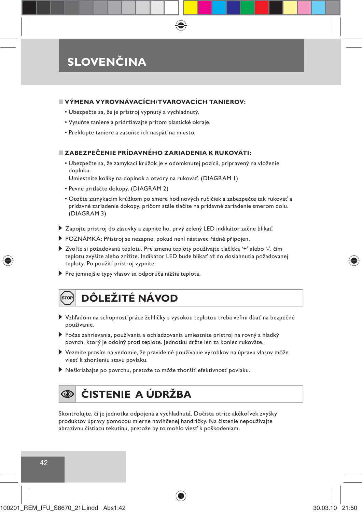#### **VÝMENA VYROVNÁVACÍCH/TVAROVACÍCH TANIEROV:**

- Ubezpečte sa, že je prístroj vypnutý a vychladnutý.
- Vysuňte taniere a pridržiavajte pritom plastické okraje.
- Preklopte taniere a zasuňte ich naspäť na miesto.

#### **ZABEZPEČENIE PRÍDAVNÉHO ZARIADENIA K RUKOVÄTI:**

 • Ubezpečte sa, že zamykací krúžok je v odomknutej pozícii, pripravený na vloženie doplnku.

Umiestnite kolíky na doplnok a otvory na rukoväť. (DIAGRAM 1)

• Pevne pritlačte dokopy. (DIAGRAM 2)

 • Otočte zamykacím krúžkom po smere hodinových ručičiek a zabezpečte tak rukoväť a prídavné zariadenie dokopy, pričom stále tlačíte na prídavné zariadenie smerom dolu. (DIAGRAM 3)

- Zapojte prístroj do zásuvky a zapnite ho, prvý zelený LED indikátor začne blikať.
- POZNÁMKA: Přístroj se nezapne, pokud není nástavec řádně připojen.
- Zvoľte si požadovanú teplotu. Pre zmenu teploty používajte tlačítka '+' alebo '-', čím teplotu zvýšite alebo znížite. Indikátor LED bude blikať až do dosiahnutia požadovanej teploty. Po použití prístroj vypnite.
- Pre jemnejšie typy vlasov sa odporúča nižšia teplota.

# **DÔLEŽITÉ NÁVOD**

- Vzhľadom na schopnosť práce žehličky s vysokou teplotou treba veľmi dbať na bezpečné používanie.
- Počas zahrievania, používania a ochladzovania umiestnite prístroj na rovný a hladký povrch, ktorý je odolný proti teplote. Jednotku držte len za koniec rukoväte.
- Vezmite prosím na vedomie, že pravidelné používanie výrobkov na úpravu vlasov môže viesť k zhoršeniu stavu povlaku.
- Neškriabajte po povrchu, pretože to môže zhoršiť efektívnosť povlaku.

#### **ČISTENIE A ÚDRŽBA** ◉

Skontrolujte, či je jednotka odpojená a vychladnutá. Dočista otrite akékoľvek zvyšky produktov úpravy pomocou mierne navlhčenej handričky. Na čistenie nepoužívajte abrazívnu čistiacu tekutinu, pretože by to mohlo viesť k poškodeniam.



42

 $\bigoplus$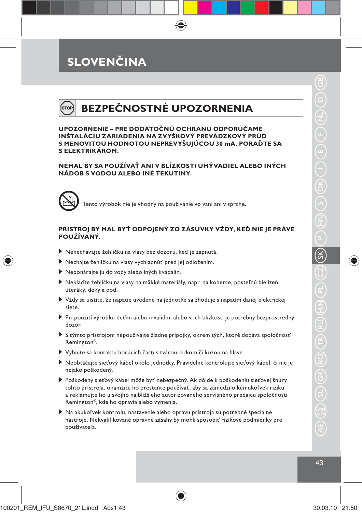# **BEZPEČNOSTNÉ UPOZORNENIA**

**UPOZORNENIE – PRE DODATOČNÚ OCHRANU ODPORÚČAME INŠTALÁCIU ZARIADENIA NA ZVYŠKOVÝ PREVÁDZKOVÝ PRÚD S MENOVITOU HODNOTOU NEPREVYŠUJÚCOU 30 mA. PORAĎTE SA S ELEKTRIKÁROM.**

#### **NEMAL BY SA POUŽÍVAŤ ANI V BLÍZKOSTI UMÝVADIEL ALEBO INÝCH NÁDOB S VODOU ALEBO INÉ TEKUTINY.**



⇔

Tento výrobok nie je vhodný na používanie vo vani ani v sprche.

#### **PRÍSTROJ BY MAL BYŤ ODPOJENÝ ZO ZÁSUVKY VŽDY, KEĎ NIE JE PRÁVE POUŽÍVANÝ.**

- Nenechávajte žehličku na vlasy bez dozoru, keď je zapnutá.
- Nechajte žehličku na vlasy vychladnúť pred jej odložením.
- Neponárajte ju do vody alebo iných kvapalín.
- Neklaďte žehličku na vlasy na mäkké materiály, napr. na koberce, posteľnú bielizeň, uteráky, deky a pod.
- Vždy sa uistite, že napätie uvedené na jednotke sa zhoduje s napätím danej elektrickej siete..
- Pri použití výrobku deťmi alebo invalidmi alebo v ich blízkosti je potrebný bezprostredný dozor.
- S týmto prístrojom nepoužívajte žiadne prípojky, okrem tých, ktoré dodáva spoločnosť Remington®.
- Vyhnite sa kontaktu horúcich častí s tvárou, krkom či kožou na hlave.
- ▶ Neobtáčajte sieťový kábel okolo jednotky. Pravidelne kontrolujte sieťový kábel, či nie je nejako poškodený.
- Poškodený sieťový kábel môže byť nebezpečný. Ak dôjde k poškodeniu sieťovej šnúry tohto prístroja, okamžite ho prestaňte používať, aby sa zamedzilo kémukoľvek riziku a reklamujte ho u svojho najbližšieho autorizovaného servisného predajcu spoločnosti Remington®, kde ho opravia alebo vymenia.
- Na akúkoľvek kontrolu, nastavenie alebo opravu prístroja sú potrebné špeciálne nástroje. Nekvalifikované opravné zásahy by mohli spôsobiť rizikové podmienky pre používateľa.

♠

43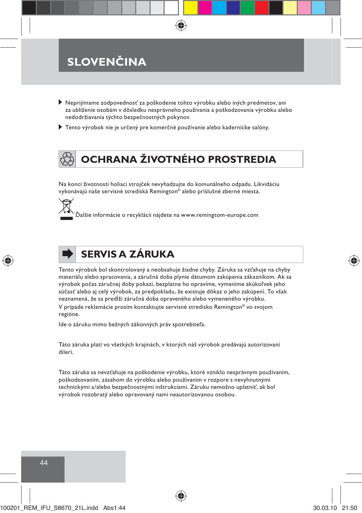- Neprijímame zodpovednosť za poškodenie tohto výrobku alebo iných predmetov, ani za ublíženie osobám v dôsledku nesprávneho používania a poškodzovania výrobku alebo nedodržiavania týchto bezpečnostných pokynov.
- Tento výrobok nie je určený pre komerčné používanie alebo kadernícke salóny.

# **OCHRANA ŽIVOTNÉHO PROSTREDIA**

Na konci životnosti holiaci strojček nevyhadzujte do komunálneho odpadu. Likvidáciu vykonávajú naše servisné strediská Remington® alebo príslušné zberné miesta.





## **SERVIS A ZÁRUKA**

Tento výrobok bol skontrolovaný a neobsahuje žiadne chyby. Záruka sa vzťahuje na chyby materiálu alebo spracovania, a záručná doba plynie dátumom zakúpenia zákazníkom. Ak sa výrobok počas záručnej doby pokazí, bezplatne ho opravíme, vymeníme akúkoľvek jeho súčasť alebo aj celý výrobok, za predpokladu, že existuje dôkaz o jeho zakúpení. To však neznamená, že sa predĺži záručná doba opraveného alebo vymeneného výrobku. V prípade reklamácie prosím kontaktujte servisné stredisko Remington® vo svojom regióne.

Ide o záruku mimo bežných zákonných práv spotrebiteľa.

Táto záruka platí vo všetkých krajinách, v ktorých náš výrobok predávajú autorizovaní díleri.

Táto záruka sa nevzťahuje na poškodenie výrobku, ktoré vzniklo nesprávnym používaním, poškodzovaním, zásahom do výrobku alebo používaním v rozpore s nevyhnutnými technickými a/alebo bezpečnostnými inštrukciami. Záruku nemožno uplatniť, ak bol výrobok rozobratý alebo opravovaný nami neautorizovanou osobou.



44

₩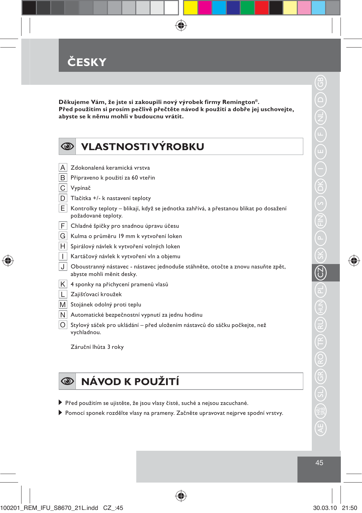**ČESKY**

**Děkujeme Vám, že jste si zakoupili nový výrobek firmy Remington®. Před použitím si prosím pečlivě přečtěte návod k použití a dobře jej uschovejte, abyste se k němu mohli v budoucnu vrátit.**

⊕

| $\circledcirc$ | VLASTNOSTIVÝROBKU                                                                                             |
|----------------|---------------------------------------------------------------------------------------------------------------|
|                |                                                                                                               |
| Α              | Zdokonalená keramická vrstva                                                                                  |
| В              | Připraveno k použití za 60 vteřin                                                                             |
| С              | Vypínač                                                                                                       |
| D              | Tlačítka +/- k nastavení teploty                                                                              |
| E              | Kontrolky teploty – blikají, když se jednotka zahřívá, a přestanou blikat po dosažení<br>požadované teploty.  |
| F              | Chladné špičky pro snadnou úpravu účesu                                                                       |
| G              | Kulma o průměru 19 mm k vytvoření loken                                                                       |
| Н              | Spirálový návlek k vytvoření volných loken                                                                    |
| $\mathbf{I}$   | Kartáčový návlek k vytvoření vln a objemu                                                                     |
| J              | Oboustranný nástavec - nástavec jednoduše stáhněte, otočte a znovu nasuňte zpět,<br>abyste mohli měnit desky. |
| Κ              | 4 sponky na přichycení pramenů vlasů                                                                          |
| L              | Zajišťovací kroužek                                                                                           |
| M              | Stojánek odolný proti teplu                                                                                   |
| N              | Automatické bezpečnostní vypnutí za jednu hodinu                                                              |
| O              | Stylový sáček pro ukládání – před uložením nástavců do sáčku počkejte, než<br>vychladnou.                     |

Záruční lhůta 3 roky

#### **NÁVOD K POUŽITÍ**   $\circledcirc$

- Před použitím se ujistěte, že jsou vlasy čisté, suché a nejsou zacuchané.
- Pomocí sponek rozdělte vlasy na prameny. Začněte upravovat nejprve spodní vrstvy.

⊕

◈

 $45$ 

€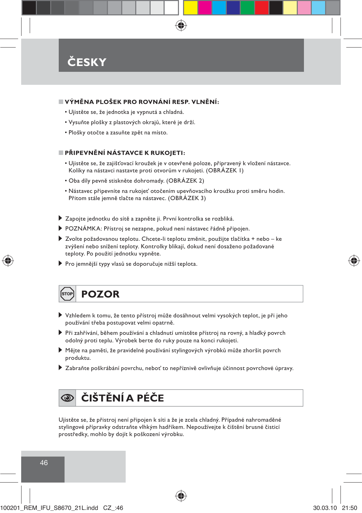

#### **VÝMĚNA PLOŠEK PRO ROVNÁNÍ RESP. VLNĚNÍ:**

- Ujistěte se, že jednotka je vypnutá a chladná.
- Vysuňte plošky z plastových okrajů, které je drží.
- Plošky otočte a zasuňte zpět na místo.

#### **PŘIPEVNĚNÍ NÁSTAVCE K RUKOJETI:**

- Ujistěte se, že zajišťovací kroužek je v otevřené poloze, připravený k vložení nástavce. Kolíky na nástavci nastavte proti otvorům v rukojeti. (OBRÁZEK 1)
- Oba díly pevně stiskněte dohromady. (OBRÁZEK 2)
- Nástavec připevníte na rukojeť otočením upevňovacího kroužku proti směru hodin. Přitom stále jemně tlačte na nástavec. (OBRÁZEK 3)
- Zapojte jednotku do sítě a zapněte ji. První kontrolka se rozbliká.
- POZNÁMKA: Přístroj se nezapne, pokud není nástavec řádně připojen.
- Zvolte požadovanou teplotu. Chcete-li teplotu změnit, použijte tlačítka + nebo ke zvýšení nebo snížení teploty. Kontrolky blikají, dokud není dosaženo požadované teploty. Po použití jednotku vypněte.
- Pro jemnější typy vlasů se doporučuje nižší teplota.

### **POZOR**

- Vzhledem k tomu, že tento přístroj může dosáhnout velmi vysokých teplot, je při jeho používání třeba postupovat velmi opatrně.
- Při zahřívání, během používání a chladnutí umístěte přístroj na rovný, a hladký povrch odolný proti teplu. Výrobek berte do ruky pouze na konci rukojeti.
- Mějte na paměti, že pravidelné používání stylingových výrobků může zhoršit povrch produktu.
- Zabraňte poškrábání povrchu, neboť to nepříznivě ovlivňuje účinnost povrchové úpravy.

#### **ČIŠTĚNÍ A PÉČE** ☜

Ujistěte se, že přistroj není připojen k síti a že je zcela chladný. Případné nahromaděné stylingové přípravky odstraňte vlhkým hadříkem. Nepoužívejte k čištění brusné čisticí prostředky, mohlo by dojít k poškození výrobku.

46



₩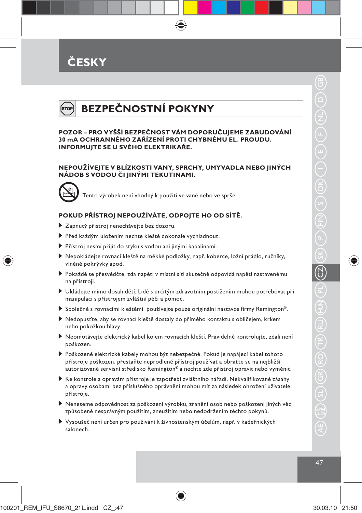# **ČESKY**



#### **POZOR – PRO VYŠŠÍ BEZPEČNOST VÁM DOPORUČUJEME ZABUDOVÁNÍ 30 mA OCHRANNÉHO ZAŘÍZENÍ PROTI CHYBNÉMU EL. PROUDU. INFORMUJTE SE U SVÉHO ELEKTRIKÁŘE.**

#### **NEPOUŽÍVEJTE V BLÍZKOSTI VANY, SPRCHY, UMYVADLA NEBO JINÝCH NÁDOB S VODOU ČI JINÝMI TEKUTINAMI.**



₩

Tento výrobek není vhodný k použití ve vaně nebo ve sprše.

#### **POKUD PŘÍSTROJ NEPOUŽÍVÁTE, ODPOJTE HO OD SÍTĚ.**

- Zapnutý přístroj nenechávejte bez dozoru.
- Před každým uložením nechte kleště dokonale vychladnout.
- Přístroj nesmí přijít do styku s vodou ani jinými kapalinami.
- Nepokládejte rovnací kleště na měkké podložky, např. koberce, ložní prádlo, ručníky, vlněné pokrývky apod.
- Pokaždé se přesvědčte, zda napětí v místní síti skutečně odpovídá napětí nastavenému na přístroji.
- Ukládejte mimo dosah dětí. Lidé s určitým zdravotním postižením mohou potřebovat při manipulaci s přístrojem zvláštní péči a pomoc.
- Společně s rovnacími kleštěmi používejte pouze originální nástavce firmy Remington®.
- Nedopusťte, aby se rovnací kleště dostaly do přímého kontaktu s obličejem, krkem nebo pokožkou hlavy.
- Neomotávejte elektrický kabel kolem rovnacích kleští. Pravidelně kontrolujte, zdali není poškozen.
- Poškozené elektrické kabely mohou být nebezpečné. Pokud je napájecí kabel tohoto přístroje poškozen, přestaňte neprodleně přístroj používat a obraťte se na nejbližší autorizované servisní středisko Remington® a nechte zde přístroj opravit nebo vyměnit.
- Ke kontrole a opravám přístroje je zapotřebí zvláštního nářadí. Nekvalifikované zásahy a opravy osobami bez příslušného oprávnění mohou mít za následek ohrožení uživatele přístroje.
- Neneseme odpovědnost za poškození výrobku, zranění osob nebo poškození jiných věcí způsobené nesprávným použitím, zneužitím nebo nedodržením těchto pokynů.
- Vysoušeč není určen pro používání k živnostenským účelům, např. v kadeřnických salonech.

♠

47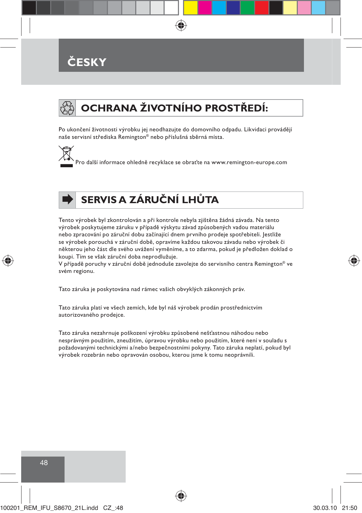# **ČESKY**

# **OCHRANA ŽIVOTNÍHO PROSTŘEDÍ:**

Po ukončení životnosti výrobku jej neodhazujte do domovního odpadu. Likvidaci provádějí naše servisní střediska Remington® nebo příslušná sběrná místa.

Pro další informace ohledně recyklace se obraťte na www.remington-europe.com

# **SERVIS A ZÁRUČNÍ LHŮTA**

Tento výrobek byl zkontrolován a při kontrole nebyla zjištěna žádná závada. Na tento výrobek poskytujeme záruku v případě výskytu závad způsobených vadou materiálu nebo zpracování po záruční dobu začínající dnem prvního prodeje spotřebiteli. Jestliže se výrobek porouchá v záruční době, opravíme každou takovou závadu nebo výrobek či některou jeho část dle svého uvážení vyměníme, a to zdarma, pokud je předložen doklad o koupi. Tím se však záruční doba neprodlužuje.

V případě poruchy v záruční době jednoduše zavolejte do servisního centra Remington® ve svém regionu.

Tato záruka je poskytována nad rámec vašich obvyklých zákonných práv.

Tato záruka platí ve všech zemích, kde byl náš výrobek prodán prostřednictvím autorizovaného prodejce.

Tato záruka nezahrnuje poškození výrobku způsobené nešťastnou náhodou nebo nesprávným použitím, zneužitím, úpravou výrobku nebo použitím, které není v souladu s požadovanými technickými a/nebo bezpečnostními pokyny. Tato záruka neplatí, pokud byl výrobek rozebrán nebo opravován osobou, kterou jsme k tomu neoprávnili.



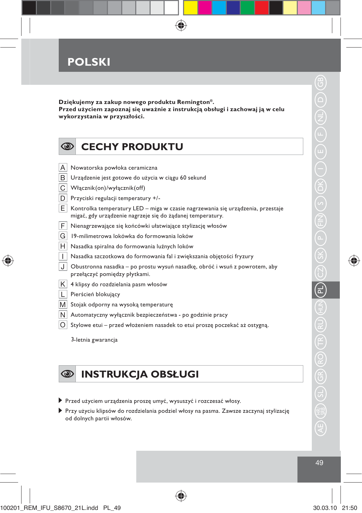

**Dziękujemy za zakup nowego produktu Remington®. Przed użyciem zapoznaj się uważnie z instrukcją obsługi i zachowaj ją w celu wykorzystania w przyszłości.**

⊕

|      | <b>SOUTH CECHY PRODUKTU</b>                              |
|------|----------------------------------------------------------|
|      | A Nowatorska powłoka ceramiczna                          |
|      | $ B $ Urządzenie jest gotowe do użycia w ciągu 60 sekund |
| IC I | Włącznik(on)/wyłącznik(off)                              |
|      | Przyciski regulacji temperatury +/-                      |

- $E$  Kontrolka temperatury LED miga w czasie nagrzewania się urządzenia, przestaje migać, gdy urządzenie nagrzeje się do żądanej temperatury.
- F Nienagrzewające się końcówki ułatwiające stylizację włosów
- G 19-milimetrowa lokówka do formowania loków
- $H^{\dagger}$  Nasadka spiralna do formowania luźnych loków
- | Nasadka szczotkowa do formowania fal i zwiększania objętości fryzury
- J Obustronna nasadka po prostu wysuń nasadkę, obróć i wsuń z powrotem, aby przełączyć pomiędzy płytkami.
- $K$  4 klipsy do rozdzielania pasm włosów
- L Pierścień blokujący

₩

- M Stojak odporny na wysoką temperaturę
- $|N|$  Automatyczny wyłącznik bezpieczeństwa po godzinie pracy
- O Stylowe etui przed włożeniem nasadek to etui proszę poczekać aż ostygną.

3-letnia gwarancja

#### $\circledcirc$ **INSTRUKCJA OBSŁUGI**

- Przed użyciem urządzenia proszę umyć, wysuszyć i rozczesać włosy.
- Przy użyciu klipsów do rozdzielania podziel włosy na pasma. Zawsze zaczynaj stylizację od dolnych partii włosów.

⊕

49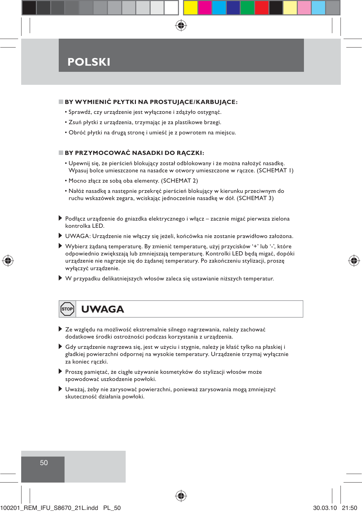### **POLSKI**

#### **BY WYMIENIĆ PŁYTKI NA PROSTUJĄCE/KARBUJĄCE:**

- Sprawdź, czy urządzenie jest wyłączone i zdążyło ostygnąć.
- Zsuń płytki z urządzenia, trzymając je za plastikowe brzegi.
- Obróć płytki na drugą stronę i umieść je z powrotem na miejscu.

#### **BY PRZYMOCOWAĆ NASADKI DO RĄCZKI:**

- Upewnij się, że pierścień blokujący został odblokowany i że można nałożyć nasadkę. Wpasuj bolce umieszczone na nasadce w otwory umieszczone w rączce. (SCHEMAT 1)
- Mocno złącz ze sobą oba elementy. (SCHEMAT 2)
- Nałóż nasadkę a następnie przekręć pierścień blokujący w kierunku przeciwnym do ruchu wskazówek zegara, wciskając jednocześnie nasadkę w dół. (SCHEMAT 3)
- Podłącz urządzenie do gniazdka elektrycznego i włącz zacznie migać pierwsza zielona kontrolka LED.
- UWAGA: Urządzenie nie włączy się jeżeli, końcówka nie zostanie prawidłowo założona.
- Wybierz żądaną temperaturę. By zmienić temperaturę, użyj przycisków '+' lub '-', które odpowiednio zwiększają lub zmniejszają temperaturę. Kontrolki LED będą migać, dopóki urządzenie nie nagrzeje się do żądanej temperatury. Po zakończeniu stylizacji, proszę wyłączyć urządzenie.
- W przypadku delikatniejszych włosów zaleca się ustawianie niższych temperatur.

#### **UWAGA** .<br>STOP

- Ze względu na możliwość ekstremalnie silnego nagrzewania, należy zachować dodatkowe środki ostrożności podczas korzystania z urządzenia.
- Gdy urządzenie nagrzewa się, jest w użyciu i stygnie, należy je kłaść tylko na płaskiej i gładkiej powierzchni odpornej na wysokie temperatury. Urządzenie trzymaj wyłącznie za koniec rączki.
- Proszę pamiętać, że ciągłe używanie kosmetyków do stylizacji włosów może spowodować uszkodzenie powłoki.
- Uważaj, żeby nie zarysować powierzchni, ponieważ zarysowania mogą zmniejszyć skuteczność działania powłoki.



50

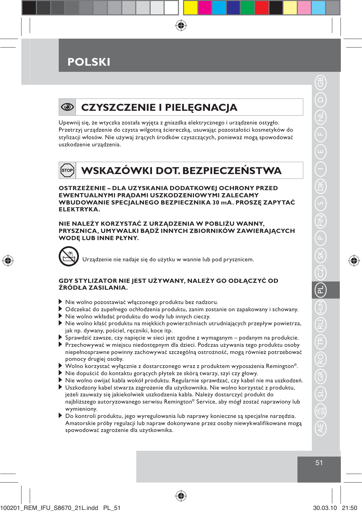### **POLSKI**



⊕

### **CZYSZCZENIE I PIELĘGNACJA**

Upewnij się, że wtyczka została wyjęta z gniazdka elektrycznego i urządzenie ostygło. Przetrzyj urządzenie do czysta wilgotną ściereczką, usuwając pozostałości kosmetyków do stylizacji włosów. Nie używaj żrących środków czyszczących, ponieważ mogą spowodować uszkodzenie urządzenia.

#### **WSKAZÓWKI DOT. BEZPIECZEŃSTWA** [stof

**OSTRZEŻENIE – DLA UZYSKANIA DODATKOWEJ OCHRONY PRZED EWENTUALNYMI PRĄDAMI USZKODZENIOWYMI ZALECAMY WBUDOWANIE SPECJALNEGO BEZPIECZNIKA 30 mA. PROSZĘ ZAPYTAĆ ELEKTRYKA.**

**NIE NALEŻY KORZYSTAĆ Z URZĄDZENIA W POBLIŻU WANNY, PRYSZNICA, UMYWALKI BĄDŹ INNYCH ZBIORNIKÓW ZAWIERAJĄCYCH WODĘ LUB INNE PŁYNY.**

Urządzenie nie nadaje się do użytku w wannie lub pod prysznicem.

#### **GDY STYLIZATOR NIE JEST UŻYWANY, NALEŻY GO ODŁĄCZYĆ OD ŹRÓDŁA ZASILANIA.**

- Nie wolno pozostawiać włączonego produktu bez nadzoru.
- Odczekać do zupełnego ochłodzenia produktu, zanim zostanie on zapakowany i schowany.
- Nie wolno wkładać produktu do wody lub innych cieczy.
- Nie wolno kłaść produktu na miękkich powierzchniach utrudniających przepływ powietrza, jak np. dywany, pościel, ręczniki, koce itp.
- Sprawdzić zawsze, czy napięcie w sieci jest zgodne z wymaganym podanym na produkcie.
- Przechowywać w miejscu niedostępnym dla dzieci. Podczas używania tego produktu osoby niepełnosprawne powinny zachowywać szczególną ostrożność, mogą również potrzebować pomocy drugiej osoby.
- Wolno korzystać wyłącznie z dostarczonego wraz z produktem wyposażenia Remington®.
- Nie dopuścić do kontaktu gorących płytek ze skórą twarzy, szyi czy głowy.
- Nie wolno owijać kabla wokół produktu. Regularnie sprawdzać, czy kabel nie ma uszkodzeń.
- Uszkodzony kabel stwarza zagrożenie dla użytkownika. Nie wolno korzystać z produktu, jeżeli zauważy się jakiekolwiek uszkodzenia kabla. Należy dostarczyć produkt do najbliższego autoryzowanego serwisu Remington® Service, aby mógł zostać naprawiony lub wymieniony.
- Do kontroli produktu, jego wyregulowania lub naprawy konieczne są specjalne narzędzia. Amatorskie próby regulacji lub napraw dokonywane przez osoby niewykwalifikowane mogą spowodować zagrożenie dla użytkownika.

♠

⊕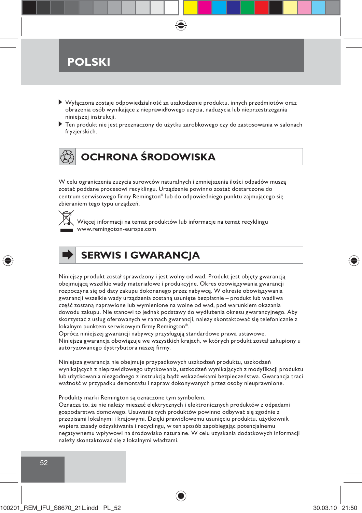

- Wyłączona zostaje odpowiedzialność za uszkodzenie produktu, innych przedmiotów oraz obrażenia osób wynikające z nieprawidłowego użycia, nadużycia lub nieprzestrzegania niniejszej instrukcji.
- Ten produkt nie jest przeznaczony do użytku zarobkowego czy do zastosowania w salonach fryzjerskich.

# **OCHRONA ŚRODOWISKA**

W celu ograniczenia zużycia surowców naturalnych i zmniejszenia ilości odpadów muszą zostać poddane procesowi recyklingu. Urządzenie powinno zostać dostarczone do centrum serwisowego firmy Remington® lub do odpowiedniego punktu zajmującego się zbieraniem tego typu urządzeń.



Więcej informacji na temat produktów lub informacje na temat recyklingu www.remingoton-europe.com



### **SERWIS I GWARANCJA**

Niniejszy produkt został sprawdzony i jest wolny od wad. Produkt jest objęty gwarancją obejmującą wszelkie wady materiałowe i produkcyjne. Okres obowiązywania gwarancji rozpoczyna się od daty zakupu dokonanego przez nabywcę. W okresie obowiązywania gwarancji wszelkie wady urządzenia zostaną usunięte bezpłatnie – produkt lub wadliwa część zostaną naprawione lub wymienione na wolne od wad, pod warunkiem okazania dowodu zakupu. Nie stanowi to jednak podstawy do wydłużenia okresu gwarancyjnego. Aby skorzystać z usług oferowanych w ramach gwarancji, należy skontaktować się telefonicznie z lokalnym punktem serwisowym firmy Remington®.

Oprócz niniejszej gwarancji nabywcy przysługują standardowe prawa ustawowe. Niniejsza gwarancja obowiązuje we wszystkich krajach, w których produkt został zakupiony u autoryzowanego dystrybutora naszej firmy.

Niniejsza gwarancja nie obejmuje przypadkowych uszkodzeń produktu, uszkodzeń wynikających z nieprawidłowego użytkowania, uszkodzeń wynikających z modyfikacji produktu lub użytkowania niezgodnego z instrukcją bądź wskazówkami bezpieczeństwa. Gwarancja traci ważność w przypadku demontażu i napraw dokonywanych przez osoby nieuprawnione.

Produkty marki Remington są oznaczone tym symbolem.

Oznacza to, że nie należy mieszać elektrycznych i elektronicznych produktów z odpadami gospodarstwa domowego. Usuwanie tych produktów powinno odbywać się zgodnie z przepisami lokalnymi i krajowymi. Dzięki prawidłowemu usunięciu produktu, użytkownik wspiera zasady odzyskiwania i recyclingu, w ten sposób zapobiegając potencjalnemu negatywnemu wpływowi na środowisko naturalne. W celu uzyskania dodatkowych informacji należy skontaktować się z lokalnymi władzami.



52

₩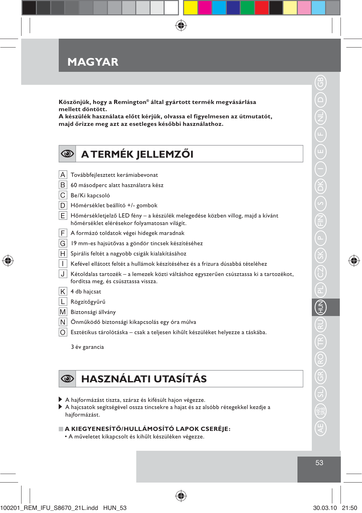**Köszönjük, hogy a Remington® által gyártott termék megvásárlása mellett döntött.** 

**A készülék használata előtt kérjük, olvassa el figyelmesen az útmutatót, majd őrizze meg azt az esetleges későbbi használathoz.**

| <b>WATERMÉK JELLEMZŐI</b> |
|---------------------------|
|---------------------------|

- A Továbbfejlesztett kerámiabevonat
- $B$  60 másodperc alatt használatra kész
- C Be/Ki kapcsoló
- D Hőmérséklet beállító +/- gombok
- E Hőmérsékletjelző LED fény a készülék melegedése közben villog, majd a kívánt hőmérséklet elérésekor folyamatosan világít.
- $F \mid A$  formázó toldatok végei hidegek maradnak
- $|G|$  19 mm-es hajsütővas a göndör tincsek készítéséhez
- $H$  Spirális feltét a nagyobb csigák kialakításához
- I Kefével ellátott feltét a hullámok készítéséhez és a frizura dúsabbá tételéhez
- J Kétoldalas tartozék a lemezek közti váltáshoz egyszerűen csúsztassa ki a tartozékot, fordítsa meg, és csúsztassa vissza.
- $K$  4 db hajcsat

⇔

- L Rögzítőgyűrű
- M Biztonsági állvány
- N Önműködő biztonsági kikapcsolás egy óra múlva
- $|O|$  Esztétikus tárolótáska csak a teljesen kihűlt készüléket helyezze a táskába.

3 év garancia

#### **HASZNÁLATI UTASÍTÁS**   $\circledcirc$

- A hajformázást tiszta, száraz és kifésült hajon végezze.
- A hajcsatok segítségével ossza tincsekre a hajat és az alsóbb rétegekkel kezdje a hajformázást.

♠

#### **A KIEGYENESÍTŐ/HULLÁMOSÍTÓ LAPOK CSERÉJE:**

• A műveletet kikapcsolt és kihűlt készüléken végezze.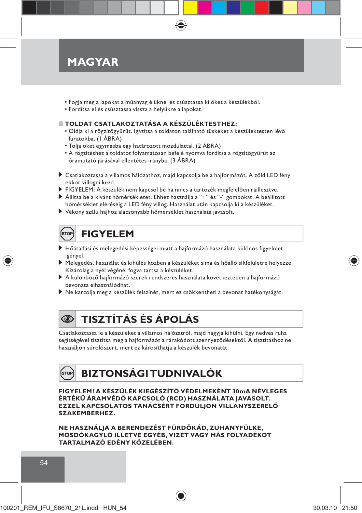- Fogja meg a lapokat a műanyag élüknél és csúsztassa ki őket a készülékből.
- Fordítsa el és csúsztassa vissza a helyükre a lapokat.

#### **TOLDAT CSATLAKOZTATÁSA A KÉSZÜLÉKTESTHEZ:**

- Oldja ki a rögzítőgyűrűt. Igazítsa a toldaton található tüskéket a készüléktesten lévő furatokba. (1 ÁBRA)
- Tolja őket egymásba egy határozott mozdulattal. (2 ÁBRA)
- A rögzítéshez a toldatot folyamatosan befelé nyomva fordítsa a rögzítőgyűrűt az óramutató járásával ellentétes irányba. (3 ÁBRA)
- Csatlakoztassa a villamos hálózathoz, majd kapcsolja be a hajformázót. A zöld LED fény ekkor villogni kezd.
- FIGYELEM: A készülék nem kapcsol be ha nincs a tartozék megfelelően ráillesztve.
- Állítsa be a kívánt hőmérsékletet. Ehhez használja a "+" és "-" gombokat. A beállított hőmérséklet eléréséig a LED fény villog. Használat után kapcsolja ki a készüléket.
- Vékony szálú hajhoz alacsonyabb hőmérséklet használata javasolt.

#### stop) **FIGYELEM**

⇔

- Hőátadási és melegedési képességei miatt a hajformázó használata különös figyelmet igényel.
- Melegedés, használat és kihűlés közben a készüléket sima és hőálló síkfelületre helyezze. Kizárólag a nyél végénél fogva tartsa a készüléket.
- A különböző hajformázó szerek rendszeres használata következtében a hajformázó bevonata elhasználódhat.
- Ne karcolja meg a készülék felszínét, mert ez csökkentheti a bevonat hatékonyságát.

#### **TISZTÍTÁS ÉS ÁPOLÁS**  $\circledcirc$

Csatlakoztassa le a készüléket a villamos hálózatról, majd hagyja kihűlni. Egy nedves ruha segítségével tisztítsa meg a hajformázót a rárakódott szennyeződésektől. A tisztításhoz ne használjon súrolószert, mert ez károsíthatja a készülék bevonatát.

#### **BIZTONSÁGI TUDNIVALÓK** .<br>STOP

**FIGYELEM! A KÉSZÜLÉK KIEGÉSZÍTŐ VÉDELMEKÉNT 30mA NÉVLEGES ÉRTÉKŰ ÁRAMVÉDŐ KAPCSOLÓ (RCD) HASZNÁLATA JAVASOLT. EZZEL KAPCSOLATOS TANÁCSÉRT FORDULJON VILLANYSZERELŐ SZAKEMBERHEZ.**

**NE HASZNÁLJA A BERENDEZÉST FÜRDŐKÁD, ZUHANYFÜLKE, MOSDÓKAGYLÓ ILLETVE EGYÉB, VIZET VAGY MÁS FOLYADÉKOT TARTALMAZÓ EDÉNY KÖZELÉBEN.**

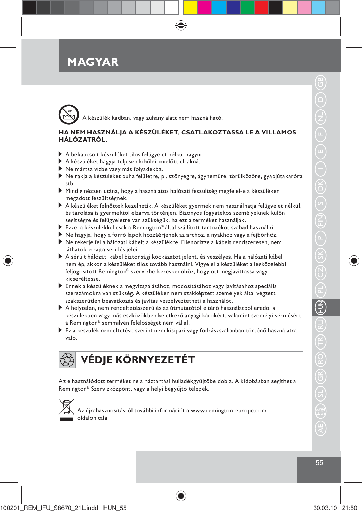készülék kádban, vagy zuhany alatt nem használható.

#### **HA NEM HASZNÁLJA A KÉSZÜLÉKET, CSATLAKOZTASSA LE A VILLAMOS HÁLÓZATRÓL.**

- A bekapcsolt készüléket tilos felügyelet nélkül hagyni.
- A készüléket hagyja teljesen kihűlni, mielőtt elrakná.
- Ne mártsa vízbe vagy más folyadékba.
- Ne rakja a készüléket puha felületre, pl. szőnyegre, ágyneműre, törülközőre, gyapjútakaróra stb.
- Mindig nézzen utána, hogy a használatos hálózati feszültség megfelel-e a készüléken megadott feszültségnek.
- A készüléket felnőttek kezelhetik. A készüléket gyermek nem használhatja felügyelet nélkül, és tárolása is gyermektől elzárva történjen. Bizonyos fogyatékos személyeknek külön segítségre és felügyeletre van szükségük, ha ezt a terméket használják.
- ▶ Ezzel a készülékkel csak a Remington® által szállított tartozékot szabad használni.
- Ne hagyja, hogy a forró lapok hozzáérjenek az archoz, a nyakhoz vagy a fejbőrhöz.
- Ne tekerje fel a hálózati kábelt a készülékre. Ellenőrizze a kábelt rendszeresen, nem láthatók-e rajta sérülés jelei.
- A sérült hálózati kábel biztonsági kockázatot jelent, és veszélyes. Ha a hálózati kábel nem ép, akkor a készüléket tilos tovább használni. Vigye el a készüléket a legközelebbi feljogosított Remington® szervizbe-kereskedőhöz, hogy ott megjavíttassa vagy kicseréltesse.
- Ennek a készüléknek a megvizsgálásához, módosításához vagy javításához speciális szerszámokra van szükség. A készüléken nem szakképzett személyek által végzett szakszerűtlen beavatkozás és javítás veszélyeztetheti a használót.
- A helytelen, nem rendeltetésszerű és az útmutatótól eltérő használatból eredő, a készülékben vagy más eszközökben keletkező anyagi károkért, valamint személyi sérülésért a Remington® semmilyen felelősséget nem vállal.
- Ez a készülék rendeltetése szerint nem kisipari vagy fodrászszalonban történő használatra való.

# **VÉDJE KÖRNYEZETÉT**

Az elhasználódott terméket ne a háztartási hulladékgyűjtőbe dobja. A kidobásban segíthet a Remington® Szervizközpont, vagy a helyi begyűjtő telepek.



⇔

Az újrahasznosításról további információt a www.remington-europe.com oldalon talál

 $\bigoplus$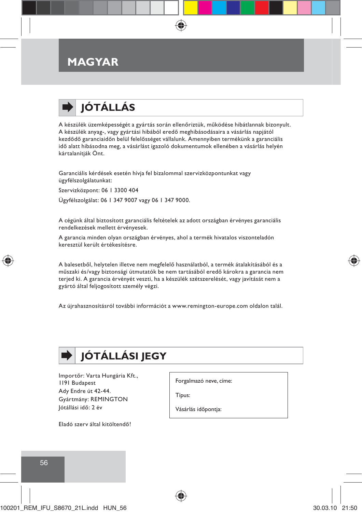

A készülék üzemképességét a gyártás során ellenőriztük, működése hibátlannak bizonyult. A készülék anyag-, vagy gyártási hibából eredő meghibásodásaira a vásárlás napjától kezdődő garanciaidőn belül felelősséget vállalunk. Amennyiben termékünk a garanciális idő alatt hibásodna meg, a vásárlást igazoló dokumentumok ellenében a vásárlás helyén kártalanítják Önt.

Garanciális kérdések esetén hívja fel bizalommal szervizközpontunkat vagy ügyfélszolgálatunkat:

Szervizközpont: 06 1 3300 404

Ügyfélszolgálat: 06 1 347 9007 vagy 06 1 347 9000.

A cégünk által biztosított garanciális feltételek az adott országban érvényes garanciális rendelkezések mellett érvényesek.

A garancia minden olyan országban érvényes, ahol a termék hivatalos viszonteladón keresztül került értékesítésre.

A balesetből, helytelen illetve nem megfelelő használatból, a termék átalakításából és a műszaki és/vagy biztonsági útmutatók be nem tartásából eredő károkra a garancia nem terjed ki. A garancia érvényét veszti, ha a készülék szétszerelését, vagy javítását nem a gyártó által feljogosított személy végzi.

Az újrahasznosításról további információt a www.remington-europe.com oldalon talál.

# **JÓTÁLLÁSI JEGY**

Importőr: Varta Hungária Kft., 1191 Budapest Ady Endre út 42-44. Gyártmány: REMINGTON Jótállási idő: 2 év

Eladó szerv által kitöltendő!

Forgalmazó neve, címe:

Típus:

Vásárlás időpontja:



₩

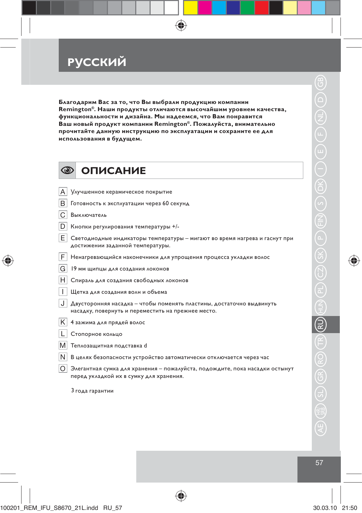**Благодарим Вас за то, что Вы выбрали продукцию компании**  функциональности и дизайна. Мы надеемся, что Вам понравится Ваш новый продукт компании Remington®. Пожалуйста, внимательно прочитайте данную инструкцию по эксплуатации и сохраните ее для использования в будущем. *<u></u>* 

### ◉ ОПИСАНИЕ ОПИСАНИЕ ОТ 1999 Г. – 1999 Г. – 1999 Г. – 1999 Г. – 1999 Г. – 1999 Г. – 1999 Г. – 1999 Г. – 1999 Г. –<br>Председателство

- A Улучшенное керамическое покрытие
- В Готовность к эксплуатации через 60 секунд
- C Выключатель

₩

- D Кнопки регулирования температуры +/-
- E Светодиодные индикаторы температуры мигают во время нагрева и гаснут при достижении заданной температуры.
- $|\mathsf{F}|$  Ненагревающийся наконечники для упрощения процесса укладки волос
- **G** 19 мм щипцы для создания локонов
- H Спираль для создания свободных локонов
- I Щетка для создания волн и объема
- J Двусторонняя насадка чтобы поменять пластины, достаточно выдвинуть насадку, повернуть и переместить на прежнее место.
- $\overline{\left|\mathsf{K}\right|}$  4 зажима для прядей волос
- L Стопорное кольцо
- M Теплозащитная подставка d
- N В целях безопасности устройство автоматически отключается через час
- $\overline{O} \mid$  Элегантная сумка для хранения пожалуйста, подождите, пока насадки остынут перед укладкой их в сумку для хранения.

3 года гарантии

♠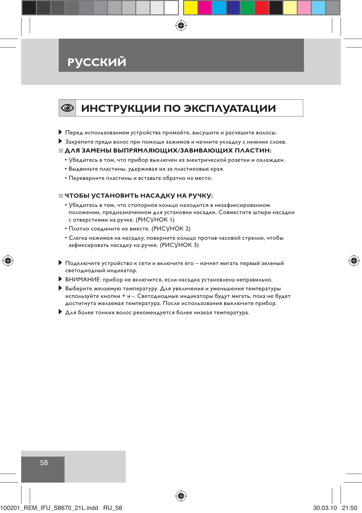### $\circledcirc$ **<u>ИНСТРУКЦии по эксплуатий по эксплуатий по эксплуатий по эксплуатий по эксплуатий по эксплуатий по эксплуатий**</u>

- Перед использованием устройства промойте, высушите и расчешите волосы.
- Закрепите пряди волос при помощи зажимов и начните укладку с нижних слоев.

#### **■ ДЛЯ ЗАМЕНЫ ВЫПРЯМЛЯЮЩИХ/ЗАВИВАЮЩИХ ПЛАСТИН:**

- **••**<br>• Убедитесь в том, что прибор выключен из электрической розетки и охлажден.
	- Выдвиньте пластины, удерживая их за пластиковые края.
	- Переверните пластины и вставьте обратно на место.

- **ЧТОБЫ УСТАНОВИТЬ НАСАДКУ НА РУЧКУ:** • Убедитесь в том, что стопорное кольцо находится в незафиксированном положении, предназначенном для установки насадки. Совместите штыри насадки с отверстиями на ручке. (РИСУНОК 1)
	- Плотно соедините их вместе. (РИСУНОК 2)
	- Слегка нажимая на насадку, поверните кольцо против часовой стрелки, чтобы зафиксировать насадку на ручке. (РИСУНОК 3)
- Подключите устройство к сети и включите его начнет мигать первый зеленый светодиодный индикатор.
- ВНИМАНИЕ: прибор не включится, если насадка установлена неправильно.
- Выберите желаемую температуру. Для увеличения и уменьшения температуры используйте кнопки + и -. Светодиодные индикаторы будут мигать, пока не будет достигнута желаемая температура. После использования выключите прибор.
- Для более тонких волос рекомендуется более низкая температура.

| 58                                  |  |                |
|-------------------------------------|--|----------------|
|                                     |  |                |
|                                     |  |                |
|                                     |  |                |
| 100201_REM_IFU_S8670_21L.indd RU_58 |  | 30.03.10 21:50 |

⊕

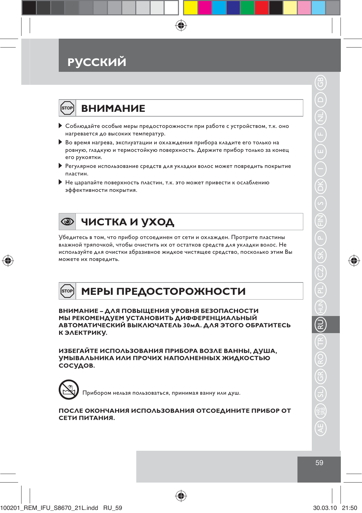#### (stor **ВНИМАНИЕ ВНИМАНИЕ**

- Соблюдайте особые меры предосторожности при работе с устройством, т.к. оно нагревается до высоких температур.
- Во время нагрева, эксплуатации и охлаждения прибора кладите его только на ровную, гладкую и термостойкую поверхность. Держите прибор только за конец его рукоятки.
- Регулярное использование средств для укладки волос может повредить покрытие пластин.
- Не царапайте поверхность пластин, т.к. это может привести к ослаблению эффективности покрытия.



⊕

<u>Гигад</u><br>Убедитесь в том, что прибор отсоединен от сети и охлажден. Протрите пластины влажной тряпочкой, чтобы очистить их от остатков средств для укладки волос. Не используйте для очистки абразивное жидкое чистящее средство, посколько этим Вы можете их повредить.



**ВНИМАНИЕ – ДЛЯ ПОВЫЩЕНИЯ УРОВНЯ БЕЗОПАСНОСТИ**  АВТОМАТИЧЕСКИЙ ВЫКЛЮЧАТЕЛЬ 30 мА. ДЛЯ ЭТОГО ОБРАТИТЕСЬ **К ЭЛЕКТРИКУ. К ЭЛЕКТРИКУ.**

ИЗБЕГАЙТЕ ИСПОЛЬЗОВАНИЯ ПРИБОРА ВОЗЛЕ ВАННЫ. ДУША. **УМЫВАЛЬНИКА ИЛИ ПРОЧИХ НАПОЛНЕННЫХ ЖИДКОСТЬЮ** СОСУДОВ. **СОСУДОВ.**



# **ПОСЛЕ ОКОНЧАНИЯ ИСПОЛЬЗОВАНИЯ ОТСОЕДИНИТЕ ПРИБОР ОТ**

♠

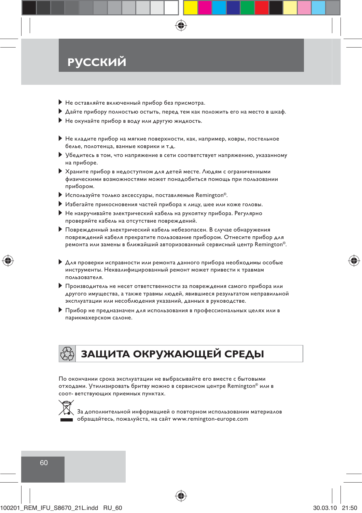### **РУССКИЙ РУССКИЙ**

- Не оставляйте включенный прибор без присмотра.
- Дайте прибору полностью остыть, перед тем как положить его на место в шкаф.
- Не окунайте прибор в воду или другую жидкость.
- Не кладите прибор на мягкие поверхности, как, например, ковры, постельное белье, полотенца, ванные коврики и т.д.
- Убедитесь в том, что напряжение в сети соответствует напряжению, указанному на приборе.
- Храните прибор в недоступном для детей месте. Людям с ограниченными физическими возможностями может понадобиться помощь при пользовании прибором.
- $\blacktriangleright$  Используйте только аксессуары, поставляемые Remington®.
- Избегайте прикосновения частей прибора к лицу, шее или коже головы.
- Не накручивайте электрический кабель на рукоятку прибора. Регулярно проверяйте кабель на отсутствие повреждений.
- Поврежденный электрический кабель небезопасен. В случае обнаружения повреждений кабеля прекратите пользование прибором. Отнесите прибор для ремонта или замены в ближайший авторизованный сервисный центр Remington®.
- Для проверки исправности или ремонта данного прибора необходимы особые инструменты. Неквалифицированный ремонт может привести к травмам пользователя.
- Производитель не несет ответственности за повреждения самого прибора или другого имущества, а также травмы людей, явившиеся результатом неправильной эксплуатации или несоблюдения указаний, данных в руководстве.
- Прибор не предназначен для использования в профессиональных целях или в парикмахерском салоне.

# <u>ЗАЩИ СРЕДНИ СРЕДНИ СРЕДНИ СРЕДНИ СРЕДНИ СРЕДНИ СРЕДНИ СРЕДНИ СРЕДНИ СРЕДНИ СРЕДНИ СРЕДНИ СРЕДНИ СРЕДНИ СРЕДНИ</u>

По окончании срока эксплуатации не выбрасывайте его вместе с бытовыми отходами. Утилизировать бритву можно в сервисном центре Remington® или в соот- ветствующих приемных пунктах.



За дополнительной информацией о повторном использовании материалов обращайтесь, пожалуйста, на сайт www.remington-europe.com

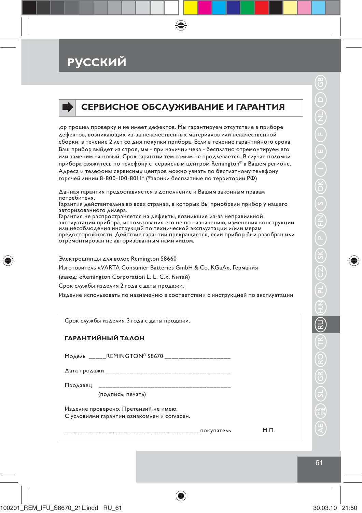

⊕

# **СЕРВИСНОЕ ОБСЛУЖИВАНИЕ И ГАРАНТИЯ**

,ор прошел проверку и не имеет дефектов. Мы гарантируем отсутствие в приборе дефектов, возникающих из-за некачественных материалов или некачественной сборки, в течение 2 лет со дня покупки прибора. Если в течение гарантийного срока Ваш прибор выйдет из строя, мы - при наличии чека - бесплатно отремонтируем его или заменим на новый. Срок гарантии тем самым не продлевается. В случае поломки прибора свяжитесь по телефону с сервисным центром Remington® в Вашем регионе. Адреса и телефоны сервисных центров можно узнать по бесплатному телефону горячей линии 8-800-100-8011\* (\*звонки бесплатные по территории РФ)

Данная гарантия предоставляется в дополнение к Вашим законным правам потребителя.

Гарантия действительна во всех странах, в которых Вы приобрели прибор у нашего авторизованного дилера.

Гарантия не распространяется на дефекты, возникшие из-за неправильной эксплуатации прибора, использования его не по назначению, изменения конструкции или несоблюдения инструкций по технической эксплуатации и/или мерам предосторожности. Действие гарантии прекращается, если прибор был разобран или отремонтирован не авторизованным нами лицом.

Электрощипцы для волос Remington S8660

Изготовитель «VARTA Consumer Batteries GmbH & Co. KGaA», Германия

(завод: «Remington Corporation L. L. C.», Китай)

Срок службы изделия 2 года с даты продажи.

Изделие использовать по назначению в соответствии с инструкцией по эксплуатации

♠

Срок службы изделия 3 года с даты продажи.

#### ГАРАНТИЙНЫЙ ТАЛОН

| REMINGTON® S8670<br>Модель |  |
|----------------------------|--|
| Дата продажи               |  |
| Продавец                   |  |

(подпись, печать)

Изделие проверено. Претензий не имею. С условиями гарантии ознакомлен и согласен.

\_\_\_\_\_\_\_\_\_\_\_\_\_\_\_\_\_\_\_\_\_\_\_\_\_\_\_\_\_\_\_\_\_\_\_\_\_\_\_покупатель М.П.

♠

100201\_REM\_IFU\_S8670\_21L.indd RU\_61 00201\_REM\_IFU\_S8670\_21L.indd 30.03.10 21:50 0.03.10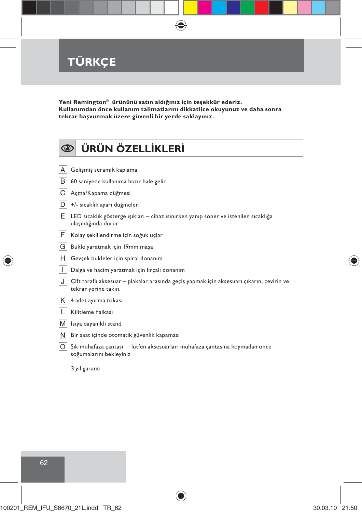

**Yeni Remington® ürününü satın aldığınız için teşekkür ederiz. Kullanımdan önce kullanım talimatlarını dikkatlice okuyunuz ve daha sonra tekrar başvurmak üzere güvenli bir yerde saklayınız.**

 $\bigoplus$ 

| $\odot$      | <b>ÜRÜN ÖZELLİKLERİ</b>                                                                                           |
|--------------|-------------------------------------------------------------------------------------------------------------------|
|              |                                                                                                                   |
| Α            | Gelişmiş seramik kaplama                                                                                          |
| В            | 60 saniyede kullanıma hazır hale gelir                                                                            |
| C            | Açma/Kapama düğmesi                                                                                               |
| D            | +/- sıcaklık ayarı düğmeleri                                                                                      |
| E            | LED sıcaklık gösterge ışıkları - cihaz ısınırken yanıp söner ve istenilen sıcaklığa<br>ulaşıldığında durur        |
| F            | Kolay şekillendirme için soğuk uçlar                                                                              |
| G            | Bukle yaratmak için 19mm maşa                                                                                     |
| н            | Gevşek bukleler için spiral donanım                                                                               |
| $\mathbf{I}$ | Dalga ve hacim yaratmak için fırçalı donanım                                                                      |
| J            | Çift taraflı aksesuar - plakalar arasında geçiş yapmak için aksesuarı çıkarın, çevirin ve<br>tekrar yerine takın. |
| Κ            | 4 adet ayırma tokası                                                                                              |
| L            | Kilitleme halkası                                                                                                 |
| Μ            | Isıya dayanıklı stand                                                                                             |
| N            | Bir saat içinde otomatik güvenlik kapaması                                                                        |
| ΟI           | Şık muhafaza çantası – lütfen aksesuarları muhafaza çantasına koymadan önce<br>soğumalarını bekleyiniz            |

yıl garanti 3

 $\bigoplus$ 





 $\bigoplus$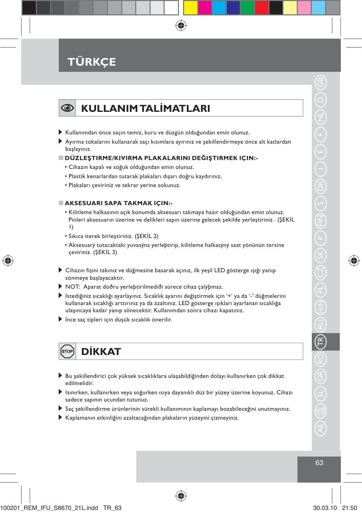# **TÜRKÇE**

### **KULLANIM TALİMATLARI**

- Kullanımdan önce saçın temiz, kuru ve düzgün olduğundan emin olunuz.
- Ayırma tokalarını kullanarak saçı kısımlara ayırınız ve şekillendirmeye önce alt katlardan başlayınız.

#### **DÜZLEŞTIRME/KIVIRMA PLAKALARINI DEĞIŞTIRMEK IÇIN:-**

- Cihazın kapalı ve soğuk olduğundan emin olunuz.
- Plastik kenarlardan tutarak plakaları dışarı doğru kaydırınız.
- Plakaları çeviriniz ve tekrar yerine sokunuz.

#### **AKSESUARI SAPA TAKMAK IÇIN:-**

- Kilitleme halkasının açık konumda aksesuarı takmaya hazır olduğundan emin olunuz. Pinleri aksesuarın üzerine ve delikleri sapın üzerine gelecek şekilde yerleştiriniz . (ŞEKİL 1)
- Sıkıca iterek birleştiriniz. (ŞEKİL 2)
- Aksesuarý tutacaktaki yuvasýna yerleþtirip, kilitleme halkasýný saat yönünün tersine çeviriniz. (ŞEKİL 3)
- Cihazın fişini takınız ve düğmesine basarak açınız, ilk yeşil LED gösterge ışığı yanıp sönmeye başlayacaktır.
- NOT: Aparat doðru yerleþtirilmediði sürece cihaz çalýþmaz.
- İstediğiniz sıcaklığı ayarlayınız. Sıcaklık ayarını değiştirmek için '+' ya da '-' düğmelerini kullanarak sıcaklığı arttırınız ya da azaltınız. LED gösterge ışıkları ayarlanan sıcaklığa ulaşıncaya kadar yanıp sönecektir. Kullanımdan sonra cihazı kapatınız.
- $\blacktriangleright$  İnce sac tipleri için düşük sıcaklık önerilir.

### **DİKKAT**

- Bu şekillendirici çok yüksek sıcaklıklara ulaşabildiğinden dolayı kullanırken çok dikkat edilmelidir.
- Isınırken, kullanırken veya soğurken ısıya dayanıklı düz bir yüzey üzerine koyunuz. Cihazı sadece sapının ucundan tutunuz.
- Saç şekillendirme ürünlerinin sürekli kullanımının kaplamayı bozabileceğini unutmayınız.

♠

Kaplamanın etkinliğini azaltacağından plakaların yüzeyini çizmeyiniz.

♠

₩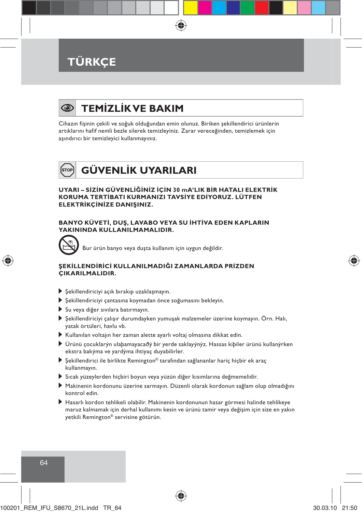## **TÜRKÇE**

#### **TEMİZLİK VE BAKIM** ◉

Cihazın fişinin çekili ve soğuk olduğundan emin olunuz. Biriken şekillendirici ürünlerin artıklarını hafif nemli bezle silerek temizleyiniz. Zarar vereceğinden, temizlemek için aşındırıcı bir temizleyici kullanmayınız.

#### **GÜVENLİK UYARILARI** Ístop

**UYARI – SİZİN GÜVENLİĞİNİZ İÇİN 30 mA'LIK BİR HATALI ELEKTRİK KORUMA TERTİBATI KURMANIZI TAVSİYE EDİYORUZ. LÜTFEN ELEKTRİKÇİNİZE DANIŞINIZ.**

#### **BANYO KÜVETİ, DUŞ, LAVABO VEYA SU İHTİVA EDEN KAPLARIN YAKININDA KULLANILMAMALIDIR.**



Bur ürün banyo veya duşta kullanım için uygun değildir.

#### **ŞEKİLLENDİRİCİ KULLANILMADIĞI ZAMANLARDA PRİZDEN ÇIKARILMALIDIR.**

- Şekillendiriciyi açık bırakıp uzaklaşmayın.
- Şekillendiriciyi çantasına koymadan önce soğumasını bekleyin.
- Su veya diğer sıvılara batırmayın.
- Şekillendiriciyi çalışır durumdayken yumuşak malzemeler üzerine koymayın. Örn. Halı, yatak örtüleri, havlu vb.
- Kullanılan voltajın her zaman alette ayarlı voltaj olmasına dikkat edin.
- Ürünü çocuklarýn ulaþamayacaðý bir yerde saklayýnýz. Hassas kiþiler ürünü kullanýrken ekstra bakýma ve yardýma ihtiyaç duyabilirler.
- Şekillendirici ile birlikte Remington® tarafından sağlananlar hariç hiçbir ek araç kullanmayın.
- Sıcak yüzeylerden hiçbiri boyun veya yüzün diğer kısımlarına değmemelidir.
- Makinenin kordonunu üzerine sarmayın. Düzenli olarak kordonun sağlam olup olmadığını kontrol edin.
- Hasarlı kordon tehlikeli olabilir. Makinenin kordonunun hasar görmesi halinde tehlikeye maruz kalmamak için derhal kullanımı kesin ve ürünü tamir veya değişim için size en yakın yetkili Remington® servisine götürün.



64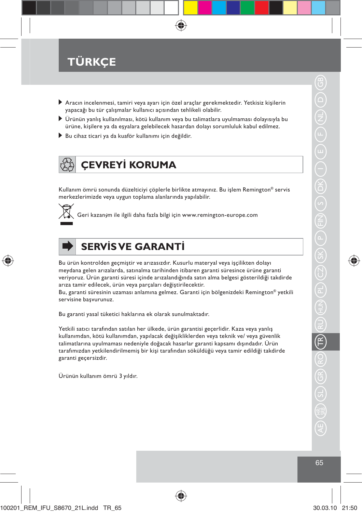# **TÜRKÇE**

- Aracın incelenmesi, tamiri veya ayarı için özel araçlar gerekmektedir. Yetkisiz kişilerin yapacağı bu tür çalışmalar kullanıcı açısından tehlikeli olabilir.
- Ürünün yanlış kullanılması, kötü kullanım veya bu talimatlara uyulmaması dolayısıyla bu ürüne, kişilere ya da eşyalara gelebilecek hasardan dolayı sorumluluk kabul edilmez.
- Bu cihaz ticari ya da kuaför kullanımı için değildir.

# **ÇEVREYİ KORUMA**

Kullanım ömrü sonunda düzelticiyi çöplerle birlikte atmayınız. Bu işlem Remington® servis merkezlerimizde veya uygun toplama alanlarında yapılabilir.



Geri kazaným ile ilgili daha fazla bilgi için www.remington-europe.com



₩

### **SERVİS VE GARANTİ**

Bu ürün kontrolden geçmiştir ve arızasızdır. Kusurlu materyal veya işçilikten dolayı meydana gelen arızalarda, satınalma tarihinden itibaren garanti süresince ürüne garanti veriyoruz. Ürün garanti süresi içinde arızalandığında satın alma belgesi gösterildiği takdirde arıza tamir edilecek, ürün veya parçaları değiştirilecektir.

Bu, garanti süresinin uzaması anlamına gelmez. Garanti için bölgenizdeki Remington® yetkili servisine başvurunuz.

Bu garanti yasal tüketici haklarına ek olarak sunulmaktadır.

Yetkili satıcı tarafından satılan her ülkede, ürün garantisi geçerlidir. Kaza veya yanlış kullanımdan, kötü kullanımdan, yapılacak değişikliklerden veya teknik ve/ veya güvenlik talimatlarına uyulmaması nedeniyle doğacak hasarlar garanti kapsamı dışındadır. Ürün tarafımızdan yetkilendirilmemiş bir kişi tarafından söküldüğü veya tamir edildiği takdirde garanti geçersizdir.

Urünün kullanım ömrü 3 yıldır.

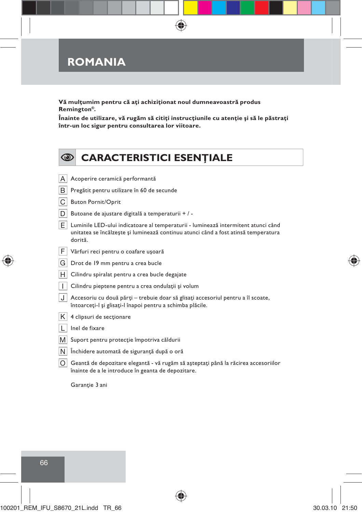**Vă mulţumim pentru că aţi achiziţionat noul dumneavoastră produs Remington®.**

**Înainte de utilizare, vă rugăm să citiţi instrucţiunile cu atenţie şi să le păstraţi într-un loc sigur pentru consultarea lor viitoare.**

 $\bigoplus$ 

| $\circ$      | <b>CARACTERISTICI ESENȚIALE</b>                                                                                                                                                    |
|--------------|------------------------------------------------------------------------------------------------------------------------------------------------------------------------------------|
|              |                                                                                                                                                                                    |
| A            | Acoperire ceramică performantă                                                                                                                                                     |
| В            | Pregătit pentru utilizare în 60 de secunde                                                                                                                                         |
| C            | <b>Buton Pornit/Oprit</b>                                                                                                                                                          |
| D            | Butoane de ajustare digitală a temperaturii + / -                                                                                                                                  |
| E            | Luminile LED-ului indicatoare al temperaturii - luminează intermitent atunci când<br>unitatea se încălzește și luminează continuu atunci când a fost atinsă temperatura<br>dorită. |
| F            | Vârfuri reci pentru o coafare usoară                                                                                                                                               |
| G            | Drot de 19 mm pentru a crea bucle                                                                                                                                                  |
| H            | Cilindru spiralat pentru a crea bucle degajate                                                                                                                                     |
| $\mathbf{I}$ | Cilindru pieptene pentru a crea ondulații și volum                                                                                                                                 |
| J            | Accesoriu cu două părți – trebuie doar să glisați accesoriul pentru a îl scoate,<br>întoarceți-l și glisați-l înapoi pentru a schimba plăcile.                                     |
| ĸ            | 4 clipsuri de sectionare                                                                                                                                                           |
| L            | Inel de fixare                                                                                                                                                                     |
| M            | Suport pentru protecție împotriva căldurii                                                                                                                                         |
| $\mathsf{N}$ | Închidere automată de siguranță după o oră                                                                                                                                         |
| O            | Geantă de depozitare elegantă - vă rugăm să așteptați până la răcirea accesoriilor<br>înainte de a le introduce în geanta de depozitare.                                           |

Garanție 3 ani



◈



◈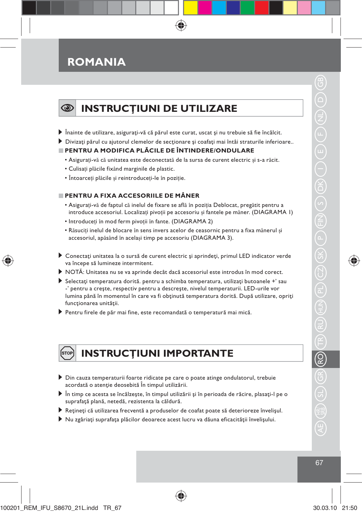### **INSTRUCŢIUNI DE UTILIZARE**

- Înainte de utilizare, asiguraţi-vă că părul este curat, uscat şi nu trebuie să fie încâlcit.
- Divizaţi părul cu ajutorul clemelor de secţionare şi coafaţi mai întâi straturile inferioare..

#### **PENTRU A MODIFICA PLĂCILE DE ÎNTINDERE/ONDULARE**

- Asigurati-vă că unitatea este deconectată de la sursa de curent electric și s-a răcit.
- Culisaţi plăcile fixând marginile de plastic.
- Întoarceţi plăcile şi reintroduceţi-le în poziţie.

#### **PENTRU A FIXA ACCESORIILE DE MÂNER**

- Asigurati-vă de faptul că inelul de fixare se află în pozitia Deblocat, pregătit pentru a introduce accesoriul. Localizaţi pivoţii pe accesoriu şi fantele pe mâner. (DIAGRAMA 1)
- Introduceţi în mod ferm pivoţii în fante. (DIAGRAMA 2)
- Răsuciţi inelul de blocare în sens invers acelor de ceasornic pentru a fixa mânerul şi accesoriul, apăsând în acelaşi timp pe accesoriu (DIAGRAMA 3).
- ▶ Conectați unitatea la o sursă de curent electric și aprindeți, primul LED indicator verde va începe să lumineze intermitent.
- NOTĂ: Unitatea nu se va aprinde decât dacă accesoriul este introdus în mod corect.
- Selectaţi temperatura dorită. pentru a schimba temperatura, utilizaţi butoanele +' sau -' pentru a creşte, respectiv pentru a descreşte, nivelul temperaturii. LED-urile vor lumina până în momentul în care va fi obţinută temperatura dorită. După utilizare, opriţi functionarea unității.
- Pentru firele de păr mai fine, este recomandată o temperatură mai mică.

#### **INSTRUCŢIUNI IMPORTANTE** .<br>STOL

- Din cauza temperaturii foarte ridicate pe care o poate atinge ondulatorul, trebuie acordată o atenţie deosebită În timpul utilizării.
- În timp ce acesta se încălzeşte, în timpul utilizării şi în perioada de răcire, plasaţi-l pe o suprafaţă plană, netedă, rezistenta la căldură.
- Reţineţi că utilizarea frecventă a produselor de coafat poate să deterioreze învelişul.
- Nu zgâriaţi suprafaţa plăcilor deoarece acest lucru va dăuna eficacităţii învelişului.

◈

⇔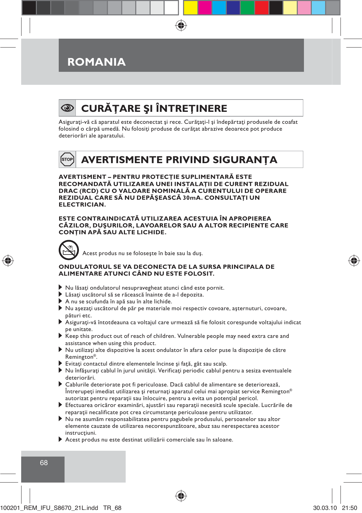

## **CURĂŢARE ŞI ÎNTREŢINERE**

Asiguraţi-vă că aparatul este deconectat şi rece. Curăţaţi-l şi îndepărtaţi produsele de coafat folosind o cârpă umedă. Nu folosiţi produse de curăţat abrazive deoarece pot produce deteriorări ale aparatului.

#### Ísтор **AVERTISMENTE PRIVIND SIGURANŢA**

**AVERTISMENT – PENTRU PROTECŢIE SUPLIMENTARĂ ESTE RECOMANDATĂ UTILIZAREA UNEI INSTALAŢII DE CURENT REZIDUAL DRAC (RCD) CU O VALOARE NOMINALĂ A CURENTULUI DE OPERARE REZIDUAL CARE SĂ NU DEPĂŞEASCĂ 30mA. CONSULTAŢI UN ELECTRICIAN.**

**ESTE CONTRAINDICATĂ UTILIZAREA ACESTUIA ÎN APROPIEREA CĂZILOR, DUŞURILOR, LAVOARELOR SAU A ALTOR RECIPIENTE CARE CONŢIN APĂ SAU ALTE LICHIDE.**



Acest produs nu se foloseşte în baie sau la duş.

#### **ONDULATORUL SE VA DECONECTA DE LA SURSA PRINCIPALA DE ALIMENTARE ATUNCI CÂND NU ESTE FOLOSIT.**

- Nu lăsaţi ondulatorul nesupravegheat atunci când este pornit.
- Lăsaţi uscătorul să se răcească înainte de a-l depozita.
- A nu se scufunda în apă sau în alte lichide.
- Nu aşezaţi uscătorul de păr pe materiale moi respectiv covoare, aşternuturi, covoare, pături etc.
- Asiguraţi-vă întotdeauna ca voltajul care urmează să fie folosit corespunde voltajului indicat pe unitate.
- Keep this product out of reach of children. Vulnerable people may need extra care and assistance when using this product.
- ▶ Nu utilizați alte dispozitive la acest ondulator în afara celor puse la dispoziție de către Remington®.
- Evitaţi contactul dintre elementele încinse şi faţă, gât sau scalp.
- Nu înfăşuraţi cablul în jurul unităţii. Verificaţi periodic cablul pentru a sesiza eventualele deteriorări.
- Cablurile deteriorate pot fi periculoase. Dacă cablul de alimentare se deteriorează, Întrerupeţi imediat utilizarea şi returnaţi aparatul celui mai apropiat service Remington® autorizat pentru reparații sau înlocuire, pentru a evita un potențial pericol.
- Efectuarea oricăror examinări, ajustări sau reparaţii necesită scule speciale. Lucrările de reparaţii necalificate pot crea circumstanţe periculoase pentru utilizator.
- Nu ne asumăm responsabilitatea pentru pagubele produsului, persoanelor sau altor elemente cauzate de utilizarea necorespunzătoare, abuz sau nerespectarea acestor instrucţiuni.
- Acest produs nu este destinat utilizării comerciale sau în saloane.

100201\_REM\_IFU\_S8670\_21L.indd TR\_68 30.03.10 21:50

68

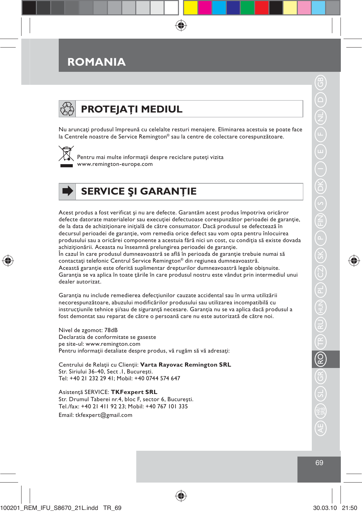

Nu aruncaţi produsul împreună cu celelalte resturi menajere. Eliminarea acestuia se poate face la Centrele noastre de Service Remington® sau la centre de colectare corespunzătoare.



Pentru mai multe informaţii despre reciclare puteţi vizita www.remington-europe.com



⊕

### **SERVICE ŞI GARANŢIE**

Acest produs a fost verificat şi nu are defecte. Garantăm acest produs împotriva oricăror defecte datorate materialelor sau execuţiei defectuoase corespunzător perioadei de garanţie, de la data de achiziţionare iniţială de către consumator. Dacă produsul se defectează în decursul perioadei de garanţie, vom remedia orice defect sau vom opta pentru înlocuirea produsului sau a oricărei componente a acestuia fără nici un cost, cu condiţia să existe dovada achiziţionării. Aceasta nu înseamnă prelungirea perioadei de garanţie. În cazul în care produsul dumneavoastră se află în perioada de garanţie trebuie numai să contactaţi telefonic Centrul Service Remington® din regiunea dumneavoastră. Această garanţie este oferită suplimentar drepturilor dumneavoastră legale obişnuite. Garanţia se va aplica în toate ţările în care produsul nostru este vândut prin intermediul unui dealer autorizat.

Garanția nu include remedierea defecțiunilor cauzate accidental sau în urma utilizării necorespunzătoare, abuzului modificărilor produsului sau utilizarea incompatibilă cu instrucțiunile tehnice și/sau de siguranță necesare. Garanția nu se va aplica dacă produsul a fost demontat sau reparat de către o persoană care nu este autorizată de către noi.

♠

Nivel de zgomot: 78dB Declaratia de conformitate se gaseste pe site-ul: www.remington.com Pentru informaţii detaliate despre produs, vă rugăm să vă adresaţi:

Centrului de Relaţii cu Clienţii: **Varta Rayovac Remington SRL** Str. Siriului 36-40, Sect .1, Bucureşti. Tel: +40 21 232 29 41; Mobil: +40 0744 574 647

Asistenţă SERVICE: **TKFexpert SRL** Str. Drumul Taberei nr.4, bloc F, sector 6, Bucureşti. Tel./fax: +40 21 411 92 23; Mobil: +40 767 101 335 Email: tkfexpert@gmail.com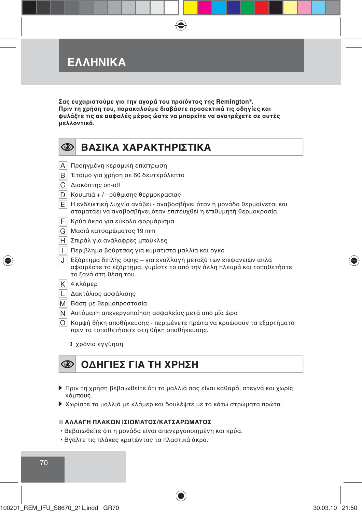### ΕΛΛΗΝΙΚΑ

Σας ευχαριστούμε για την αγορά του προϊόντος της Remington®. Πριν τη χρήση του, παρακαλούμε διαβάστε προσεκτικά τις οδηγίες και φυλάξτε τις σε ασφαλές μέρος ώστε να μπορείτε να ανατρέχετε σε αυτές μελλοντικά.

#### **ΒΔΣΙΚΔ ΧΔΡΔΚΤΗΡΙΣΤΙΚΔ** ◎

- Α Προηγμένη κεραμική επίστρωση
- Β Έτοιμο για χρήση σε 60 δευτερόλεπτα
- C Διακόπτης on-off
- D Κουμπιά + / ρύθμισης θερμοκρασίας
- Ε | Η ενδεικτική λυχνία ανάβει αναβοσβήνει όταν η μονάδα θερμαίνεται και σταματάει να αναβοσβήνει όταν επιτευχθεί η επιθυμητή θερμοκρασία.
- F | Κρύα άκρα για εύκολο φορμάρισμα
- G | Μασιά κατσαρώματος 19 mm
- Η Σπιράλ για ανάλαφρες μπούκλες
- | Περίβλημα βούρτσας για κυματιστά μαλλιά και όγκο
- J Eξάρτημα διπλής όψης για εναλλαγή μεταξύ των επιφανειών απλά αφαιρέστε το εξάρτημα, γυρίστε το από την άλλη πλευρά και τοποθετήστε το ξανά στη θέση του.
- $K$  4 κλάμερ

₩

- L Δακτύλιος ασφάλισης
- Μ Βάση με θερμοπροστασία
- N | Αυτόματη απενεργοποίηση ασφαλείας μετά από μία ώρα
- Ο Κομψή θήκη αποθήκευσης περιμένετε πρώτα να κρυώσουν τα εξαρτήματα πριν τα τοποθετήσετε στη θήκη αποθήκευσης.
	- 3 χρόνια εγγύηση

#### ◎ ΟΔΗΓΙΕΣ ΓΙΑ ΤΗ ΧΡΗΣΗ

- ▶ Πριν τη χρήση βεβαιωθείτε ότι τα μαλλιά σας είναι καθαρά, στεγνά και χωρίς κόμπους.
- ▶ Χωρίστε τα μαλλιά με κλάμερ και δουλέψτε με τα κάτω στρώματα πρώτα.

#### ■ ΑΛΛΑΓΗ ΠΛΑΚΩΝ ΙΣΙΩΜΑΤΟΣ/ΚΑΤΣΑΡΩΜΑΤΟΣ

- Βεβαιωθείτε ότι η μονάδα είναι απενεργοποιημένη και κρύα.
- Βγάλτε τις πλάκες κρατώντας τα πλαστικά άκρα.

100201 REM IFU S8670 21L.indd GR70

 $70$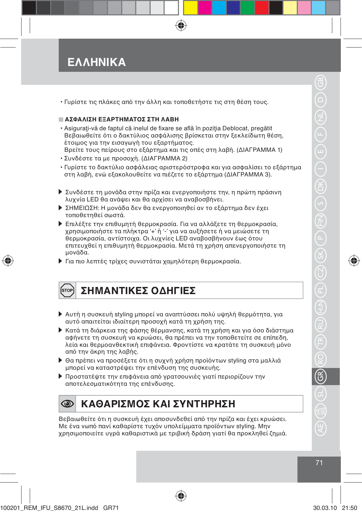## ΕΛΛΗΝΙΚΑ

• Γυρίστε τις πλάκες από την άλλη και τοποθετήστε τις στη θέση τους.

#### **ΑΣΦΑΛΙΣΗ ΕΞΑΡΤΗΜΑΤΟΣ ΣΤΗ ΛΑΒΗ**

- · Asigurati-vă de faptul că inelul de fixare se află în pozitia Deblocat, pregătit Βεβαιωθείτε ότι ο δακτύλιος ασφάλισης βρίσκεται στην ξεκλείδωτη θέση, έτοιμος για την εισαγωγή του εξαρτήματος. Βρείτε τους πείρους στο εξάρτημα και τις οπές στη λαβή. (ΔΙΑΓΡΑΜΜΑ 1)
- Συνδέστε τα με προσοχή, (ΔΙΑΓΡΑΜΜΑ 2)
- Γυρίστε το δακτύλιο ασφάλειας αριστερόστροφα και για ασφαλίσει το εξάρτημα στη λαβή, ενώ εξακολουθείτε να πιέζετε το εξάρτημα (ΔΙΑΓΡΑΜΜΑ 3).
- ▶ Συνδέστε τη μονάδα στην πρίζα και ενεργοποιήστε την, η πρώτη πράσινη λυχνία LED θα ανάψει και θα αρχίσει να αναβοσβήνει.
- ▶ ΣΗΜΕΙΩΣΗ: Η μονάδα δεν θα ενεργοποιηθεί αν το εξάρτημα δεν έχει τοποθετηθεί σωστά.
- ▶ Επιλέξτε την επιθυμητή θερμοκρασία. Για να αλλάξετε τη θερμοκρασία. χρησιμοποιήστε τα πλήκτρα '+' ή '-' για να αυξήσετε ή να μειώσετε τη θερμοκρασία, αντίστοιχα. Οι λυχνίες LED αναβοσβήνουν έως ότου επιτευχθεί η επιθυμητή θερμοκρασία. Μετά τη χρήση απενεργοποιήστε τη μονάδα.
- ▶ Για πιο λεπτές τρίχες συνιστάται χαμηλότερη θερμοκρασία.

⊕

### ΣΗΜΑΝΤΙΚΕΣ ΟΔΗΓΙΕΣ

- ▶ Αυτή η συσκευή styling μπορεί να αναπτύσσει πολύ υψηλή θερμότητα, για αυτό απαιτείται ιδιαίτερη προσοχή κατά τη χρήση της.
- ▶ Κατά τη διάρκεια της φάσης θέρμανσης, κατά τη χρήση και για όσο διάστημα αφήνετε τη συσκευή να κρυώσει, θα πρέπει να την τοποθετείτε σε επίπεδη, λεία και θερμοανθεκτική επιφάνεια. Φροντίστε να κρατάτε τη συσκευή μόνο από την άκρη της λαβής.
- ▶ Θα πρέπει να προσέξετε ότι η συχνή χρήση προϊόντων styling στα μαλλιά μπορεί να καταστρέψει την επένδυση της συσκευής.
- ▶ Προστατέψτε την επιφάνεια από γρατσουνιές γιατί περιορίζουν την αποτελεσματικότητα της επένδυσης.

#### $\circledcirc$ ΚΑΘΑΡΙΣΜΟΣ ΚΑΙ ΣΥΝΤΗΡΗΣΗ

Βεβαιωθείτε ότι η συσκευή έχει αποσυνδεθεί από την πρίζα και έχει κρυώσει. Με ένα νωπό πανί καθαρίστε τυχόν υπολείμματα προϊόντων styling. Μην χρησιμοποιείτε υγρά καθαριστικά με τριβική δράση γιατί θα προκληθεί ζημιά. ♠

♠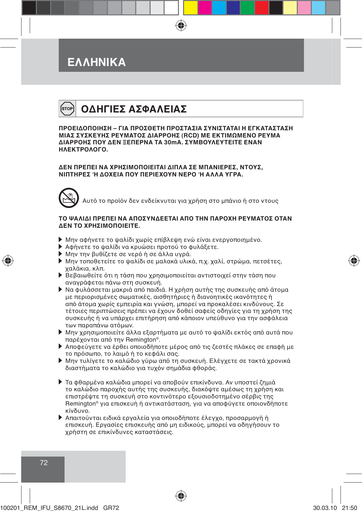## ΕΛΛΗΝΙΚΑ

#### ΟΔΗΓΙΕΣ ΑΣΦΑΛΕΙΑΣ Ísтоғ

ΠΡΟΕΙΔΟΠΟΙΗΣΗ – ΓΙΑ ΠΡΟΣΘΕΤΗ ΠΡΟΣΤΑΣΙΑ ΣΥΝΙΣΤΑΤΑΙ Η ΕΓΚΑΤΑΣΤΑΣΗ ΜΙΑΣ ΣΥΣΚΕΥΗΣ ΡΕΥΜΑΤΟΣ ΔΙΑΡΡΟΗΣ (RCD) ΜΕ ΕΚΤΙΜΩΜΕΝΟ ΡΕΥΜΑ ΔΙΑΡΡΟΗΣ ΠΟΥ ΔΕΝ ΞΕΠΕΡΝΑ ΤΑ 30mA. ΣΥΜΒΟΥΛΕΥΤΕΙΤΕ ΕΝΑΝ ΗΛΕΚΤΡΟΛΟΓΟ.

ΔΕΝ ΠΡΕΠΕΙ ΝΑ ΧΡΗΣΙΜΟΠΟΙΕΙΤΑΙ ΔΙΠΛΑ ΣΕ ΜΠΑΝΙΕΡΕΣ. ΝΤΟΥΣ. ΝΙΠΤΗΡΕΣ Ή ΔΟΧΕΙΑ ΠΟΥ ΠΕΡΙΕΧΟΥΝ ΝΕΡΟ Ή ΑΛΛΑ ΥΓΡΑ.

Αυτό το προϊόν δεν ενδείκνυται για χρήση στο μπάνιο ή στο ντους

#### ΤΟ ΨΑΛΙΔΙ ΠΡΕΠΕΙ ΝΑ ΑΠΟΣΥΝΔΕΕΤΑΙ ΑΠΟ ΤΗΝ ΠΑΡΟΧΗ ΡΕΥΜΑΤΟΣ ΟΤΑΝ ΛΕΝ ΤΟ ΧΡΗΣΙΜΟΠΟΙΕΙΤΕ.

- ▶ Μην αφήνετε το ψαλίδι χωρίς επίβλεψη ενώ είναι ενεργοποιημένο.
- ▶ Αφήνετε το ψαλίδι να κρυώσει προτού το φυλάξετε.
- ▶ Μην την βυθίζετε σε νερό ή σε άλλα υγρά.
- ▶ Μην τοποθετείτε το ψαλίδι σε μαλακά υλικά, π.χ. χαλί, στρώμα, πετσέτες, χαλάκια, κλπ.
- ▶ Βεβαιωθείτε ότι η τάση που χρησιμοποιείται αντιστοιχεί στην τάση που αναγράφεται πάνω στη συσκευή.
- ▶ Να φυλάσσεται μακριά από παιδιά. Η χρήση αυτής της συσκευής από άτομα με περιορισμένες σωματικές, αισθητήριες ή διανοητικές ικανότητες ή από άτομα χωρίς εμπειρία και γνώση, μπορεί να προκαλέσει κινδύνους. Σε τέτοιες περιπτώσεις πρέπει να έχουν δοθεί σαφείς οδηνίες για τη χρήση της συσκευής ή να υπάρχει επιτήρηση από κάποιον υπεύθυνο για την ασφάλεια των παραπάνω ατόμων.
- ▶ Μην χρησιμοποιείτε άλλα εξαρτήματα με αυτό το ψαλίδι εκτός από αυτά που παρέχονται από την Remington®.
- ▶ Αποφεύγετε να έρθει οποιοδήποτε μέρος από τις ζεστές πλάκες σε επαφή με το πρόσωπο, το λαιμό ή το κεφάλι σας.
- ▶ Μην τυλίγετε το καλώδιο γύρω από τη συσκευή. Ελέγχετε σε τακτά χρονικά διαστήματα το καλώδιο για τυχόν σημάδια φθοράς.
- ▶ Τα φθαρμένα καλώδια μπορεί να αποβούν επικίνδυνα. Αν υποστεί ζημιά το καλώδιο παροχής αυτής της συσκευής, διακόψτε αμέσως τη χρήση και επιστρέψτε τη συσκευή στο κοντινότερο εξουσιοδοτημένο σέρβις της Remington® για επισκευή ή αντικατάσταση, για να αποφύγετε οποιονδήποτε κίνδυνο.
- ▶ Απαιτούνται ειδικά εργαλεία για οποιοδήποτε έλεγχο, προσαρμογή ή επισκευή. Εργασίες επισκευής από μη ειδικούς, μπορεί να οδηγήσουν το χρήστη σε επικίνδυνες καταστάσεις.

100201 REM IFU S8670 21L.indd GR72

 $72$ 

₩

30.03.10 21:50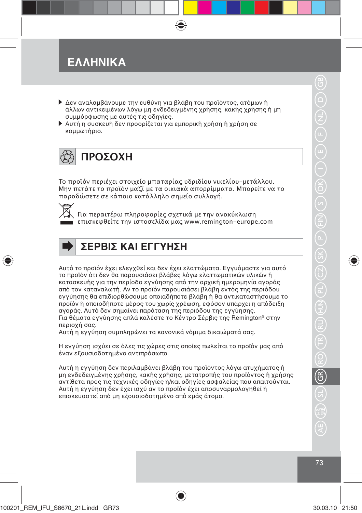## ΕΛΛΗΝΙΚΑ

- ▶ Δεν αναλαμβάνουμε την ευθύνη νια βλάβη του προϊόντος, ατόμων ή άλλων αντικειμένων λόγω μη ενδεδειγμένης χρήσης, κακής χρήσης ή μη συμμόρφωσης με αυτές τις οδηγίες.
- ▶ Αυτή η συσκευή δεν προορίζεται για εμπορική χρήση ή χρήση σε κομμωτήριο.

## ΠΡΟΣΟΧΗ

Το προϊόν περιέχει στοιχείο μπαταρίας υδριδίου νικελίου-μετάλλου. Μην πετάτε το προϊόν μαζί με τα οικιακά απορρίμματα. Μπορείτε να το παραδώσετε σε κάποιο κατάλληλο σημείο συλλογή.



Για περαιτέρω πληροφορίες σχετικά με την ανακύκλωση επισκεφθείτε την ιστοσελίδα μας www.remington-europe.com



⊕

## ΣΕΡΒΙΣ ΚΔΙ ΕΓΓΥΗΣΗ

Αυτό το προϊόν έχει ελεγχθεί και δεν έχει ελαττώματα. Εγγυόμαστε για αυτό το προϊόν ότι δεν θα παρουσιάσει βλάβες λόνω ελαττωματικών υλικών ή κατασκευής για την περίοδο εγγύησης από την αρχική ημερομηνία αγοράς από τον καταναλωτή. Αν το προϊόν παρουσιάσει βλάβη εντός της περιόδου εγγύησης θα επιδιορθώσουμε οποιαδήποτε βλάβη ή θα αντικαταστήσουμε το προϊόν ή οποιοδήποτε μέρος του χωρίς χρέωση, εφόσον υπάρχει η απόδειξη αγοράς. Αυτό δεν σημαίνει παράταση της περιόδου της εγγύησης. Για θέματα εγγύησης απλά καλέστε το Κέντρο Σέρβις της Remington® στην περιοχή σας.

Αυτή η εγγύηση συμπληρώνει τα κανονικά νόμιμα δικαιώματά σας.

Η εγγύηση ισχύει σε όλες τις χώρες στις οποίες πωλείται το προϊόν μας από έναν εξουσιοδοτημένο αντιπρόσωπο.

Αυτή η εγγύηση δεν περιλαμβάνει βλάβη του προϊόντος λόγω ατυχήματος ή μη ενδεδειγμένης χρήσης, κακής χρήσης, μετατροπής του προϊόντος ή χρήσης αντίθετα προς τις τεχνικές οδηγίες ή/και οδηγίες ασφαλείας που απαιτούνται. Αυτή η εγγύηση δεν έχει ισχύ αν το προϊόν έχει αποσυναρμολογηθεί ή επισκευαστεί από μη εξουσιοδοτημένο από εμάς άτομο.

♠

♠

73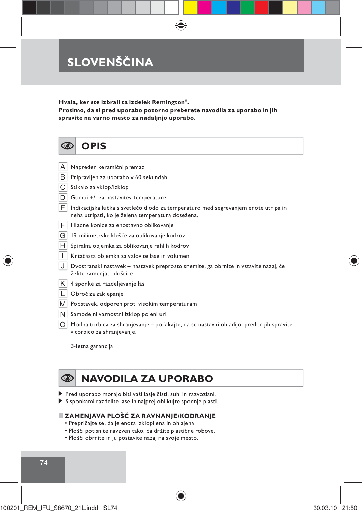**Hvala, ker ste izbrali ta izdelek Remington®.**

**Prosimo, da si pred uporabo pozorno preberete navodila za uporabo in jih spravite na varno mesto za nadaljnjo uporabo.**

⊕

|   | <b>OPIS</b>                                                                                                                             |
|---|-----------------------------------------------------------------------------------------------------------------------------------------|
|   |                                                                                                                                         |
| Α | Napreden keramični premaz                                                                                                               |
| В | Pripravljen za uporabo v 60 sekundah                                                                                                    |
| C | Stikalo za vklop/izklop                                                                                                                 |
| D | Gumbi +/- za nastavitev temperature                                                                                                     |
| E | Indikacijska lučka s svetlečo diodo za temperaturo med segrevanjem enote utripa in<br>neha utripati, ko je želena temperatura dosežena. |
| F | Hladne konice za enostavno oblikovanie                                                                                                  |
| G | 19-milimetrske klešče za oblikovanje kodrov                                                                                             |
| H | Spiralna objemka za oblikovanje rahlih kodrov                                                                                           |
| I | Krtačasta objemka za valovite lase in volumen                                                                                           |
| J | Dvostranski nastavek - nastavek preprosto snemite, ga obrnite in vstavite nazaj, če<br>želite zamenjati ploščice.                       |
| Κ | 4 sponke za razdeljevanje las                                                                                                           |
|   | Obroč za zaklepanje                                                                                                                     |
| M | Podstavek, odporen proti visokim temperaturam                                                                                           |
| N | Samodejni varnostni izklop po eni uri                                                                                                   |
| O | Modna torbica za shranjevanje – počakajte, da se nastavki ohladijo, preden jih spravite<br>v torbico za shranjevanje.                   |

3-letna garancija

#### $\circledcirc$ **NAVODILA ZA UPORABO**

- Pred uporabo morajo biti vaši lasje čisti, suhi in razvozlani.
- S sponkami razdelite lase in najprej oblikujte spodnje plasti.

#### **ZAMENJAVA PLOŠČ ZA RAVNANJE/KODRANJE**

- Prepričajte se, da je enota izklopljena in ohlajena.
- Plošči potisnite navzven tako, da držite plastične robove.

◈

• Plošči obrnite in ju postavite nazaj na svoje mesto.

74

♠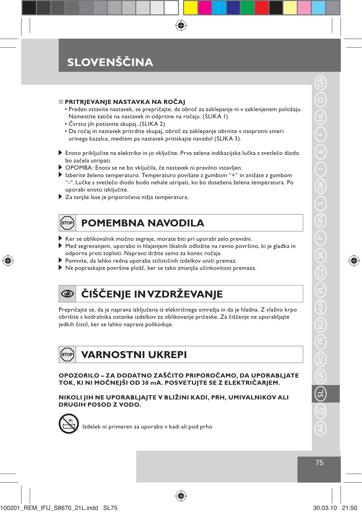#### **PRITRJEVANJE NASTAVKA NA ROČAJ**

- Preden vstavite nastavek, se prepričajte, da obroč za zaklepanje ni v zaklenjenem položaju. Namestite zatiče na nastavek in odprtine na ročaju. (SLIKA 1)
- Čvrsto jih potisnite skupaj. (SLIKA 2)
- Da ročaj in nastavek pritrdite skupaj, obroč za zaklepanje obrnite v nasprotni smeri urinega kazalca, medtem pa nastavek pritiskajte navzdol (SLIKA 3).
- Enoto priključite na elektriko in jo vključite. Prva zelena indikacijska lučka s svetlečo diodo bo začela utripati.
- OPOMBA: Enota se ne bo vključila, če nastavek ni pravilno vstavljen.
- Izberite želeno temperaturo. Temperaturo povišate z gumbom "+" in znižate z gumbom "-". Lučke s svetlečo diodo bodo nehale utripati, ko bo dosežena želena temperatura. Po uporabi enoto izključite.
- Za tanjše lase je priporočena nižja temperatura.



### **POMEMBNA NAVODILA**

- Ker se oblikovalnik močno segreje, morate biti pri uporabi zelo previdni.
- Med segrevanjem, uporabo in hlajenjem likalnik odložite na ravno površino, ki je gladka in odporna proti toploti. Napravo držite samo za konec ročaja.
- Pomnite, da lahko redna uporaba stilističnih izdelkov uniči premaz.
- Ne popraskajte površine plošč, ker se tako zmanjša učinkovitost premaza.



⊕

## **ČIŠČENJE IN VZDRŽEVANJE**

Prepričajte se, da je naprava izključena iz električnega omrežja in da je hladna. Z vlažno krpo obrišite s kodralnika ostanke izdelkov za oblikovanje pričeske. Za čiščenje ne uporabljajte jedkih čistil, ker se lahko naprava poškoduje.

#### **VARNOSTNI UKREPI STOP**

**OPOZORILO – ZA DODATNO ZAŠČITO PRIPOROČAMO, DA UPORABLJATE TOK, KI NI MOČNEJŠI OD 30 mA. POSVETUJTE SE Z ELEKTRIČARJEM.**

♠

### **NIKOLI JIH NE UPORABLJAJTE V BLIŽINI KADI, PRH, UMIVALNIKOV ALI DRUGIH POSOD Z VODO.**



Izdelek ni primeren za uporabo v kadi ali pod prho

⊕

75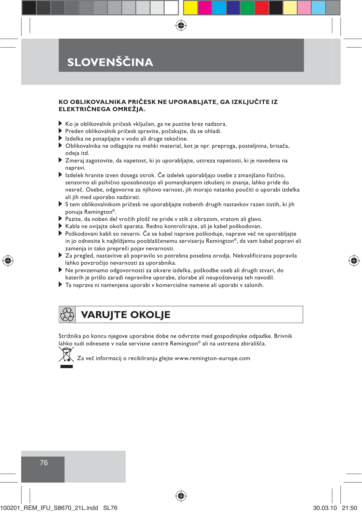### **KO OBLIKOVALNIKA PRIČESK NE UPORABLJATE, GA IZKLJUČITE IZ ELEKTRIČNEGA OMREŽJA.**

- Ko je oblikovalnik pričesk vključen, ga ne pustite brez nadzora.
- Preden oblikovalnik pričesk spravite, počakajte, da se ohladi.
- Izdelka ne potapljajte v vodo ali druge tekočine.
- Oblikovalnika ne odlagajte na mehki material, kot je npr. preproga, posteljnina, brisača, odeja itd.
- Zmeraj zagotovite, da napetost, ki jo uporabljajte, ustreza napetosti, ki je navedena na napravi.
- Izdelek hranite izven dosega otrok. Če izdelek uporabljajo osebe z zmanjšano fizično, senzorno ali psihično sposobnostjo ali pomanjkanjem izkušenj in znanja, lahko pride do nesreč. Osebe, odgovorne za njihovo varnost, jih morajo natanko poučiti o uporabi izdelka ali jih med uporabo nadzirati.
- S tem oblikovalnikom pričesk ne uporabljajte nobenih drugih nastavkov razen tistih, ki jih ponuja Remington®.
- Pazite, da noben del vročih plošč ne pride v stik z obrazom, vratom ali glavo.
- Kabla ne ovijajte okoli aparata. Redno kontrolirajte, ali je kabel poškodovan.
- Poškodovani kabli so nevarni. Če se kabel naprave poškoduje, naprave več ne uporabljajte in jo odnesite k najbližjemu pooblaščenemu serviserju Remington®, da vam kabel popravi ali zamenja in tako prepreči pojav nevarnosti.
- Za pregled, nastavitve ali popravilo so potrebna posebna orodja. Nekvalificirana popravila lahko povzročijo nevarnosti za uporabnika.
- Ne prevzemamo odgovornosti za okvare izdelka, poškodbe oseb ali drugih stvari, do katerih je prišlo zaradi nepravilne uporabe, zlorabe ali neupoštevanja teh navodil.
- Ta naprava ni namenjena uporabi v komercialne namene ali uporabi v salonih.

## **VARUJTE OKOLJE**

Strižnika po koncu njegove uporabne dobe ne odvrzite med gospodinjske odpadke. Brivnik lahko tudi odnesete v naše servisne centre Remington® ali na ustrezna zbirališča.



Za več informacij o recikliranju glejte www.remington-europe.com



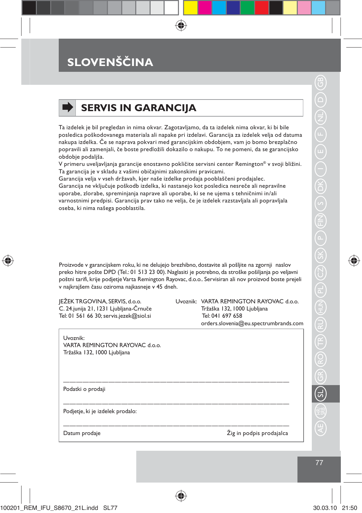## **SERVIS IN GARANCIJA**

Ta izdelek je bil pregledan in nima okvar. Zagotavljamo, da ta izdelek nima okvar, ki bi bile posledica poškodovanega materiala ali napake pri izdelavi. Garancija za izdelek velja od datuma nakupa izdelka. Če se naprava pokvari med garancijskim obdobjem, vam jo bomo brezplačno popravili ali zamenjali, če boste predložili dokazilo o nakupu. To ne pomeni, da se garancijsko obdobje podaljša.

V primeru uveljavljanja garancije enostavno pokličite servisni center Remington® v svoji bližini. Ta garancija je v skladu z vašimi običajnimi zakonskimi pravicami.

Garancija velja v vseh državah, kjer naše izdelke prodaja pooblaščeni prodajalec.

Garancija ne vključuje poškodb izdelka, ki nastanejo kot posledica nesreče ali nepravilne uporabe, zlorabe, spreminjanja naprave ali uporabe, ki se ne ujema s tehničnimi in/ali varnostnimi predpisi. Garancija prav tako ne velja, če je izdelek razstavljala ali popravljala oseba, ki nima našega pooblastila.

Proizvode v garancijskem roku, ki ne delujejo brezhibno, dostavite ali pošljite na zgornji naslov preko hitre pošte DPD (Tel.: 01 513 23 00). Naglasiti je potrebno, da stroške pošiljanja po veljavni poštni tarifi, krije podjetje Varta Remington Rayovac, d.o.o.. Servisiran ali nov proizvod boste prejeli v najkrajšem času oziroma najkasneje v 45 dneh.

———————————————————————————————————

———————————————————————————————————

———————————————————————————————————

♠

C. 24.junija 21, 1231 Ljubljana-Črnuče Tržaška 132, 1000 Ljubljana Tel: 01 561 66 30; servis.jezek@siol.si

JEŽEK TRGOVINA, SERVIS, d.o.o. Uvoznik: VARTA REMINGTON RAYOVAC d.o.o.<br>C. 24.junija 21, 1231 Ljubljana-Črnuče Tržaška 132, 1000 Ljubljana orders.slovenia@eu.spectrumbrands.com

Uvoznik: VARTA REMINGTON RAYOVAC d.o.o. Tržaška 132, 1000 Ljubljana

Podatki o prodaji

Podjetje, ki je izdelek prodalo:

Datum prodaje Žig in podpis prodajalca

⊕

100201\_REM\_IFU\_S8670\_21L.indd SL77 30.03.10 21:50

⊕

 $77$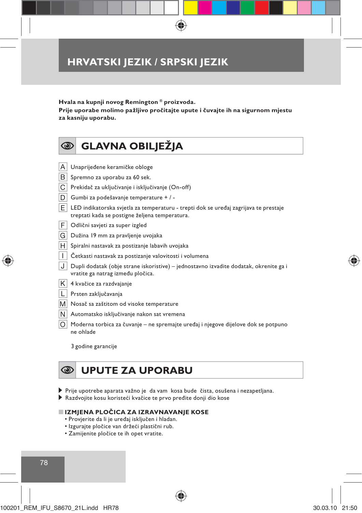**Hvala na kupnji novog Remington ® proizvoda.**

**Prije uporabe molimo pažljivo pročitajte upute i čuvajte ih na sigurnom mjestu za kasniju uporabu.**

### **GLAVNA OBILJEŽJA**  $\circledcirc$ A Unaprijeđene keramičke obloge B Spremno za uporabu za 60 sek. C Prekidač za uključivanje i isključivanje (On-off)  $D$  Gumbi za podešavanje temperature + / -E LED indikatorska svjetla za temperaturu - trepti dok se uređaj zagrijava te prestaje treptati kada se postigne željena temperatura. F Odlični savjeti za super izgled G Dužina 19 mm za pravljenje uvojaka  $H$  Spiralni nastavak za postizanje labavih uvojaka I Četkasti nastavak za postizanje valovitosti i volumena J Dupli dodatak (obje strane iskoristive) – jednostavno izvadite dodatak, okrenite ga i vratite ga natrag između pločica.  $K$  4 kvačice za razdvajanje L Prsten zaključavanja M Nosač sa zaštitom od visoke temperature N | Automatsko isključivanje nakon sat vremena

O Moderna torbica za čuvanje – ne spremajte uređaj i njegove dijelove dok se potpuno ne ohlade

3 godine garancije

#### $\circledcirc$ **UPUTE ZA UPORABU**

- Prije upotrebe aparata važno je da vam kosa bude čista, osušena i nezapetljana.
- Razdvojite kosu koristeći kvačice te prvo pređite donji dio kose

#### **IZMJENA PLOČICA ZA IZRAVNAVANJE KOSE**

- Provjerite da li je uređaj isključen i hladan.
- Izgurajte pločice van držeći plastični rub.
- Zamijenite pločice te ih opet vratite.



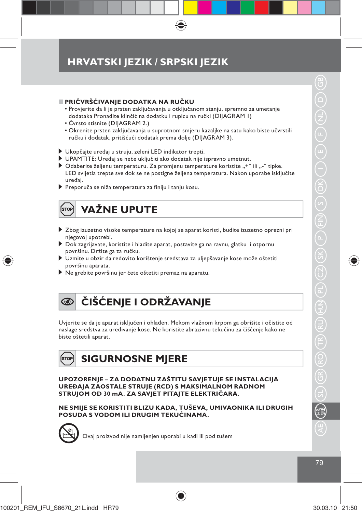#### **PRIČVRŠĆIVANJE DODATKA NA RUČKU**

- Provjerite da li je prsten zaključavanja u otključanom stanju, spremno za umetanje dodataka Pronađite klinčić na dodatku i rupicu na ručki (DIJAGRAM 1)
- Čvrsto stisnite (DIJAGRAM 2.)
- Okrenite prsten zaključavanja u suprotnom smjeru kazaljke na satu kako biste učvrstili ručku i dodatak, pritišćući dodatak prema dolje (DIJAGRAM 3).
- Ukopčajte uređaj u struju, zeleni LED indikator trepti.
- UPAMTITE: Uređaj se neće uključiti ako dodatak nije ispravno umetnut.
- ▶ Odaberite željenu temperaturu. Za promjenu temperature koristite "+" ili "-" tipke. LED svijetla trepte sve dok se ne postigne željena temperatura. Nakon uporabe isključite uređaj.
- Preporuča se niža temperatura za finiju i tanju kosu.



- Zbog izuzetno visoke temperature na kojoj se aparat koristi, budite izuzetno oprezni pri njegovoj upotrebi.
- Dok zagrijavate, koristite i hladite aparat, postavite ga na ravnu, glatku i otpornu površinu. Držite ga za ručku.
- Uzmite u obzir da redovito korištenje sredstava za uljepšavanje kose može oštetiti površinu aparata.
- Ne grebite površinu jer ćete oštetiti premaz na aparatu.



Uvjerite se da je aparat isključen i ohlađen. Mekom vlažnom krpom ga obrišite i očistite od naslage sredstva za uređivanje kose. Ne koristite abrazivnu tekućinu za čišćenje kako ne biste oštetili aparat.

#### **SIGURNOSNE MJERE**  [stof

**UPOZORENJE – ZA DODATNU ZAŠTITU SAVJETUJE SE INSTALACIJA UREĐAJA ZAOSTALE STRUJE (RCD) S MAKSIMALNOM RADNOM STRUJOM OD 30 mA. ZA SAVJET PITAJTE ELEKTRIČARA.**

#### **NE SMIJE SE KORISTITI BLIZU KADA, TUŠEVA, UMIVAONIKA ILI DRUGIH POSUDA S VODOM ILI DRUGIM TEKUĆINAMA.**



₩

Ovaj proizvod nije namijenjen uporabi u kadi ili pod tušem

79 GB (1) GB (1) GB (1) GB (1) GB (1) GB (1) GB (1) GB (1) GB (1) GB DK  $\stackrel{\textstyle >}{\textstyle \scriptstyle \pm\ }$ b<br>C RU AE HR/ SRB 79

♠

 $\overline{z}$ 

100201\_REM\_IFU\_S8670\_21L.indd HR79 30.03.10 21:50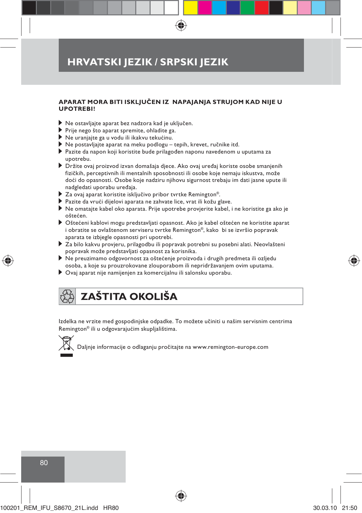#### **APARAT MORA BITI ISKLJUČEN IZ NAPAJANJA STRUJOM KAD NIJE U UPOTREBI!**

- ▶ Ne ostavljajte aparat bez nadzora kad je uključen.
- Prije nego što aparat spremite, ohladite ga.
- Ne uranjajte ga u vodu ili ikakvu tekućinu.
- Ne postavljajte aparat na meku podlogu tepih, krevet, ručnike itd.
- Pazite da napon koji koristite bude prilagođen naponu navedenom u uputama za upotrebu.
- Držite ovaj proizvod izvan domašaja djece. Ako ovaj uređaj koriste osobe smanjenih fizičkih, perceptivnih ili mentalnih sposobnosti ili osobe koje nemaju iskustva, može doći do opasnosti. Osobe koje nadziru njihovu sigurnost trebaju im dati jasne upute ili nadgledati uporabu uređaja.
- ▶ Za ovaj aparat koristite isključivo pribor tvrtke Remington®.
- Pazite da vrući dijelovi aparata ne zahvate lice, vrat ili kožu glave.
- Ne omatajte kabel oko aparata. Prije upotrebe provjerite kabel, i ne koristite ga ako je oštećen.
- Oštećeni kablovi mogu predstavljati opasnost. Ako je kabel oštećen ne koristite aparat i obratite se ovlaštenom serviseru tvrtke Remington®, kako bi se izvršio popravak aparata te izbjegle opasnosti pri upotrebi.
- Za bilo kakvu provjeru, prilagodbu ili popravak potrebni su posebni alati. Neovlašteni popravak može predstavljati opasnost za korisnika.
- Ne preuzimamo odgovornost za oštećenje proizvoda i drugih predmeta ili ozljedu osoba, a koje su prouzrokovane zlouporabom ili nepridržavanjem ovim uputama.
- Ovaj aparat nije namijenjen za komercijalnu ili salonsku uporabu.



Izdelka ne vrzite med gospodinjske odpadke. To možete učiniti u našim servisnim centrima Remington® ili u odgovarajućim skupljalištima.



Daljnje informacije o odlaganju pročitajte na www.remington-europe.com

| 80                                 |   |                |
|------------------------------------|---|----------------|
|                                    |   |                |
|                                    |   |                |
|                                    | ⊕ |                |
| 100201_REM_IFU_S8670_21L.indd HR80 |   | 30.03.10 21:50 |



♠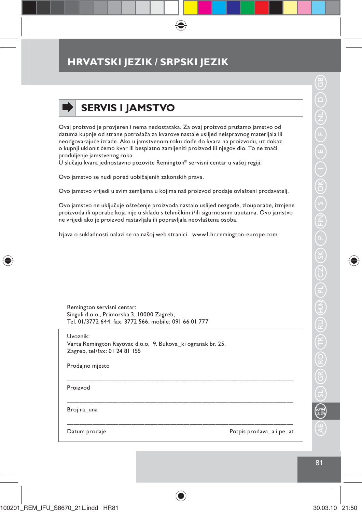

Ovaj proizvod je provjeren i nema nedostataka. Za ovaj proizvod pružamo jamstvo od datuma kupnje od strane potrošača za kvarove nastale uslijed neispravnog materijala ili neodgovarajuće izrade. Ako u jamstvenom roku dođe do kvara na proizvodu, uz dokaz o kupnji uklonit ćemo kvar ili besplatno zamijeniti proizvod ili njegov dio. To ne znači produljenje jamstvenog roka.

U slučaju kvara jednostavno pozovite Remington® servisni centar u vašoj regiji.

Ovo jamstvo se nudi pored uobičajenih zakonskih prava.

Ovo jamstvo vrijedi u svim zemljama u kojima naš proizvod prodaje ovlašteni prodavatelj.

Ovo jamstvo ne uključuje oštećenje proizvoda nastalo uslijed nezgode, zlouporabe, izmjene proizvoda ili uporabe koja nije u skladu s tehničkim i/ili sigurnosnim uputama. Ovo jamstvo ne vrijedi ako je proizvod rastavljala ili popravljala neovlaštena osoba.

———————————————————————————————————

———————————————————————————————————

———————————————————————————————————

♠

Izjava o sukladnosti nalazi se na našoj web stranici www1.hr.remington-europe.com

Remington servisni centar: Singuli d.o.o., Primorska 3, 10000 Zagreb, Tel. 01/3772 644, fax. 3772 566, mobile: 091 66 01 777

Uvoznik: Varta Remington Rayovac d.o.o, 9. Bukova\_ki ogranak br. 25, Zagreb, tel/fax: 01 24 81 155

Prodajno mjesto

#### Proizvod

⊕

Broj ra\_una

Datum prodaje Potpis prodava\_a i pe\_at

31 AB (1) SHO GR (60 GR (1) (1) GR (2) (1) (1) GR (1) GR (1) GB (1) GB 81

AE HR/ SRB

 $\overline{z}$ 

DK

 $\stackrel{\textstyle >}{\textstyle \scriptstyle \pm\ }$ 

b<br>C

♠

RU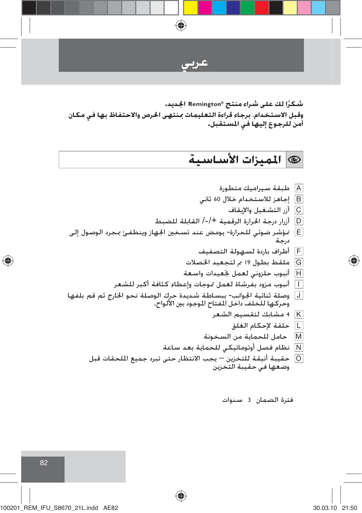

شكرًا لك على شراء منتج ®Remington الجديد. وقبل الاستخدام. برجاء قراءة التعليمات منتهى الحرص والاحتفاظ بها في مكان آمن للرجوع إليها في المستقبل.

# © الميزات الأساسية

**Contract Contract** 

⊕

فترة الضمان 3 سنوات

82 100201\_REM\_IFU\_S8670\_21L.indd AE82

 $\bigoplus$ 

 $\bigoplus$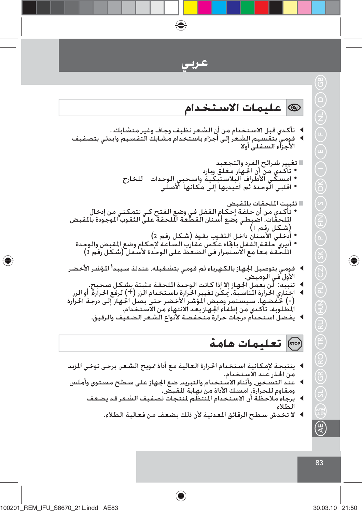2.1. 
$$
\frac{1}{2}
$$

\n3.1.  $\frac{1}{2}$ 

\n4.1.  $\frac{1}{2}$ 

\n5.1.  $\frac{1}{2}$ 

\n6.2.  $\frac{1}{2}$ 

\n7.  $\frac{1}{2}$ 

\n8.3.  $\frac{1}{2}$ 

\n9.  $\frac{1}{2}$ 

\n10.  $\frac{1}{2}$ 

\n11.  $\frac{1}{2}$ 

\n12.  $\frac{1}{2}$ 

\n23.  $\frac{1}{2}$ 

\n3.  $\frac{1}{2}$ 

\n4.  $\frac{1}{2}$ 

\n5.  $\frac{1}{2}$ 

\n6.  $\frac{1}{2}$ 

\n7.  $\frac{1}{2}$ 

\n8.  $\frac{1}{2}$ 

\n9.  $\frac{1}{2}$ 

\n10.  $\frac{1}{2}$ 

\n11.  $\frac{1}{2}$ 

\n12.  $\frac{1}{2}$ 

\n23.  $\frac{1}{2}$ 

\n3.  $\frac{1}{2}$ 

\n4.  $\frac{1}{2}$ 

\n5.  $\frac{1}{2}$ 

\n6.  $\frac{1}{2}$ 

\n7.  $\frac{1}{2}$ 

\n8.  $\frac{1}{2}$ 

\n9.  $\frac{1}{2}$ 

\n10.  $\frac{1}{2}$ 

\n11.  $\frac{1}{2}$ 

\n12.  $\frac{1}{2}$ 

\n23.  $\frac{1}{2}$ 

\n3.  $\frac{1}{2}$ 

\n4.

 $\bigoplus$ 

 $\overline{83}$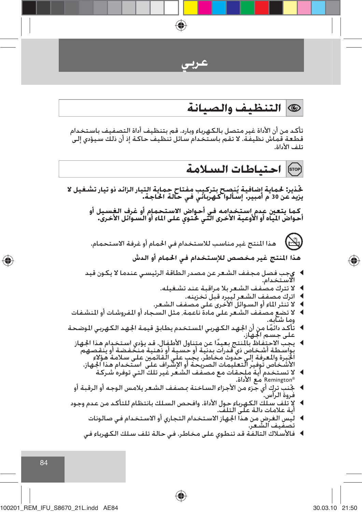

هذا المنتج غير مناسب للاستخدام في الحمام أو غرفة الاستحمام. هذا المنتج غير مخصص للإستخدام في الحمام أو الدش

- ىجب فصل مجفف الشعر عن مصدر الطاقة الرئيسى عندما لا يكون قيد الاستخدام.
	- لا تترك مصفف الشعر بلا مراقبة عند تشغيله.
	- اترك مصفف الشعر ليبرد قبل تخزينه.<br>لا تنثر الماء أو السوائل الأخرى على مصفف الشعر.
	-
- لا تضع مصفف الشعر على مادة ناعمة٬ مثل السجاد أو المروشات أو النشفات ے۔<br>وہا شائق
- تأكد دائمًا من أن الجهد الكهربي المستخدم يطابق قيمة الجهد الكهربي الموضحة على جسم الْجَهَاز.
	- يجبُّ الاحتِفاظ بالمنتج بعيدًا عن متناول الأطفال. قد يؤدي استخدام هذا الجهاز بواسطة أشخاص ذي قدرات بدنية أو حسية أو ذهنية منخفضة أو ينقصهم الجبرة والعرفة إلى حذّوث مخاطر. يجب على الّقائمين على سلامةٌ هَؤَلاءِ<br>الأشخاص توفير التعليمات الصريحة أو الإشراف على استخدام هذا الجهاز.
		- لا تستخدم أية ملحقات مع مصفف الشعر غير تلك التي توفره شركة ®Remington مَع الأداة.
	- جْنب تركِ أي جِّزء من الأجزاء السـاخـنـة بـصـفـف الـشـعـر يلامـس الـوجـه أو الـرقـبـة أو فروة الرأس
- لا تُلف سلّك الكهرباء حول الأداة. وافحص السلك بانتظام للتأكد من عدم وجود<br>أية علامات دالة على التلف.

♠

- ليس الغرض من هذا الجهاز الاستخدام التجاري أو الاستخدام في صالونات<br>تصفيف الشعر.
- ♦ فالأسلاك التالفة قد تنطوى على مخاطر. في حالة تلف سلك الكهرباء في

100201 REM IFU S8670 21L.indd AE84

⊕

84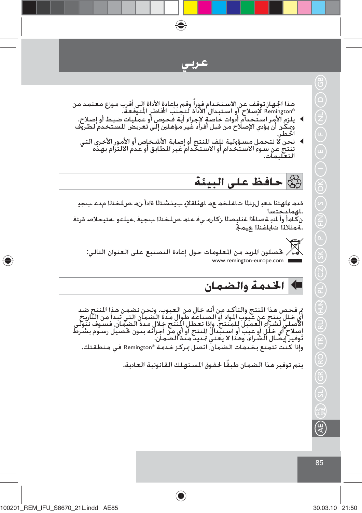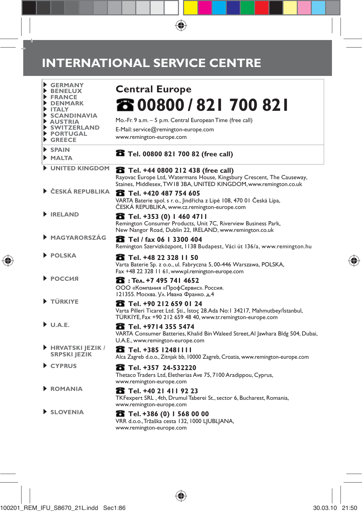## **INTERNATIONAL SERVICE CENTRE**

 $\bigoplus$ 

| <b>GERMANY</b><br><b>BENELUX</b><br><b>FRANCE</b><br><b>DENMARK</b><br>ITALY<br><b>SCANDINAVIA</b><br>▶ AUSTRIA<br>SWITZERLAND<br>$\blacktriangleright$ PORTUGAL<br>$\blacktriangleright$ GREECE | <b>Central Europe</b><br>26 00800 / 821 700 821<br>Mo.-Fr. 9 a.m. - 5 p.m. Central European Time (free call)<br>E-Mail: service@remington-europe.com<br>www.remington-europe.com                                    |
|--------------------------------------------------------------------------------------------------------------------------------------------------------------------------------------------------|---------------------------------------------------------------------------------------------------------------------------------------------------------------------------------------------------------------------|
| SPAIN<br>MALTA                                                                                                                                                                                   | Tel. 00800 821 700 82 (free call)                                                                                                                                                                                   |
| UNITED KINGDOM<br>▶ ČESKÁ REPUBLIKA                                                                                                                                                              | Tel. +44 0800 212 438 (free call)<br>Rayovac Europe Ltd, Watermans House, Kingsbury Crescent, The Causeway,<br>Staines, Middlesex, TW18 3BA, UNITED KINGDOM, www.remington.co.uk<br><b>26</b> Tel. +420 487 754 605 |
|                                                                                                                                                                                                  | VARTA Baterie spol. s r. o., Jindřicha z Lipé 108, 470 01 Česká Lípa,<br>ČESKÁ REPUBLIKA, www.cz.remington-europe.com                                                                                               |
| RELAND                                                                                                                                                                                           | <b>26</b> Tel. +353 (0) 1 460 4711<br>Remington Consumer Products, Unit 7C, Riverview Business Park,<br>New Nangor Road, Dublin 22, IRELAND, www.remington.co.uk                                                    |
| <b>MAGYARORSZÁG</b>                                                                                                                                                                              | <b>26</b> Tel / fax 06   3300 404<br>Remington Szervizközpont, I 138 Budapest, Váci út 136/a, www.remington.hu                                                                                                      |
| POLSKA                                                                                                                                                                                           | <b>26</b> Tel. +48 22 328 11 50<br>Varta Baterie Sp. z o.o., ul. Fabryczna 5, 00-446 Warszawa, POLSKA,<br>Fax +48 22 328 11 61, www.pl.remington-europe.com                                                         |
| • РОССИЯ                                                                                                                                                                                         | <b>25</b> : Ten. +7 495 741 4652<br>ООО «Компания «ПрофСервис». Россия.<br>121355. Москва. Ул. Ивана Франко. д.4                                                                                                    |
| <b>FÜRKIYE</b>                                                                                                                                                                                   | <b>26</b> Tel. +90 212 659 01 24<br>Varta Pilleri Ticaret Ltd. Ști., İstoç 28.Ada No:1 34217, Mahmutbey/İstanbul,<br>TÜRKİYE, Fax +90 212 659 48 40, www.tr.remington-europe.com                                    |
| $\blacktriangleright$ U.A.E.                                                                                                                                                                     | <b>86</b> Tel. +9714 355 5474<br>VARTA Consumer Batteries, Khalid Bin Waleed Street, Al Jawhara Bldg 504, Dubai,<br>U.A.E., www.remington-europe.com                                                                |
| HRVATSKI JEZIK /<br><b>SRPSKI JEZIK</b>                                                                                                                                                          | <b>26</b> Tel. +385 12481111<br>Alca Zagreb d.o.o., Zitnjak bb, 10000 Zagreb, Croatia, www.remington-europe.com                                                                                                     |
| CYPRUS                                                                                                                                                                                           | <b>26</b> Tel. +357 24-532220<br>Thetaco Traders Ltd, Eletherias Ave 75, 7100 Aradippou, Cyprus,<br>www.remington-europe.com                                                                                        |
| ROMANIA                                                                                                                                                                                          | <b>26</b> Tel. +40 21 411 92 23<br>TKFexpert SRL, 4th, Drumul Taberei St., sector 6, Bucharest, Romania,<br>www.remington-europe.com                                                                                |
| SLOVENIA                                                                                                                                                                                         | <b>26</b> Tel. +386 (0) 1 568 00 00<br>VRR d.o.o., Tržaška cesta 132, 1000 LJUBLJANA,<br>www.remington-europe.com                                                                                                   |

⊕

 $\bigoplus$ 



 $\bigoplus$